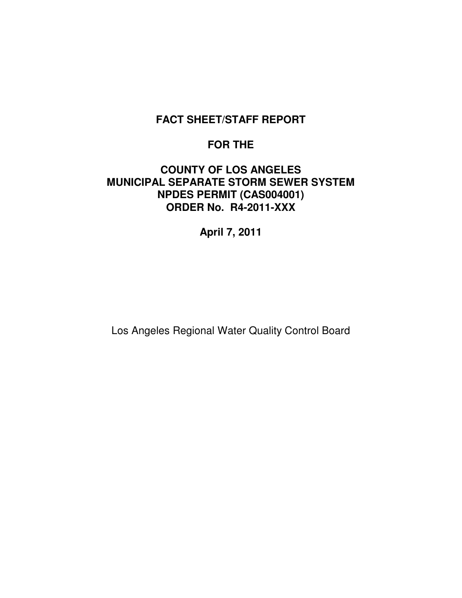# **FACT SHEET/STAFF REPORT**

# **FOR THE**

# **COUNTY OF LOS ANGELES MUNICIPAL SEPARATE STORM SEWER SYSTEM NPDES PERMIT (CAS004001) ORDER No. R4-2011-XXX**

**April 7, 2011**

Los Angeles Regional Water Quality Control Board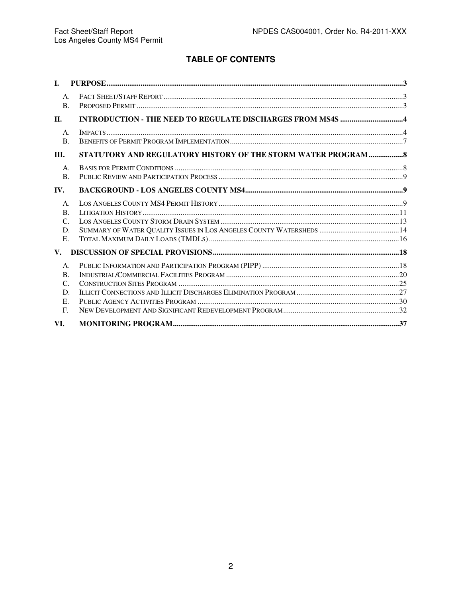# **TABLE OF CONTENTS**

| $\mathbf{L}$                                                       |                                                                |  |
|--------------------------------------------------------------------|----------------------------------------------------------------|--|
| A <sub>1</sub><br>$\mathbf{B}$ .                                   |                                                                |  |
| $\Pi$ .                                                            |                                                                |  |
| $A_{\cdot}$<br><b>B.</b>                                           |                                                                |  |
| III.                                                               | STATUTORY AND REGULATORY HISTORY OF THE STORM WATER PROGRAM  8 |  |
| A.<br>$\mathbf{B}$ .                                               |                                                                |  |
| IV.                                                                |                                                                |  |
| $A_{\cdot}$<br><b>B.</b><br>C.<br>D.<br>E.                         |                                                                |  |
| $V_{\rm{L}}$                                                       |                                                                |  |
| A.<br>$\mathbf{B}$ .<br>$\mathcal{C}$ .<br>D.<br>E.<br>$F_{\cdot}$ |                                                                |  |
| VI.                                                                |                                                                |  |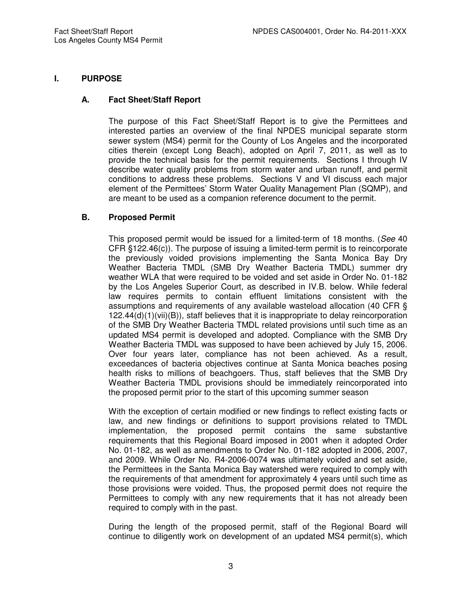#### **I. PURPOSE**

#### **A. Fact Sheet/Staff Report**

The purpose of this Fact Sheet/Staff Report is to give the Permittees and interested parties an overview of the final NPDES municipal separate storm sewer system (MS4) permit for the County of Los Angeles and the incorporated cities therein (except Long Beach), adopted on April 7, 2011, as well as to provide the technical basis for the permit requirements. Sections I through IV describe water quality problems from storm water and urban runoff, and permit conditions to address these problems. Sections V and VI discuss each major element of the Permittees' Storm Water Quality Management Plan (SQMP), and are meant to be used as a companion reference document to the permit.

#### **B. Proposed Permit**

This proposed permit would be issued for a limited-term of 18 months. (See 40 CFR §122.46(c)). The purpose of issuing a limited-term permit is to reincorporate the previously voided provisions implementing the Santa Monica Bay Dry Weather Bacteria TMDL (SMB Dry Weather Bacteria TMDL) summer dry weather WLA that were required to be voided and set aside in Order No. 01-182 by the Los Angeles Superior Court, as described in IV.B. below. While federal law requires permits to contain effluent limitations consistent with the assumptions and requirements of any available wasteload allocation (40 CFR § 122.44(d)(1)(vii)(B)), staff believes that it is inappropriate to delay reincorporation of the SMB Dry Weather Bacteria TMDL related provisions until such time as an updated MS4 permit is developed and adopted. Compliance with the SMB Dry Weather Bacteria TMDL was supposed to have been achieved by July 15, 2006. Over four years later, compliance has not been achieved. As a result, exceedances of bacteria objectives continue at Santa Monica beaches posing health risks to millions of beachgoers. Thus, staff believes that the SMB Dry Weather Bacteria TMDL provisions should be immediately reincorporated into the proposed permit prior to the start of this upcoming summer season

With the exception of certain modified or new findings to reflect existing facts or law, and new findings or definitions to support provisions related to TMDL implementation, the proposed permit contains the same substantive requirements that this Regional Board imposed in 2001 when it adopted Order No. 01-182, as well as amendments to Order No. 01-182 adopted in 2006, 2007, and 2009. While Order No. R4-2006-0074 was ultimately voided and set aside, the Permittees in the Santa Monica Bay watershed were required to comply with the requirements of that amendment for approximately 4 years until such time as those provisions were voided. Thus, the proposed permit does not require the Permittees to comply with any new requirements that it has not already been required to comply with in the past.

During the length of the proposed permit, staff of the Regional Board will continue to diligently work on development of an updated MS4 permit(s), which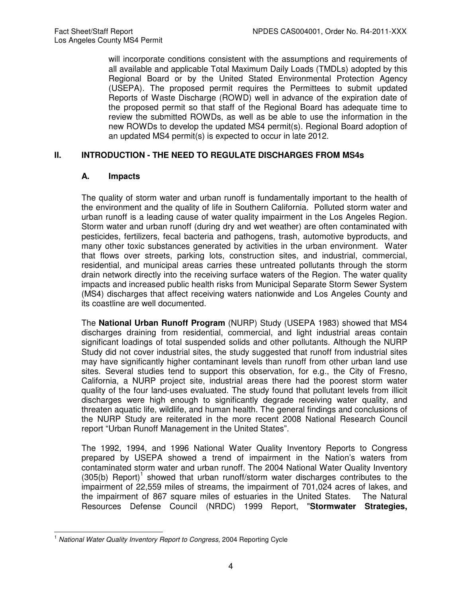will incorporate conditions consistent with the assumptions and requirements of all available and applicable Total Maximum Daily Loads (TMDLs) adopted by this Regional Board or by the United Stated Environmental Protection Agency (USEPA). The proposed permit requires the Permittees to submit updated Reports of Waste Discharge (ROWD) well in advance of the expiration date of the proposed permit so that staff of the Regional Board has adequate time to review the submitted ROWDs, as well as be able to use the information in the new ROWDs to develop the updated MS4 permit(s). Regional Board adoption of an updated MS4 permit(s) is expected to occur in late 2012.

#### **II. INTRODUCTION - THE NEED TO REGULATE DISCHARGES FROM MS4s**

#### **A. Impacts**

The quality of storm water and urban runoff is fundamentally important to the health of the environment and the quality of life in Southern California. Polluted storm water and urban runoff is a leading cause of water quality impairment in the Los Angeles Region. Storm water and urban runoff (during dry and wet weather) are often contaminated with pesticides, fertilizers, fecal bacteria and pathogens, trash, automotive byproducts, and many other toxic substances generated by activities in the urban environment. Water that flows over streets, parking lots, construction sites, and industrial, commercial, residential, and municipal areas carries these untreated pollutants through the storm drain network directly into the receiving surface waters of the Region. The water quality impacts and increased public health risks from Municipal Separate Storm Sewer System (MS4) discharges that affect receiving waters nationwide and Los Angeles County and its coastline are well documented.

The **National Urban Runoff Program** (NURP) Study (USEPA 1983) showed that MS4 discharges draining from residential, commercial, and light industrial areas contain significant loadings of total suspended solids and other pollutants. Although the NURP Study did not cover industrial sites, the study suggested that runoff from industrial sites may have significantly higher contaminant levels than runoff from other urban land use sites. Several studies tend to support this observation, for e.g., the City of Fresno, California, a NURP project site, industrial areas there had the poorest storm water quality of the four land-uses evaluated. The study found that pollutant levels from illicit discharges were high enough to significantly degrade receiving water quality, and threaten aquatic life, wildlife, and human health. The general findings and conclusions of the NURP Study are reiterated in the more recent 2008 National Research Council report "Urban Runoff Management in the United States".

The 1992, 1994, and 1996 National Water Quality Inventory Reports to Congress prepared by USEPA showed a trend of impairment in the Nation's waters from contaminated storm water and urban runoff. The 2004 National Water Quality Inventory  $(305(b)$  Report)<sup>1</sup> showed that urban runoff/storm water discharges contributes to the impairment of 22,559 miles of streams, the impairment of 701,024 acres of lakes, and the impairment of 867 square miles of estuaries in the United States. The Natural Resources Defense Council (NRDC) 1999 Report, "**Stormwater Strategies,** 

 $\overline{\phantom{a}}$  $1$  National Water Quality Inventory Report to Congress, 2004 Reporting Cycle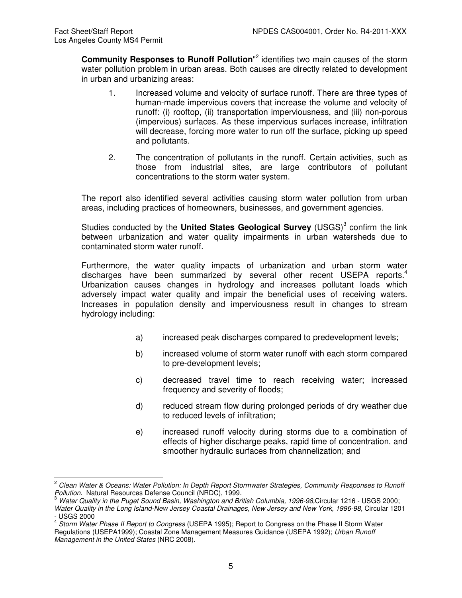Community Responses to Runoff Pollution<sup>"2</sup> identifies two main causes of the storm water pollution problem in urban areas. Both causes are directly related to development in urban and urbanizing areas:

- 1. Increased volume and velocity of surface runoff. There are three types of human-made impervious covers that increase the volume and velocity of runoff: (i) rooftop, (ii) transportation imperviousness, and (iii) non-porous (impervious) surfaces. As these impervious surfaces increase, infiltration will decrease, forcing more water to run off the surface, picking up speed and pollutants.
- 2. The concentration of pollutants in the runoff. Certain activities, such as those from industrial sites, are large contributors of pollutant concentrations to the storm water system.

The report also identified several activities causing storm water pollution from urban areas, including practices of homeowners, businesses, and government agencies.

Studies conducted by the United States Geological Survey (USGS)<sup>3</sup> confirm the link between urbanization and water quality impairments in urban watersheds due to contaminated storm water runoff.

Furthermore, the water quality impacts of urbanization and urban storm water discharges have been summarized by several other recent USEPA reports.<sup>4</sup> Urbanization causes changes in hydrology and increases pollutant loads which adversely impact water quality and impair the beneficial uses of receiving waters. Increases in population density and imperviousness result in changes to stream hydrology including:

- a) increased peak discharges compared to predevelopment levels;
- b) increased volume of storm water runoff with each storm compared to pre-development levels;
- c) decreased travel time to reach receiving water; increased frequency and severity of floods;
- d) reduced stream flow during prolonged periods of dry weather due to reduced levels of infiltration;
- e) increased runoff velocity during storms due to a combination of effects of higher discharge peaks, rapid time of concentration, and smoother hydraulic surfaces from channelization; and

 $\overline{a}$  $^{2}$  Clean Water & Oceans: Water Pollution: In Depth Report Stormwater Strategies, Community Responses to Runoff Pollution. Natural Resources Defense Council (NRDC), 1999.

<sup>&</sup>lt;sup>3</sup> Water Quality in the Puget Sound Basin, Washington and British Columbia, 1996-98,Circular 1216 - USGS 2000; Water Quality in the Long Island-New Jersey Coastal Drainages, New Jersey and New York, 1996-98, Circular 1201

<sup>-</sup> USGS 2000

<sup>&</sup>lt;sup>4</sup> Storm Water Phase II Report to Congress (USEPA 1995); Report to Congress on the Phase II Storm Water Regulations (USEPA1999); Coastal Zone Management Measures Guidance (USEPA 1992); Urban Runoff Management in the United States (NRC 2008).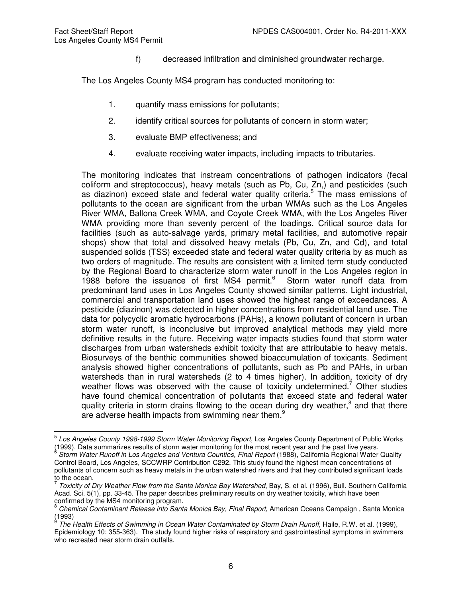f) decreased infiltration and diminished groundwater recharge.

The Los Angeles County MS4 program has conducted monitoring to:

- 1. quantify mass emissions for pollutants;
- 2. identify critical sources for pollutants of concern in storm water;
- 3. evaluate BMP effectiveness; and
- 4. evaluate receiving water impacts, including impacts to tributaries.

The monitoring indicates that instream concentrations of pathogen indicators (fecal coliform and streptococcus), heavy metals (such as Pb, Cu, Zn,) and pesticides (such as diazinon) exceed state and federal water quality criteria.<sup>5</sup> The mass emissions of pollutants to the ocean are significant from the urban WMAs such as the Los Angeles River WMA, Ballona Creek WMA, and Coyote Creek WMA, with the Los Angeles River WMA providing more than seventy percent of the loadings. Critical source data for facilities (such as auto-salvage yards, primary metal facilities, and automotive repair shops) show that total and dissolved heavy metals (Pb, Cu, Zn, and Cd), and total suspended solids (TSS) exceeded state and federal water quality criteria by as much as two orders of magnitude. The results are consistent with a limited term study conducted by the Regional Board to characterize storm water runoff in the Los Angeles region in 1988 before the issuance of first MS4 permit.<sup>6</sup> Storm water runoff data from predominant land uses in Los Angeles County showed similar patterns. Light industrial, commercial and transportation land uses showed the highest range of exceedances. A pesticide (diazinon) was detected in higher concentrations from residential land use. The data for polycyclic aromatic hydrocarbons (PAHs), a known pollutant of concern in urban storm water runoff, is inconclusive but improved analytical methods may yield more definitive results in the future. Receiving water impacts studies found that storm water discharges from urban watersheds exhibit toxicity that are attributable to heavy metals. Biosurveys of the benthic communities showed bioaccumulation of toxicants. Sediment analysis showed higher concentrations of pollutants, such as Pb and PAHs, in urban watersheds than in rural watersheds (2 to 4 times higher). In addition, toxicity of dry weather flows was observed with the cause of toxicity undetermined.<sup>7</sup> Other studies have found chemical concentration of pollutants that exceed state and federal water quality criteria in storm drains flowing to the ocean during dry weather, $^8$  and that there are adverse health impacts from swimming near them.<sup>9</sup>

 5 Los Angeles County 1998-1999 Storm Water Monitoring Report, Los Angeles County Department of Public Works (1999). Data summarizes results of storm water monitoring for the most recent year and the past five years.<br><sup>6</sup> Sterm Water Runeff in Lee Angelee and Venture Counties, Final Benert (1988). Celifornia Beginnal Water.

Storm Water Runoff in Los Angeles and Ventura Counties, Final Report (1988), California Regional Water Quality Control Board, Los Angeles, SCCWRP Contribution C292. This study found the highest mean concentrations of pollutants of concern such as heavy metals in the urban watershed rivers and that they contributed significant loads to the ocean.

 $^7$  Toxicity of Dry Weather Flow from the Santa Monica Bay Watershed, Bay, S. et al. (1996), Bull. Southern California Acad. Sci. 5(1), pp. 33-45. The paper describes preliminary results on dry weather toxicity, which have been confirmed by the MS4 monitoring program.

<sup>8</sup> Chemical Contaminant Release into Santa Monica Bay, Final Report, American Oceans Campaign , Santa Monica (1993)<br><sup>9</sup> The L

The Health Effects of Swimming in Ocean Water Contaminated by Storm Drain Runoff, Haile, R.W. et al. (1999), Epidemiology 10: 355-363). The study found higher risks of respiratory and gastrointestinal symptoms in swimmers who recreated near storm drain outfalls.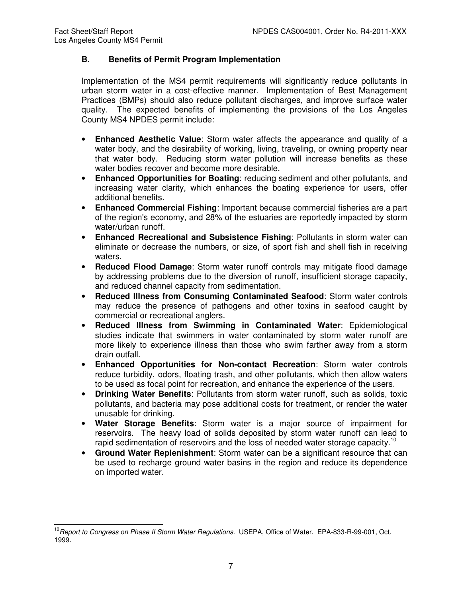# **B. Benefits of Permit Program Implementation**

Implementation of the MS4 permit requirements will significantly reduce pollutants in urban storm water in a cost-effective manner. Implementation of Best Management Practices (BMPs) should also reduce pollutant discharges, and improve surface water quality. The expected benefits of implementing the provisions of the Los Angeles County MS4 NPDES permit include:

- **Enhanced Aesthetic Value**: Storm water affects the appearance and quality of a water body, and the desirability of working, living, traveling, or owning property near that water body. Reducing storm water pollution will increase benefits as these water bodies recover and become more desirable.
- **Enhanced Opportunities for Boating**: reducing sediment and other pollutants, and increasing water clarity, which enhances the boating experience for users, offer additional benefits.
- **Enhanced Commercial Fishing**: Important because commercial fisheries are a part of the region's economy, and 28% of the estuaries are reportedly impacted by storm water/urban runoff.
- **Enhanced Recreational and Subsistence Fishing**: Pollutants in storm water can eliminate or decrease the numbers, or size, of sport fish and shell fish in receiving waters.
- **Reduced Flood Damage**: Storm water runoff controls may mitigate flood damage by addressing problems due to the diversion of runoff, insufficient storage capacity, and reduced channel capacity from sedimentation.
- **Reduced Illness from Consuming Contaminated Seafood**: Storm water controls may reduce the presence of pathogens and other toxins in seafood caught by commercial or recreational anglers.
- **Reduced Illness from Swimming in Contaminated Water**: Epidemiological studies indicate that swimmers in water contaminated by storm water runoff are more likely to experience illness than those who swim farther away from a storm drain outfall.
- **Enhanced Opportunities for Non-contact Recreation**: Storm water controls reduce turbidity, odors, floating trash, and other pollutants, which then allow waters to be used as focal point for recreation, and enhance the experience of the users.
- **Drinking Water Benefits**: Pollutants from storm water runoff, such as solids, toxic pollutants, and bacteria may pose additional costs for treatment, or render the water unusable for drinking.
- **Water Storage Benefits**: Storm water is a major source of impairment for reservoirs. The heavy load of solids deposited by storm water runoff can lead to rapid sedimentation of reservoirs and the loss of needed water storage capacity.<sup>10</sup>
- **Ground Water Replenishment**: Storm water can be a significant resource that can be used to recharge ground water basins in the region and reduce its dependence on imported water.

 $\overline{\phantom{a}}$ <sup>10</sup> Report to Congress on Phase II Storm Water Regulations. USEPA, Office of Water. EPA-833-R-99-001, Oct. 1999.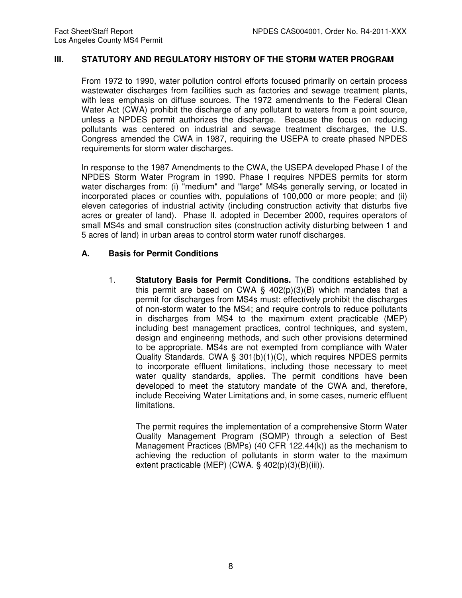#### **III. STATUTORY AND REGULATORY HISTORY OF THE STORM WATER PROGRAM**

From 1972 to 1990, water pollution control efforts focused primarily on certain process wastewater discharges from facilities such as factories and sewage treatment plants, with less emphasis on diffuse sources. The 1972 amendments to the Federal Clean Water Act (CWA) prohibit the discharge of any pollutant to waters from a point source, unless a NPDES permit authorizes the discharge. Because the focus on reducing pollutants was centered on industrial and sewage treatment discharges, the U.S. Congress amended the CWA in 1987, requiring the USEPA to create phased NPDES requirements for storm water discharges.

In response to the 1987 Amendments to the CWA, the USEPA developed Phase I of the NPDES Storm Water Program in 1990. Phase I requires NPDES permits for storm water discharges from: (i) "medium" and "large" MS4s generally serving, or located in incorporated places or counties with, populations of 100,000 or more people; and (ii) eleven categories of industrial activity (including construction activity that disturbs five acres or greater of land). Phase II, adopted in December 2000, requires operators of small MS4s and small construction sites (construction activity disturbing between 1 and 5 acres of land) in urban areas to control storm water runoff discharges.

#### **A. Basis for Permit Conditions**

1. **Statutory Basis for Permit Conditions.** The conditions established by this permit are based on CWA  $\S$  402(p)(3)(B) which mandates that a permit for discharges from MS4s must: effectively prohibit the discharges of non-storm water to the MS4; and require controls to reduce pollutants in discharges from MS4 to the maximum extent practicable (MEP) including best management practices, control techniques, and system, design and engineering methods, and such other provisions determined to be appropriate. MS4s are not exempted from compliance with Water Quality Standards. CWA § 301(b)(1)(C), which requires NPDES permits to incorporate effluent limitations, including those necessary to meet water quality standards, applies. The permit conditions have been developed to meet the statutory mandate of the CWA and, therefore, include Receiving Water Limitations and, in some cases, numeric effluent limitations.

The permit requires the implementation of a comprehensive Storm Water Quality Management Program (SQMP) through a selection of Best Management Practices (BMPs) (40 CFR 122.44(k)) as the mechanism to achieving the reduction of pollutants in storm water to the maximum extent practicable (MEP) (CWA. § 402(p)(3)(B)(iii)).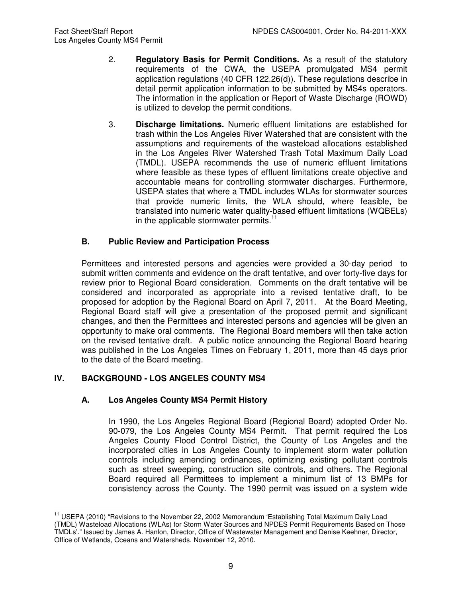- 2. **Regulatory Basis for Permit Conditions.** As a result of the statutory requirements of the CWA, the USEPA promulgated MS4 permit application regulations (40 CFR 122.26(d)). These regulations describe in detail permit application information to be submitted by MS4s operators. The information in the application or Report of Waste Discharge (ROWD) is utilized to develop the permit conditions.
- 3. **Discharge limitations.** Numeric effluent limitations are established for trash within the Los Angeles River Watershed that are consistent with the assumptions and requirements of the wasteload allocations established in the Los Angeles River Watershed Trash Total Maximum Daily Load (TMDL). USEPA recommends the use of numeric effluent limitations where feasible as these types of effluent limitations create objective and accountable means for controlling stormwater discharges. Furthermore, USEPA states that where a TMDL includes WLAs for stormwater sources that provide numeric limits, the WLA should, where feasible, be translated into numeric water quality-based effluent limitations (WQBELs) in the applicable stormwater permits.<sup>11</sup>

# **B. Public Review and Participation Process**

Permittees and interested persons and agencies were provided a 30-day period to submit written comments and evidence on the draft tentative, and over forty-five days for review prior to Regional Board consideration. Comments on the draft tentative will be considered and incorporated as appropriate into a revised tentative draft, to be proposed for adoption by the Regional Board on April 7, 2011. At the Board Meeting, Regional Board staff will give a presentation of the proposed permit and significant changes, and then the Permittees and interested persons and agencies will be given an opportunity to make oral comments. The Regional Board members will then take action on the revised tentative draft. A public notice announcing the Regional Board hearing was published in the Los Angeles Times on February 1, 2011, more than 45 days prior to the date of the Board meeting.

# **IV. BACKGROUND - LOS ANGELES COUNTY MS4**

# **A. Los Angeles County MS4 Permit History**

In 1990, the Los Angeles Regional Board (Regional Board) adopted Order No. 90-079, the Los Angeles County MS4 Permit. That permit required the Los Angeles County Flood Control District, the County of Los Angeles and the incorporated cities in Los Angeles County to implement storm water pollution controls including amending ordinances, optimizing existing pollutant controls such as street sweeping, construction site controls, and others. The Regional Board required all Permittees to implement a minimum list of 13 BMPs for consistency across the County. The 1990 permit was issued on a system wide

 $\overline{\phantom{a}}$ <sup>11</sup> USEPA (2010) "Revisions to the November 22, 2002 Memorandum 'Establishing Total Maximum Daily Load (TMDL) Wasteload Allocations (WLAs) for Storm Water Sources and NPDES Permit Requirements Based on Those TMDLs'." Issued by James A. Hanlon, Director, Office of Wastewater Management and Denise Keehner, Director, Office of Wetlands, Oceans and Watersheds. November 12, 2010.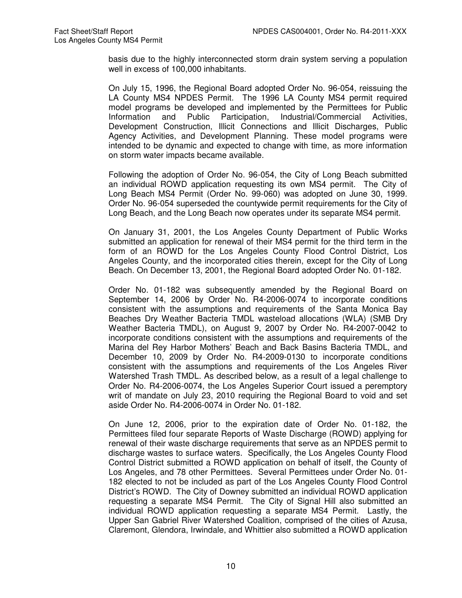basis due to the highly interconnected storm drain system serving a population well in excess of 100,000 inhabitants.

On July 15, 1996, the Regional Board adopted Order No. 96-054, reissuing the LA County MS4 NPDES Permit. The 1996 LA County MS4 permit required model programs be developed and implemented by the Permittees for Public Information and Public Participation, Industrial/Commercial Activities, Development Construction, Illicit Connections and Illicit Discharges, Public Agency Activities, and Development Planning. These model programs were intended to be dynamic and expected to change with time, as more information on storm water impacts became available.

Following the adoption of Order No. 96-054, the City of Long Beach submitted an individual ROWD application requesting its own MS4 permit. The City of Long Beach MS4 Permit (Order No. 99-060) was adopted on June 30, 1999. Order No. 96-054 superseded the countywide permit requirements for the City of Long Beach, and the Long Beach now operates under its separate MS4 permit.

On January 31, 2001, the Los Angeles County Department of Public Works submitted an application for renewal of their MS4 permit for the third term in the form of an ROWD for the Los Angeles County Flood Control District, Los Angeles County, and the incorporated cities therein, except for the City of Long Beach. On December 13, 2001, the Regional Board adopted Order No. 01-182.

Order No. 01-182 was subsequently amended by the Regional Board on September 14, 2006 by Order No. R4-2006-0074 to incorporate conditions consistent with the assumptions and requirements of the Santa Monica Bay Beaches Dry Weather Bacteria TMDL wasteload allocations (WLA) (SMB Dry Weather Bacteria TMDL), on August 9, 2007 by Order No. R4-2007-0042 to incorporate conditions consistent with the assumptions and requirements of the Marina del Rey Harbor Mothers' Beach and Back Basins Bacteria TMDL, and December 10, 2009 by Order No. R4-2009-0130 to incorporate conditions consistent with the assumptions and requirements of the Los Angeles River Watershed Trash TMDL. As described below, as a result of a legal challenge to Order No. R4-2006-0074, the Los Angeles Superior Court issued a peremptory writ of mandate on July 23, 2010 requiring the Regional Board to void and set aside Order No. R4-2006-0074 in Order No. 01-182.

On June 12, 2006, prior to the expiration date of Order No. 01-182, the Permittees filed four separate Reports of Waste Discharge (ROWD) applying for renewal of their waste discharge requirements that serve as an NPDES permit to discharge wastes to surface waters. Specifically, the Los Angeles County Flood Control District submitted a ROWD application on behalf of itself, the County of Los Angeles, and 78 other Permittees. Several Permittees under Order No. 01- 182 elected to not be included as part of the Los Angeles County Flood Control District's ROWD. The City of Downey submitted an individual ROWD application requesting a separate MS4 Permit. The City of Signal Hill also submitted an individual ROWD application requesting a separate MS4 Permit. Lastly, the Upper San Gabriel River Watershed Coalition, comprised of the cities of Azusa, Claremont, Glendora, Irwindale, and Whittier also submitted a ROWD application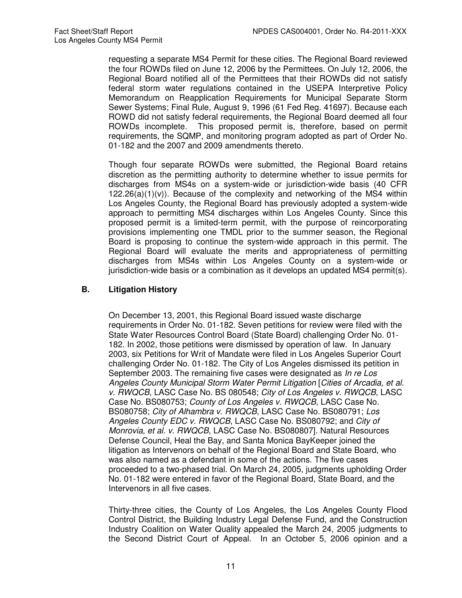requesting a separate MS4 Permit for these cities. The Regional Board reviewed the four ROWDs filed on June 12, 2006 by the Permittees. On July 12, 2006, the Regional Board notified all of the Permittees that their ROWDs did not satisfy federal storm water regulations contained in the USEPA Interpretive Policy Memorandum on Reapplication Requirements for Municipal Separate Storm Sewer Systems; Final Rule, August 9, 1996 (61 Fed Reg. 41697). Because each ROWD did not satisfy federal requirements, the Regional Board deemed all four ROWDs incomplete. This proposed permit is, therefore, based on permit requirements, the SQMP, and monitoring program adopted as part of Order No. 01-182 and the 2007 and 2009 amendments thereto.

Though four separate ROWDs were submitted, the Regional Board retains discretion as the permitting authority to determine whether to issue permits for discharges from MS4s on a system-wide or jurisdiction-wide basis (40 CFR  $122.26(a)(1)(v)$ . Because of the complexity and networking of the MS4 within Los Angeles County, the Regional Board has previously adopted a system-wide approach to permitting MS4 discharges within Los Angeles County. Since this proposed permit is a limited-term permit, with the purpose of reincorporating provisions implementing one TMDL prior to the summer season, the Regional Board is proposing to continue the system-wide approach in this permit. The Regional Board will evaluate the merits and appropriateness of permitting discharges from MS4s within Los Angeles County on a system-wide or jurisdiction-wide basis or a combination as it develops an updated MS4 permit(s).

# **B. Litigation History**

On December 13, 2001, this Regional Board issued waste discharge requirements in Order No. 01-182. Seven petitions for review were filed with the State Water Resources Control Board (State Board) challenging Order No. 01- 182. In 2002, those petitions were dismissed by operation of law. In January 2003, six Petitions for Writ of Mandate were filed in Los Angeles Superior Court challenging Order No. 01-182. The City of Los Angeles dismissed its petition in September 2003. The remaining five cases were designated as In re Los Angeles County Municipal Storm Water Permit Litigation [Cities of Arcadia, et al. v. RWQCB, LASC Case No. BS 080548; City of Los Angeles v. RWQCB, LASC Case No. BS080753; County of Los Angeles v. RWQCB, LASC Case No. BS080758; City of Alhambra v. RWQCB, LASC Case No. BS080791; Los Angeles County EDC v. RWQCB, LASC Case No. BS080792; and City of Monrovia, et al. v. RWQCB, LASC Case No. BS080807]. Natural Resources Defense Council, Heal the Bay, and Santa Monica BayKeeper joined the litigation as Intervenors on behalf of the Regional Board and State Board, who was also named as a defendant in some of the actions. The five cases proceeded to a two-phased trial. On March 24, 2005, judgments upholding Order No. 01-182 were entered in favor of the Regional Board, State Board, and the Intervenors in all five cases.

Thirty-three cities, the County of Los Angeles, the Los Angeles County Flood Control District, the Building Industry Legal Defense Fund, and the Construction Industry Coalition on Water Quality appealed the March 24, 2005 judgments to the Second District Court of Appeal. In an October 5, 2006 opinion and a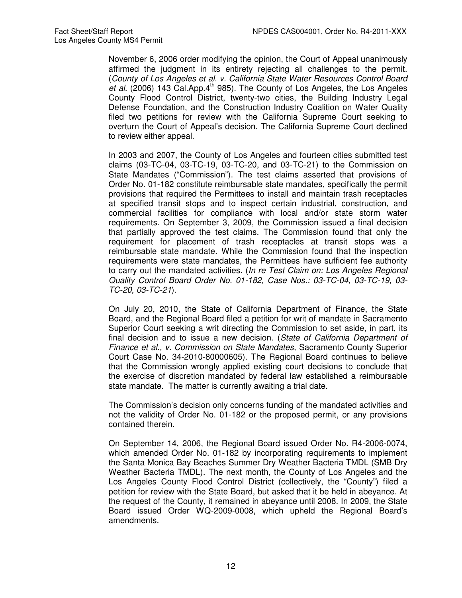November 6, 2006 order modifying the opinion, the Court of Appeal unanimously affirmed the judgment in its entirety rejecting all challenges to the permit. (County of Los Angeles et al. v. California State Water Resources Control Board et al. (2006) 143 Cal.App. $4<sup>th</sup>$  985). The County of Los Angeles, the Los Angeles County Flood Control District, twenty-two cities, the Building Industry Legal Defense Foundation, and the Construction Industry Coalition on Water Quality filed two petitions for review with the California Supreme Court seeking to overturn the Court of Appeal's decision. The California Supreme Court declined to review either appeal.

In 2003 and 2007, the County of Los Angeles and fourteen cities submitted test claims (03-TC-04, 03-TC-19, 03-TC-20, and 03-TC-21) to the Commission on State Mandates ("Commission"). The test claims asserted that provisions of Order No. 01-182 constitute reimbursable state mandates, specifically the permit provisions that required the Permittees to install and maintain trash receptacles at specified transit stops and to inspect certain industrial, construction, and commercial facilities for compliance with local and/or state storm water requirements. On September 3, 2009, the Commission issued a final decision that partially approved the test claims. The Commission found that only the requirement for placement of trash receptacles at transit stops was a reimbursable state mandate. While the Commission found that the inspection requirements were state mandates, the Permittees have sufficient fee authority to carry out the mandated activities. (In re Test Claim on: Los Angeles Regional Quality Control Board Order No. 01-182, Case Nos.: 03-TC-04, 03-TC-19, 03- TC-20, 03-TC-21).

On July 20, 2010, the State of California Department of Finance, the State Board, and the Regional Board filed a petition for writ of mandate in Sacramento Superior Court seeking a writ directing the Commission to set aside, in part, its final decision and to issue a new decision. (State of California Department of Finance et al., v. Commission on State Mandates, Sacramento County Superior Court Case No. 34-2010-80000605). The Regional Board continues to believe that the Commission wrongly applied existing court decisions to conclude that the exercise of discretion mandated by federal law established a reimbursable state mandate. The matter is currently awaiting a trial date.

The Commission's decision only concerns funding of the mandated activities and not the validity of Order No. 01-182 or the proposed permit, or any provisions contained therein.

On September 14, 2006, the Regional Board issued Order No. R4-2006-0074, which amended Order No. 01-182 by incorporating requirements to implement the Santa Monica Bay Beaches Summer Dry Weather Bacteria TMDL (SMB Dry Weather Bacteria TMDL). The next month, the County of Los Angeles and the Los Angeles County Flood Control District (collectively, the "County") filed a petition for review with the State Board, but asked that it be held in abeyance. At the request of the County, it remained in abeyance until 2008. In 2009, the State Board issued Order WQ-2009-0008, which upheld the Regional Board's amendments.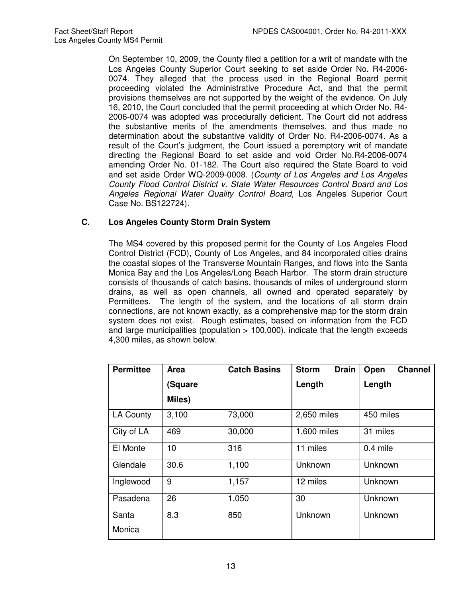On September 10, 2009, the County filed a petition for a writ of mandate with the Los Angeles County Superior Court seeking to set aside Order No. R4-2006- 0074. They alleged that the process used in the Regional Board permit proceeding violated the Administrative Procedure Act, and that the permit provisions themselves are not supported by the weight of the evidence. On July 16, 2010, the Court concluded that the permit proceeding at which Order No. R4- 2006-0074 was adopted was procedurally deficient. The Court did not address the substantive merits of the amendments themselves, and thus made no determination about the substantive validity of Order No. R4-2006-0074. As a result of the Court's judgment, the Court issued a peremptory writ of mandate directing the Regional Board to set aside and void Order No.R4-2006-0074 amending Order No. 01-182. The Court also required the State Board to void and set aside Order WQ-2009-0008. (County of Los Angeles and Los Angeles County Flood Control District v. State Water Resources Control Board and Los Angeles Regional Water Quality Control Board, Los Angeles Superior Court Case No. BS122724).

# **C. Los Angeles County Storm Drain System**

The MS4 covered by this proposed permit for the County of Los Angeles Flood Control District (FCD), County of Los Angeles, and 84 incorporated cities drains the coastal slopes of the Transverse Mountain Ranges, and flows into the Santa Monica Bay and the Los Angeles/Long Beach Harbor. The storm drain structure consists of thousands of catch basins, thousands of miles of underground storm drains, as well as open channels, all owned and operated separately by Permittees. The length of the system, and the locations of all storm drain connections, are not known exactly, as a comprehensive map for the storm drain system does not exist. Rough estimates, based on information from the FCD and large municipalities (population  $> 100,000$ ), indicate that the length exceeds 4,300 miles, as shown below.

| <b>Permittee</b> | <b>Area</b> | <b>Catch Basins</b> | <b>Storm</b><br><b>Drain</b> | Open<br><b>Channel</b> |  |
|------------------|-------------|---------------------|------------------------------|------------------------|--|
|                  | (Square     |                     | Length                       | Length                 |  |
|                  | Miles)      |                     |                              |                        |  |
| <b>LA County</b> | 3,100       | 73,000              | 2,650 miles                  | 450 miles              |  |
| City of LA       | 469         | 30,000              | 1,600 miles                  | 31 miles               |  |
| El Monte         | 10          | 316                 | 11 miles                     | $0.4$ mile             |  |
| Glendale         | 30.6        | 1,100               | Unknown                      | Unknown                |  |
| Inglewood        | 9           | 1,157               | 12 miles                     | Unknown                |  |
| Pasadena         | 26          | 1,050               | 30                           | Unknown                |  |
| Santa<br>Monica  | 8.3         | 850                 | Unknown                      | Unknown                |  |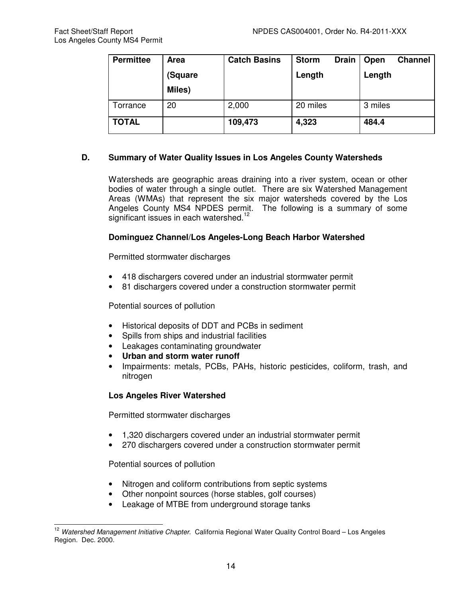| <b>Permittee</b> | <b>Area</b> | <b>Catch Basins</b> | <b>Storm</b> | <b>Drain</b> | Open    | <b>Channel</b> |
|------------------|-------------|---------------------|--------------|--------------|---------|----------------|
|                  | (Square     |                     | Length       |              | Length  |                |
|                  | Miles)      |                     |              |              |         |                |
| Torrance         | 20          | 2,000               | 20 miles     |              | 3 miles |                |
| TOTAL            |             | 109,473             | 4,323        |              | 484.4   |                |

# **D. Summary of Water Quality Issues in Los Angeles County Watersheds**

Watersheds are geographic areas draining into a river system, ocean or other bodies of water through a single outlet. There are six Watershed Management Areas (WMAs) that represent the six major watersheds covered by the Los Angeles County MS4 NPDES permit. The following is a summary of some significant issues in each watershed.<sup>12</sup>

# **Dominguez Channel/Los Angeles-Long Beach Harbor Watershed**

Permitted stormwater discharges

- 418 dischargers covered under an industrial stormwater permit
- 81 dischargers covered under a construction stormwater permit

Potential sources of pollution

- Historical deposits of DDT and PCBs in sediment
- Spills from ships and industrial facilities
- Leakages contaminating groundwater
- **Urban and storm water runoff**
- Impairments: metals, PCBs, PAHs, historic pesticides, coliform, trash, and nitrogen

## **Los Angeles River Watershed**

Permitted stormwater discharges

- 1,320 dischargers covered under an industrial stormwater permit
- 270 dischargers covered under a construction stormwater permit

Potential sources of pollution

- Nitrogen and coliform contributions from septic systems
- Other nonpoint sources (horse stables, golf courses)
- Leakage of MTBE from underground storage tanks

 $\overline{\phantom{a}}$ <sup>12</sup> Watershed Management Initiative Chapter. California Regional Water Quality Control Board – Los Angeles Region. Dec. 2000.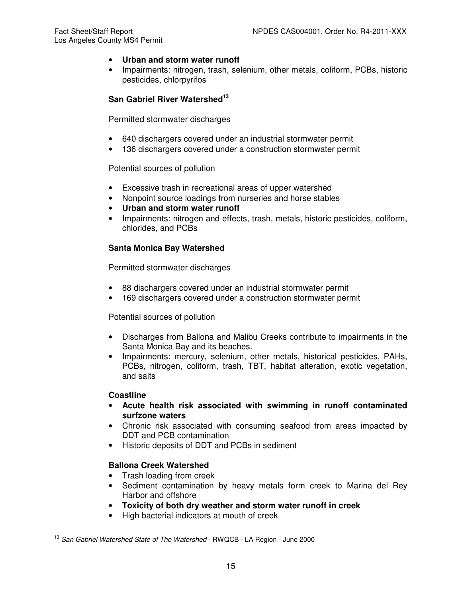- **Urban and storm water runoff**
- Impairments: nitrogen, trash, selenium, other metals, coliform, PCBs, historic pesticides, chlorpyrifos

# **San Gabriel River Watershed<sup>13</sup>**

Permitted stormwater discharges

- 640 dischargers covered under an industrial stormwater permit
- 136 dischargers covered under a construction stormwater permit

Potential sources of pollution

- Excessive trash in recreational areas of upper watershed
- Nonpoint source loadings from nurseries and horse stables
- **Urban and storm water runoff**
- Impairments: nitrogen and effects, trash, metals, historic pesticides, coliform, chlorides, and PCBs

# **Santa Monica Bay Watershed**

Permitted stormwater discharges

- 88 dischargers covered under an industrial stormwater permit
- 169 dischargers covered under a construction stormwater permit

Potential sources of pollution

- Discharges from Ballona and Malibu Creeks contribute to impairments in the Santa Monica Bay and its beaches.
- Impairments: mercury, selenium, other metals, historical pesticides, PAHs, PCBs, nitrogen, coliform, trash, TBT, habitat alteration, exotic vegetation, and salts

## **Coastline**

- **Acute health risk associated with swimming in runoff contaminated surfzone waters**
- Chronic risk associated with consuming seafood from areas impacted by DDT and PCB contamination
- Historic deposits of DDT and PCBs in sediment

# **Ballona Creek Watershed**

- Trash loading from creek
- Sediment contamination by heavy metals form creek to Marina del Rey Harbor and offshore
- **Toxicity of both dry weather and storm water runoff in creek**
- High bacterial indicators at mouth of creek

 $\overline{\phantom{a}}$ <sup>13</sup> San Gabriel Watershed State of The Watershed - RWQCB - LA Region - June 2000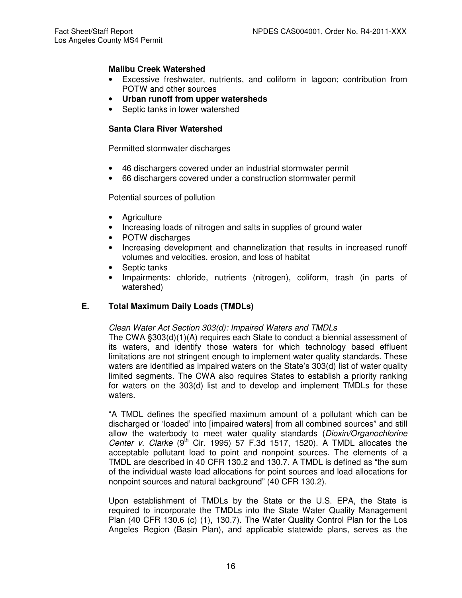## **Malibu Creek Watershed**

- Excessive freshwater, nutrients, and coliform in lagoon; contribution from POTW and other sources
- **Urban runoff from upper watersheds**
- Septic tanks in lower watershed

## **Santa Clara River Watershed**

Permitted stormwater discharges

- 46 dischargers covered under an industrial stormwater permit
- 66 dischargers covered under a construction stormwater permit

Potential sources of pollution

- Agriculture
- Increasing loads of nitrogen and salts in supplies of ground water
- POTW discharges
- Increasing development and channelization that results in increased runoff volumes and velocities, erosion, and loss of habitat
- Septic tanks
- Impairments: chloride, nutrients (nitrogen), coliform, trash (in parts of watershed)

## **E. Total Maximum Daily Loads (TMDLs)**

## Clean Water Act Section 303(d): Impaired Waters and TMDLs

The CWA §303(d)(1)(A) requires each State to conduct a biennial assessment of its waters, and identify those waters for which technology based effluent limitations are not stringent enough to implement water quality standards. These waters are identified as impaired waters on the State's 303(d) list of water quality limited segments. The CWA also requires States to establish a priority ranking for waters on the 303(d) list and to develop and implement TMDLs for these waters.

"A TMDL defines the specified maximum amount of a pollutant which can be discharged or 'loaded' into [impaired waters] from all combined sources" and still allow the waterbody to meet water quality standards (Dioxin/Organochlorine Center v. Clarke  $(9^{th}$  Cir. 1995) 57 F.3d 1517, 1520). A TMDL allocates the acceptable pollutant load to point and nonpoint sources. The elements of a TMDL are described in 40 CFR 130.2 and 130.7. A TMDL is defined as "the sum of the individual waste load allocations for point sources and load allocations for nonpoint sources and natural background" (40 CFR 130.2).

Upon establishment of TMDLs by the State or the U.S. EPA, the State is required to incorporate the TMDLs into the State Water Quality Management Plan (40 CFR 130.6 (c) (1), 130.7). The Water Quality Control Plan for the Los Angeles Region (Basin Plan), and applicable statewide plans, serves as the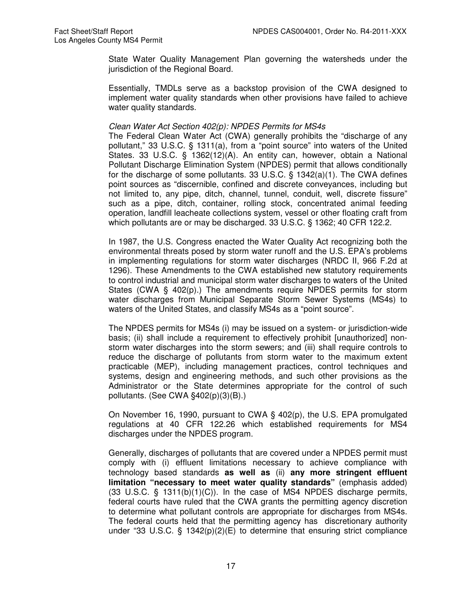State Water Quality Management Plan governing the watersheds under the jurisdiction of the Regional Board.

Essentially, TMDLs serve as a backstop provision of the CWA designed to implement water quality standards when other provisions have failed to achieve water quality standards.

#### Clean Water Act Section 402(p): NPDES Permits for MS4s

The Federal Clean Water Act (CWA) generally prohibits the "discharge of any pollutant," 33 U.S.C. § 1311(a), from a "point source" into waters of the United States. 33 U.S.C. § 1362(12)(A). An entity can, however, obtain a National Pollutant Discharge Elimination System (NPDES) permit that allows conditionally for the discharge of some pollutants. 33 U.S.C. § 1342(a)(1). The CWA defines point sources as "discernible, confined and discrete conveyances, including but not limited to, any pipe, ditch, channel, tunnel, conduit, well, discrete fissure" such as a pipe, ditch, container, rolling stock, concentrated animal feeding operation, landfill leacheate collections system, vessel or other floating craft from which pollutants are or may be discharged. 33 U.S.C. § 1362; 40 CFR 122.2.

In 1987, the U.S. Congress enacted the Water Quality Act recognizing both the environmental threats posed by storm water runoff and the U.S. EPA's problems in implementing regulations for storm water discharges (NRDC II, 966 F.2d at 1296). These Amendments to the CWA established new statutory requirements to control industrial and municipal storm water discharges to waters of the United States (CWA  $\S$  402(p).) The amendments require NPDES permits for storm water discharges from Municipal Separate Storm Sewer Systems (MS4s) to waters of the United States, and classify MS4s as a "point source".

The NPDES permits for MS4s (i) may be issued on a system- or jurisdiction-wide basis; (ii) shall include a requirement to effectively prohibit [unauthorized] nonstorm water discharges into the storm sewers; and (iii) shall require controls to reduce the discharge of pollutants from storm water to the maximum extent practicable (MEP), including management practices, control techniques and systems, design and engineering methods, and such other provisions as the Administrator or the State determines appropriate for the control of such pollutants. (See CWA §402(p)(3)(B).)

On November 16, 1990, pursuant to CWA § 402(p), the U.S. EPA promulgated regulations at 40 CFR 122.26 which established requirements for MS4 discharges under the NPDES program.

Generally, discharges of pollutants that are covered under a NPDES permit must comply with (i) effluent limitations necessary to achieve compliance with technology based standards **as well as** (ii) **any more stringent effluent limitation "necessary to meet water quality standards"** (emphasis added)  $(33 \text{ U.S.C. } \S 1311(b)(1)(C))$ . In the case of MS4 NPDES discharge permits, federal courts have ruled that the CWA grants the permitting agency discretion to determine what pollutant controls are appropriate for discharges from MS4s. The federal courts held that the permitting agency has discretionary authority under "33 U.S.C. § 1342(p)(2)(E) to determine that ensuring strict compliance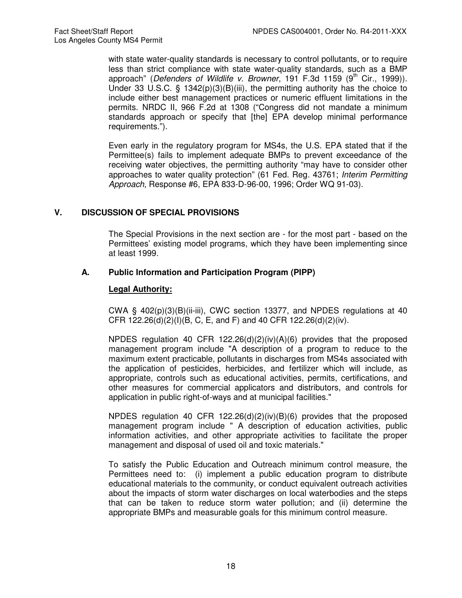with state water-quality standards is necessary to control pollutants, or to require less than strict compliance with state water-quality standards, such as a BMP approach" (Defenders of Wildlife v. Browner, 191 F.3d 1159  $(9<sup>th</sup>$  Cir., 1999)). Under 33 U.S.C. § 1342(p)(3)(B)(iii), the permitting authority has the choice to include either best management practices or numeric effluent limitations in the permits. NRDC II, 966 F.2d at 1308 ("Congress did not mandate a minimum standards approach or specify that [the] EPA develop minimal performance requirements.").

Even early in the regulatory program for MS4s, the U.S. EPA stated that if the Permittee(s) fails to implement adequate BMPs to prevent exceedance of the receiving water objectives, the permitting authority "may have to consider other approaches to water quality protection" (61 Fed. Reg. 43761; Interim Permitting Approach, Response #6, EPA 833-D-96-00, 1996; Order WQ 91-03).

## **V. DISCUSSION OF SPECIAL PROVISIONS**

The Special Provisions in the next section are - for the most part - based on the Permittees' existing model programs, which they have been implementing since at least 1999.

#### **A. Public Information and Participation Program (PIPP)**

#### **Legal Authority:**

CWA §  $402(p)(3)(B)(ii-iii)$ , CWC section 13377, and NPDES regulations at 40 CFR 122.26(d)(2)(I)(B, C, E, and F) and 40 CFR 122.26(d)(2)(iv).

NPDES regulation 40 CFR 122.26(d)(2)(iv)(A)(6) provides that the proposed management program include "A description of a program to reduce to the maximum extent practicable, pollutants in discharges from MS4s associated with the application of pesticides, herbicides, and fertilizer which will include, as appropriate, controls such as educational activities, permits, certifications, and other measures for commercial applicators and distributors, and controls for application in public right-of-ways and at municipal facilities."

NPDES regulation 40 CFR 122.26(d)(2)(iv)(B)(6) provides that the proposed management program include " A description of education activities, public information activities, and other appropriate activities to facilitate the proper management and disposal of used oil and toxic materials."

To satisfy the Public Education and Outreach minimum control measure, the Permittees need to: (i) implement a public education program to distribute educational materials to the community, or conduct equivalent outreach activities about the impacts of storm water discharges on local waterbodies and the steps that can be taken to reduce storm water pollution; and (ii) determine the appropriate BMPs and measurable goals for this minimum control measure.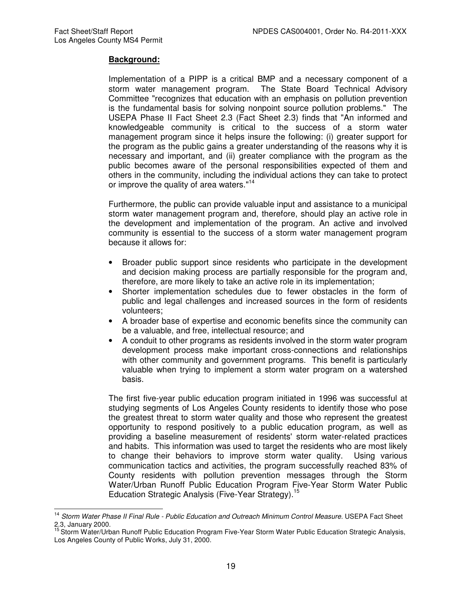## **Background:**

Implementation of a PIPP is a critical BMP and a necessary component of a storm water management program. The State Board Technical Advisory Committee "recognizes that education with an emphasis on pollution prevention is the fundamental basis for solving nonpoint source pollution problems." The USEPA Phase II Fact Sheet 2.3 (Fact Sheet 2.3) finds that "An informed and knowledgeable community is critical to the success of a storm water management program since it helps insure the following: (i) greater support for the program as the public gains a greater understanding of the reasons why it is necessary and important, and (ii) greater compliance with the program as the public becomes aware of the personal responsibilities expected of them and others in the community, including the individual actions they can take to protect or improve the quality of area waters."<sup>14</sup>

Furthermore, the public can provide valuable input and assistance to a municipal storm water management program and, therefore, should play an active role in the development and implementation of the program. An active and involved community is essential to the success of a storm water management program because it allows for:

- Broader public support since residents who participate in the development and decision making process are partially responsible for the program and, therefore, are more likely to take an active role in its implementation;
- Shorter implementation schedules due to fewer obstacles in the form of public and legal challenges and increased sources in the form of residents volunteers;
- A broader base of expertise and economic benefits since the community can be a valuable, and free, intellectual resource; and
- A conduit to other programs as residents involved in the storm water program development process make important cross-connections and relationships with other community and government programs. This benefit is particularly valuable when trying to implement a storm water program on a watershed basis.

The first five-year public education program initiated in 1996 was successful at studying segments of Los Angeles County residents to identify those who pose the greatest threat to storm water quality and those who represent the greatest opportunity to respond positively to a public education program, as well as providing a baseline measurement of residents' storm water-related practices and habits. This information was used to target the residents who are most likely to change their behaviors to improve storm water quality. Using various communication tactics and activities, the program successfully reached 83% of County residents with pollution prevention messages through the Storm Water/Urban Runoff Public Education Program Five-Year Storm Water Public Education Strategic Analysis (Five-Year Strategy).<sup>15</sup>

 $\overline{\phantom{a}}$ <sup>14</sup> Storm Water Phase II Final Rule - Public Education and Outreach Minimum Control Measure. USEPA Fact Sheet 2.3, January 2000.

<sup>&</sup>lt;sup>15</sup> Storm Water/Urban Runoff Public Education Program Five-Year Storm Water Public Education Strategic Analysis, Los Angeles County of Public Works, July 31, 2000.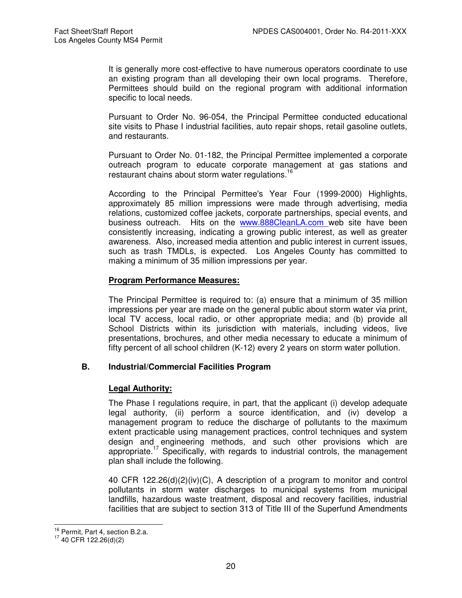It is generally more cost-effective to have numerous operators coordinate to use an existing program than all developing their own local programs. Therefore, Permittees should build on the regional program with additional information specific to local needs.

Pursuant to Order No. 96-054, the Principal Permittee conducted educational site visits to Phase I industrial facilities, auto repair shops, retail gasoline outlets, and restaurants.

Pursuant to Order No. 01-182, the Principal Permittee implemented a corporate outreach program to educate corporate management at gas stations and restaurant chains about storm water regulations.<sup>16</sup>

According to the Principal Permittee's Year Four (1999-2000) Highlights, approximately 85 million impressions were made through advertising, media relations, customized coffee jackets, corporate partnerships, special events, and business outreach. Hits on the www.888CleanLA.com web site have been consistently increasing, indicating a growing public interest, as well as greater awareness. Also, increased media attention and public interest in current issues, such as trash TMDLs, is expected. Los Angeles County has committed to making a minimum of 35 million impressions per year.

# **Program Performance Measures:**

The Principal Permittee is required to: (a) ensure that a minimum of 35 million impressions per year are made on the general public about storm water via print, local TV access, local radio, or other appropriate media; and (b) provide all School Districts within its jurisdiction with materials, including videos, live presentations, brochures, and other media necessary to educate a minimum of fifty percent of all school children (K-12) every 2 years on storm water pollution.

## **B. Industrial/Commercial Facilities Program**

## **Legal Authority:**

The Phase I regulations require, in part, that the applicant (i) develop adequate legal authority, (ii) perform a source identification, and (iv) develop a management program to reduce the discharge of pollutants to the maximum extent practicable using management practices, control techniques and system design and engineering methods, and such other provisions which are appropriate.<sup>17</sup> Specifically, with regards to industrial controls, the management plan shall include the following.

40 CFR 122.26(d)(2)(iv)(C), A description of a program to monitor and control pollutants in storm water discharges to municipal systems from municipal landfills, hazardous waste treatment, disposal and recovery facilities, industrial facilities that are subject to section 313 of Title III of the Superfund Amendments

j  $^{16}_{12}$  Permit, Part 4, section B.2.a.

 $17$  40 CFR 122.26(d)(2)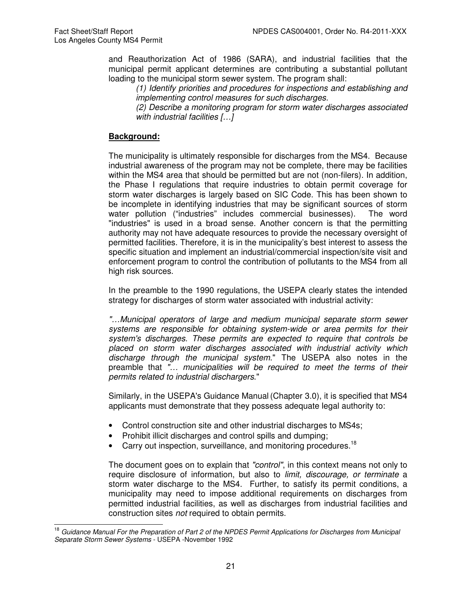and Reauthorization Act of 1986 (SARA), and industrial facilities that the municipal permit applicant determines are contributing a substantial pollutant loading to the municipal storm sewer system. The program shall:

(1) Identify priorities and procedures for inspections and establishing and implementing control measures for such discharges.

(2) Describe a monitoring program for storm water discharges associated with industrial facilities [...]

# **Background:**

The municipality is ultimately responsible for discharges from the MS4. Because industrial awareness of the program may not be complete, there may be facilities within the MS4 area that should be permitted but are not (non-filers). In addition, the Phase I regulations that require industries to obtain permit coverage for storm water discharges is largely based on SIC Code. This has been shown to be incomplete in identifying industries that may be significant sources of storm water pollution ("industries" includes commercial businesses). The word "industries" is used in a broad sense. Another concern is that the permitting authority may not have adequate resources to provide the necessary oversight of permitted facilities. Therefore, it is in the municipality's best interest to assess the specific situation and implement an industrial/commercial inspection/site visit and enforcement program to control the contribution of pollutants to the MS4 from all high risk sources.

In the preamble to the 1990 regulations, the USEPA clearly states the intended strategy for discharges of storm water associated with industrial activity:

"…Municipal operators of large and medium municipal separate storm sewer systems are responsible for obtaining system-wide or area permits for their system's discharges. These permits are expected to require that controls be placed on storm water discharges associated with industrial activity which discharge through the municipal system." The USEPA also notes in the preamble that "… municipalities will be required to meet the terms of their permits related to industrial dischargers."

Similarly, in the USEPA's Guidance Manual (Chapter 3.0), it is specified that MS4 applicants must demonstrate that they possess adequate legal authority to:

- Control construction site and other industrial discharges to MS4s;
- Prohibit illicit discharges and control spills and dumping;
- Carry out inspection, surveillance, and monitoring procedures.<sup>18</sup>

The document goes on to explain that "control", in this context means not only to require disclosure of information, but also to *limit, discourage, or terminate* a storm water discharge to the MS4. Further, to satisfy its permit conditions, a municipality may need to impose additional requirements on discharges from permitted industrial facilities, as well as discharges from industrial facilities and construction sites not required to obtain permits.

 $\overline{\phantom{a}}$ Guidance Manual For the Preparation of Part 2 of the NPDES Permit Applications for Discharges from Municipal Separate Storm Sewer Systems - USEPA -November 1992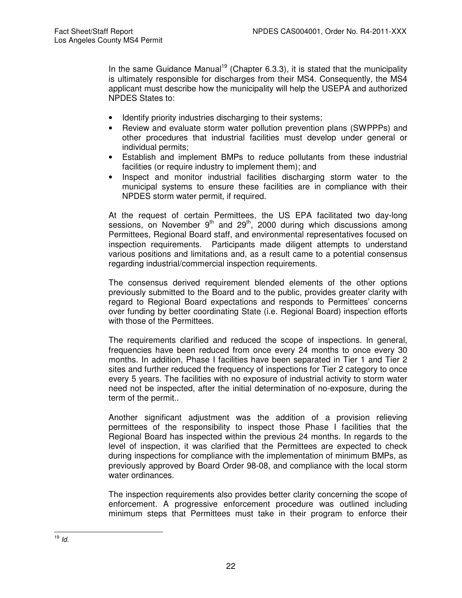In the same Guidance Manual<sup>19</sup> (Chapter 6.3.3), it is stated that the municipality is ultimately responsible for discharges from their MS4. Consequently, the MS4 applicant must describe how the municipality will help the USEPA and authorized NPDES States to:

- Identify priority industries discharging to their systems;
- Review and evaluate storm water pollution prevention plans (SWPPPs) and other procedures that industrial facilities must develop under general or individual permits;
- Establish and implement BMPs to reduce pollutants from these industrial facilities (or require industry to implement them); and
- Inspect and monitor industrial facilities discharging storm water to the municipal systems to ensure these facilities are in compliance with their NPDES storm water permit, if required.

At the request of certain Permittees, the US EPA facilitated two day-long sessions, on November  $9<sup>th</sup>$  and  $29<sup>th</sup>$ , 2000 during which discussions among Permittees, Regional Board staff, and environmental representatives focused on inspection requirements. Participants made diligent attempts to understand various positions and limitations and, as a result came to a potential consensus regarding industrial/commercial inspection requirements.

The consensus derived requirement blended elements of the other options previously submitted to the Board and to the public, provides greater clarity with regard to Regional Board expectations and responds to Permittees' concerns over funding by better coordinating State (i.e. Regional Board) inspection efforts with those of the Permittees.

The requirements clarified and reduced the scope of inspections. In general, frequencies have been reduced from once every 24 months to once every 30 months. In addition, Phase I facilities have been separated in Tier 1 and Tier 2 sites and further reduced the frequency of inspections for Tier 2 category to once every 5 years. The facilities with no exposure of industrial activity to storm water need not be inspected, after the initial determination of no-exposure, during the term of the permit..

Another significant adjustment was the addition of a provision relieving permittees of the responsibility to inspect those Phase I facilities that the Regional Board has inspected within the previous 24 months. In regards to the level of inspection, it was clarified that the Permittees are expected to check during inspections for compliance with the implementation of minimum BMPs, as previously approved by Board Order 98-08, and compliance with the local storm water ordinances.

The inspection requirements also provides better clarity concerning the scope of enforcement. A progressive enforcement procedure was outlined including minimum steps that Permittees must take in their program to enforce their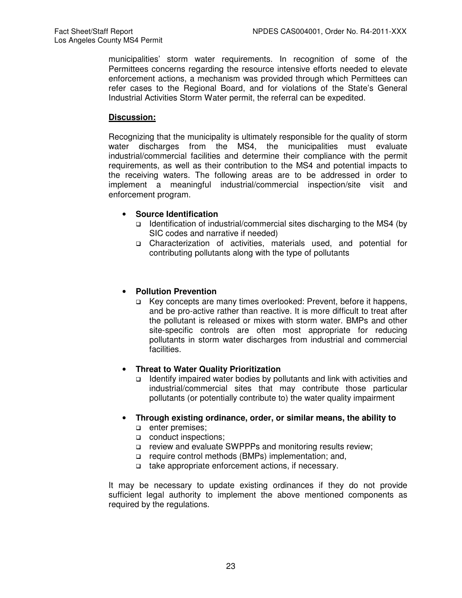municipalities' storm water requirements. In recognition of some of the Permittees concerns regarding the resource intensive efforts needed to elevate enforcement actions, a mechanism was provided through which Permittees can refer cases to the Regional Board, and for violations of the State's General Industrial Activities Storm Water permit, the referral can be expedited.

# **Discussion:**

Recognizing that the municipality is ultimately responsible for the quality of storm water discharges from the MS4, the municipalities must evaluate industrial/commercial facilities and determine their compliance with the permit requirements, as well as their contribution to the MS4 and potential impacts to the receiving waters. The following areas are to be addressed in order to implement a meaningful industrial/commercial inspection/site visit and enforcement program.

# • **Source Identification**

- $\Box$  Identification of industrial/commercial sites discharging to the MS4 (by SIC codes and narrative if needed)
- Characterization of activities, materials used, and potential for contributing pollutants along with the type of pollutants

# • **Pollution Prevention**

 Key concepts are many times overlooked: Prevent, before it happens, and be pro-active rather than reactive. It is more difficult to treat after the pollutant is released or mixes with storm water. BMPs and other site-specific controls are often most appropriate for reducing pollutants in storm water discharges from industrial and commercial facilities.

## • **Threat to Water Quality Prioritization**

- $\Box$  Identify impaired water bodies by pollutants and link with activities and industrial/commercial sites that may contribute those particular pollutants (or potentially contribute to) the water quality impairment
- **Through existing ordinance, order, or similar means, the ability to** 
	- **a** enter premises;
	- conduct inspections:
	- review and evaluate SWPPPs and monitoring results review;
	- □ require control methods (BMPs) implementation; and,
	- take appropriate enforcement actions, if necessary.

It may be necessary to update existing ordinances if they do not provide sufficient legal authority to implement the above mentioned components as required by the regulations.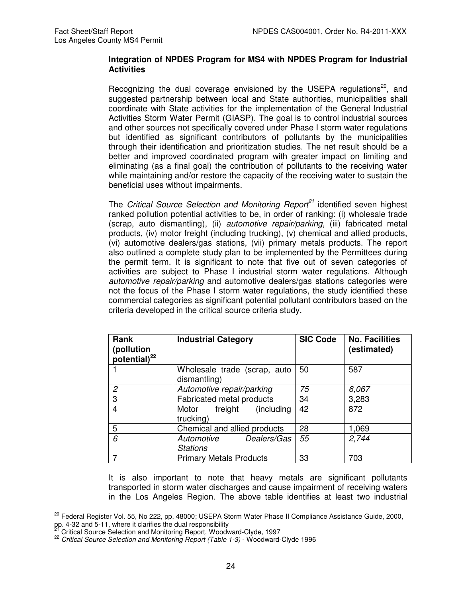## **Integration of NPDES Program for MS4 with NPDES Program for Industrial Activities**

Recognizing the dual coverage envisioned by the USEPA regulations $20$ , and suggested partnership between local and State authorities, municipalities shall coordinate with State activities for the implementation of the General Industrial Activities Storm Water Permit (GIASP). The goal is to control industrial sources and other sources not specifically covered under Phase I storm water regulations but identified as significant contributors of pollutants by the municipalities through their identification and prioritization studies. The net result should be a better and improved coordinated program with greater impact on limiting and eliminating (as a final goal) the contribution of pollutants to the receiving water while maintaining and/or restore the capacity of the receiving water to sustain the beneficial uses without impairments.

The Critical Source Selection and Monitoring Report<sup>21</sup> identified seven highest ranked pollution potential activities to be, in order of ranking: (i) wholesale trade (scrap, auto dismantling), (ii) automotive repair/parking, (iii) fabricated metal products, (iv) motor freight (including trucking), (v) chemical and allied products, (vi) automotive dealers/gas stations, (vii) primary metals products. The report also outlined a complete study plan to be implemented by the Permittees during the permit term. It is significant to note that five out of seven categories of activities are subject to Phase I industrial storm water regulations. Although automotive repair/parking and automotive dealers/gas stations categories were not the focus of the Phase I storm water regulations, the study identified these commercial categories as significant potential pollutant contributors based on the criteria developed in the critical source criteria study.

| <b>Rank</b><br>(pollution<br>potential) $^{22}$ | <b>Industrial Category</b>                   | <b>SIC Code</b> | <b>No. Facilities</b><br>(estimated) |
|-------------------------------------------------|----------------------------------------------|-----------------|--------------------------------------|
|                                                 | Wholesale trade (scrap, auto<br>dismantling) | 50              | 587                                  |
| 2                                               | Automotive repair/parking                    | 75              | 6,067                                |
| 3                                               | <b>Fabricated metal products</b>             | 34              | 3,283                                |
| 4                                               | (including)<br>freight<br>Motor<br>trucking) | 42              | 872                                  |
| 5                                               | Chemical and allied products                 | 28              | 1,069                                |
| 6                                               | Automotive<br>Dealers/Gas<br><b>Stations</b> | 55              | 2,744                                |
|                                                 | <b>Primary Metals Products</b>               | 33              | 703                                  |

It is also important to note that heavy metals are significant pollutants transported in storm water discharges and cause impairment of receiving waters in the Los Angeles Region. The above table identifies at least two industrial

 $\overline{a}$ <sup>20</sup> Federal Register Vol. 55, No 222, pp. 48000; USEPA Storm Water Phase II Compliance Assistance Guide, 2000, pp. 4-32 and 5-11, where it clarifies the dual responsibility

<sup>21</sup> Critical Source Selection and Monitoring Report, Woodward-Clyde, 1997

<sup>&</sup>lt;sup>22</sup> Critical Source Selection and Monitoring Report (Table 1-3) - Woodward-Clyde 1996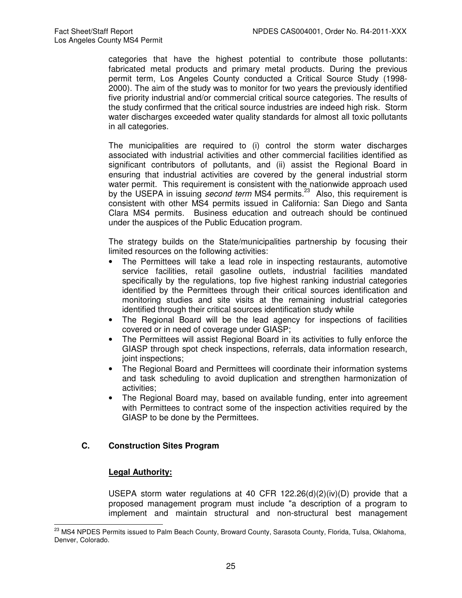categories that have the highest potential to contribute those pollutants: fabricated metal products and primary metal products. During the previous permit term, Los Angeles County conducted a Critical Source Study (1998- 2000). The aim of the study was to monitor for two years the previously identified five priority industrial and/or commercial critical source categories. The results of the study confirmed that the critical source industries are indeed high risk. Storm water discharges exceeded water quality standards for almost all toxic pollutants in all categories.

The municipalities are required to (i) control the storm water discharges associated with industrial activities and other commercial facilities identified as significant contributors of pollutants, and (ii) assist the Regional Board in ensuring that industrial activities are covered by the general industrial storm water permit. This requirement is consistent with the nationwide approach used by the USEPA in issuing second term MS4 permits.<sup>23</sup> Also, this requirement is consistent with other MS4 permits issued in California: San Diego and Santa Clara MS4 permits. Business education and outreach should be continued under the auspices of the Public Education program.

The strategy builds on the State/municipalities partnership by focusing their limited resources on the following activities:

- The Permittees will take a lead role in inspecting restaurants, automotive service facilities, retail gasoline outlets, industrial facilities mandated specifically by the regulations, top five highest ranking industrial categories identified by the Permittees through their critical sources identification and monitoring studies and site visits at the remaining industrial categories identified through their critical sources identification study while
- The Regional Board will be the lead agency for inspections of facilities covered or in need of coverage under GIASP;
- The Permittees will assist Regional Board in its activities to fully enforce the GIASP through spot check inspections, referrals, data information research, joint inspections;
- The Regional Board and Permittees will coordinate their information systems and task scheduling to avoid duplication and strengthen harmonization of activities;
- The Regional Board may, based on available funding, enter into agreement with Permittees to contract some of the inspection activities required by the GIASP to be done by the Permittees.

# **C. Construction Sites Program**

# **Legal Authority:**

USEPA storm water regulations at 40 CFR 122.26(d)(2)(iv)(D) provide that a proposed management program must include "a description of a program to implement and maintain structural and non-structural best management

 $\overline{a}$ <sup>23</sup> MS4 NPDES Permits issued to Palm Beach County, Broward County, Sarasota County, Florida, Tulsa, Oklahoma, Denver, Colorado.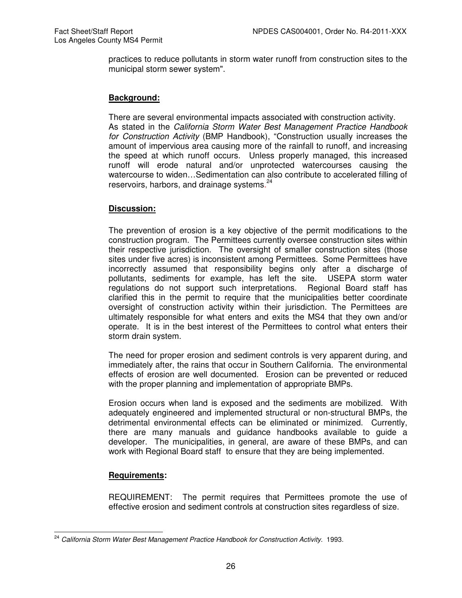practices to reduce pollutants in storm water runoff from construction sites to the municipal storm sewer system".

#### **Background:**

There are several environmental impacts associated with construction activity. As stated in the California Storm Water Best Management Practice Handbook for Construction Activity (BMP Handbook), "Construction usually increases the amount of impervious area causing more of the rainfall to runoff, and increasing the speed at which runoff occurs. Unless properly managed, this increased runoff will erode natural and/or unprotected watercourses causing the watercourse to widen…Sedimentation can also contribute to accelerated filling of reservoirs, harbors, and drainage systems.<sup>24</sup>

## **Discussion:**

The prevention of erosion is a key objective of the permit modifications to the construction program. The Permittees currently oversee construction sites within their respective jurisdiction. The oversight of smaller construction sites (those sites under five acres) is inconsistent among Permittees. Some Permittees have incorrectly assumed that responsibility begins only after a discharge of pollutants, sediments for example, has left the site. USEPA storm water regulations do not support such interpretations. Regional Board staff has clarified this in the permit to require that the municipalities better coordinate oversight of construction activity within their jurisdiction. The Permittees are ultimately responsible for what enters and exits the MS4 that they own and/or operate. It is in the best interest of the Permittees to control what enters their storm drain system.

The need for proper erosion and sediment controls is very apparent during, and immediately after, the rains that occur in Southern California. The environmental effects of erosion are well documented. Erosion can be prevented or reduced with the proper planning and implementation of appropriate BMPs.

Erosion occurs when land is exposed and the sediments are mobilized. With adequately engineered and implemented structural or non-structural BMPs, the detrimental environmental effects can be eliminated or minimized. Currently, there are many manuals and guidance handbooks available to guide a developer. The municipalities, in general, are aware of these BMPs, and can work with Regional Board staff to ensure that they are being implemented.

## **Requirements:**

REQUIREMENT: The permit requires that Permittees promote the use of effective erosion and sediment controls at construction sites regardless of size.

 $\overline{a}$ <sup>24</sup> California Storm Water Best Management Practice Handbook for Construction Activity. 1993.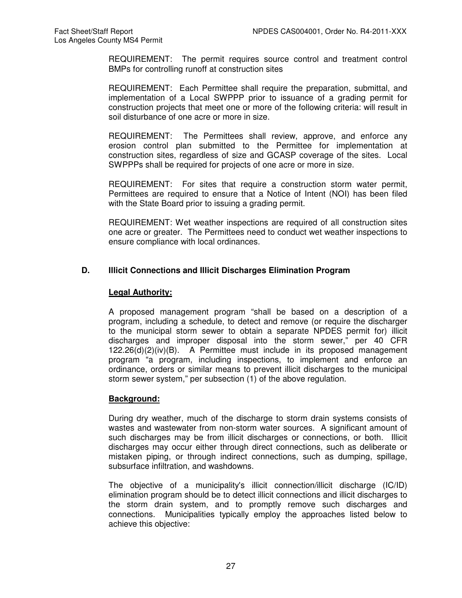REQUIREMENT: The permit requires source control and treatment control BMPs for controlling runoff at construction sites

REQUIREMENT: Each Permittee shall require the preparation, submittal, and implementation of a Local SWPPP prior to issuance of a grading permit for construction projects that meet one or more of the following criteria: will result in soil disturbance of one acre or more in size.

REQUIREMENT: The Permittees shall review, approve, and enforce any erosion control plan submitted to the Permittee for implementation at construction sites, regardless of size and GCASP coverage of the sites. Local SWPPPs shall be required for projects of one acre or more in size.

REQUIREMENT: For sites that require a construction storm water permit, Permittees are required to ensure that a Notice of Intent (NOI) has been filed with the State Board prior to issuing a grading permit.

REQUIREMENT: Wet weather inspections are required of all construction sites one acre or greater. The Permittees need to conduct wet weather inspections to ensure compliance with local ordinances.

# **D. Illicit Connections and Illicit Discharges Elimination Program**

# **Legal Authority:**

A proposed management program "shall be based on a description of a program, including a schedule, to detect and remove (or require the discharger to the municipal storm sewer to obtain a separate NPDES permit for) illicit discharges and improper disposal into the storm sewer," per 40 CFR 122.26(d)(2)(iv)(B). A Permittee must include in its proposed management program "a program, including inspections, to implement and enforce an ordinance, orders or similar means to prevent illicit discharges to the municipal storm sewer system," per subsection (1) of the above regulation.

## **Background:**

During dry weather, much of the discharge to storm drain systems consists of wastes and wastewater from non-storm water sources. A significant amount of such discharges may be from illicit discharges or connections, or both. Illicit discharges may occur either through direct connections, such as deliberate or mistaken piping, or through indirect connections, such as dumping, spillage, subsurface infiltration, and washdowns.

The objective of a municipality's illicit connection/illicit discharge (IC/ID) elimination program should be to detect illicit connections and illicit discharges to the storm drain system, and to promptly remove such discharges and connections. Municipalities typically employ the approaches listed below to achieve this objective: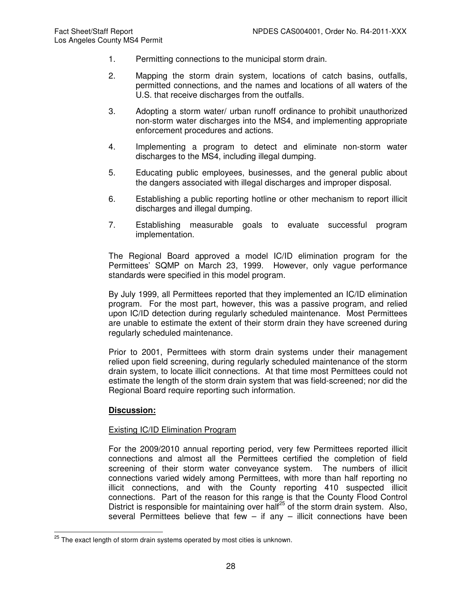- 1. Permitting connections to the municipal storm drain.
- 2. Mapping the storm drain system, locations of catch basins, outfalls, permitted connections, and the names and locations of all waters of the U.S. that receive discharges from the outfalls.
- 3. Adopting a storm water/ urban runoff ordinance to prohibit unauthorized non-storm water discharges into the MS4, and implementing appropriate enforcement procedures and actions.
- 4. Implementing a program to detect and eliminate non-storm water discharges to the MS4, including illegal dumping.
- 5. Educating public employees, businesses, and the general public about the dangers associated with illegal discharges and improper disposal.
- 6. Establishing a public reporting hotline or other mechanism to report illicit discharges and illegal dumping.
- 7. Establishing measurable goals to evaluate successful program implementation.

The Regional Board approved a model IC/ID elimination program for the Permittees' SQMP on March 23, 1999. However, only vague performance standards were specified in this model program.

By July 1999, all Permittees reported that they implemented an IC/ID elimination program. For the most part, however, this was a passive program, and relied upon IC/ID detection during regularly scheduled maintenance. Most Permittees are unable to estimate the extent of their storm drain they have screened during regularly scheduled maintenance.

Prior to 2001, Permittees with storm drain systems under their management relied upon field screening, during regularly scheduled maintenance of the storm drain system, to locate illicit connections. At that time most Permittees could not estimate the length of the storm drain system that was field-screened; nor did the Regional Board require reporting such information.

## **Discussion:**

## Existing IC/ID Elimination Program

For the 2009/2010 annual reporting period, very few Permittees reported illicit connections and almost all the Permittees certified the completion of field screening of their storm water conveyance system. The numbers of illicit connections varied widely among Permittees, with more than half reporting no illicit connections, and with the County reporting 410 suspected illicit connections. Part of the reason for this range is that the County Flood Control District is responsible for maintaining over half<sup>25</sup> of the storm drain system. Also, several Permittees believe that few  $-$  if any  $-$  illicit connections have been

 $\overline{a}$  $^{25}$  The exact length of storm drain systems operated by most cities is unknown.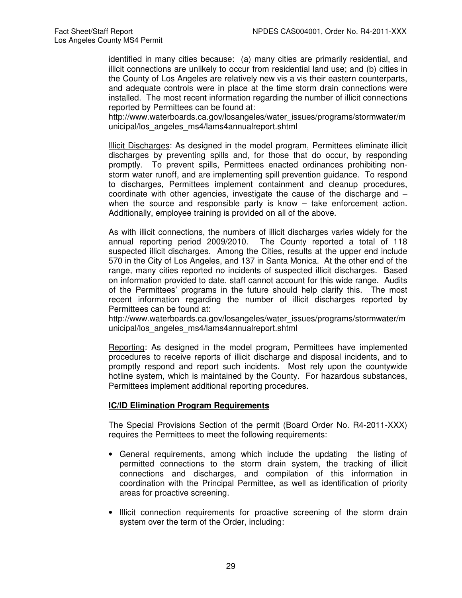identified in many cities because: (a) many cities are primarily residential, and illicit connections are unlikely to occur from residential land use; and (b) cities in the County of Los Angeles are relatively new vis a vis their eastern counterparts, and adequate controls were in place at the time storm drain connections were installed. The most recent information regarding the number of illicit connections reported by Permittees can be found at:

http://www.waterboards.ca.gov/losangeles/water\_issues/programs/stormwater/m unicipal/los\_angeles\_ms4/lams4annualreport.shtml

Illicit Discharges: As designed in the model program, Permittees eliminate illicit discharges by preventing spills and, for those that do occur, by responding promptly. To prevent spills, Permittees enacted ordinances prohibiting nonstorm water runoff, and are implementing spill prevention guidance. To respond to discharges, Permittees implement containment and cleanup procedures, coordinate with other agencies, investigate the cause of the discharge and – when the source and responsible party is know – take enforcement action. Additionally, employee training is provided on all of the above.

As with illicit connections, the numbers of illicit discharges varies widely for the annual reporting period 2009/2010. The County reported a total of 118 suspected illicit discharges. Among the Cities, results at the upper end include 570 in the City of Los Angeles, and 137 in Santa Monica. At the other end of the range, many cities reported no incidents of suspected illicit discharges. Based on information provided to date, staff cannot account for this wide range. Audits of the Permittees' programs in the future should help clarify this. The most recent information regarding the number of illicit discharges reported by Permittees can be found at:

http://www.waterboards.ca.gov/losangeles/water\_issues/programs/stormwater/m unicipal/los\_angeles\_ms4/lams4annualreport.shtml

Reporting: As designed in the model program, Permittees have implemented procedures to receive reports of illicit discharge and disposal incidents, and to promptly respond and report such incidents. Most rely upon the countywide hotline system, which is maintained by the County. For hazardous substances, Permittees implement additional reporting procedures.

## **IC/ID Elimination Program Requirements**

The Special Provisions Section of the permit (Board Order No. R4-2011-XXX) requires the Permittees to meet the following requirements:

- General requirements, among which include the updating the listing of permitted connections to the storm drain system, the tracking of illicit connections and discharges, and compilation of this information in coordination with the Principal Permittee, as well as identification of priority areas for proactive screening.
- Illicit connection requirements for proactive screening of the storm drain system over the term of the Order, including: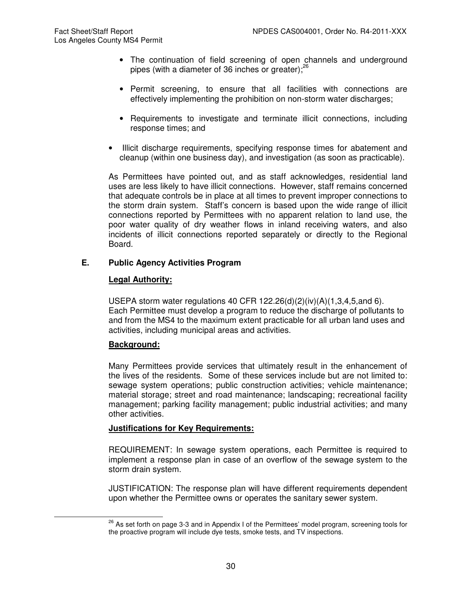- The continuation of field screening of open channels and underground pipes (with a diameter of 36 inches or greater); $^{26}$
- Permit screening, to ensure that all facilities with connections are effectively implementing the prohibition on non-storm water discharges;
- Requirements to investigate and terminate illicit connections, including response times; and
- Illicit discharge requirements, specifying response times for abatement and cleanup (within one business day), and investigation (as soon as practicable).

As Permittees have pointed out, and as staff acknowledges, residential land uses are less likely to have illicit connections. However, staff remains concerned that adequate controls be in place at all times to prevent improper connections to the storm drain system. Staff's concern is based upon the wide range of illicit connections reported by Permittees with no apparent relation to land use, the poor water quality of dry weather flows in inland receiving waters, and also incidents of illicit connections reported separately or directly to the Regional Board.

# **E. Public Agency Activities Program**

# **Legal Authority:**

USEPA storm water regulations 40 CFR 122.26(d)(2)(iv)(A)(1,3,4,5,and 6). Each Permittee must develop a program to reduce the discharge of pollutants to and from the MS4 to the maximum extent practicable for all urban land uses and activities, including municipal areas and activities.

## **Background:**

 $\overline{a}$ 

Many Permittees provide services that ultimately result in the enhancement of the lives of the residents. Some of these services include but are not limited to: sewage system operations; public construction activities; vehicle maintenance; material storage; street and road maintenance; landscaping; recreational facility management; parking facility management; public industrial activities; and many other activities.

## **Justifications for Key Requirements:**

REQUIREMENT: In sewage system operations, each Permittee is required to implement a response plan in case of an overflow of the sewage system to the storm drain system.

JUSTIFICATION: The response plan will have different requirements dependent upon whether the Permittee owns or operates the sanitary sewer system.

<sup>&</sup>lt;sup>26</sup> As set forth on page 3-3 and in Appendix I of the Permittees' model program, screening tools for the proactive program will include dye tests, smoke tests, and TV inspections.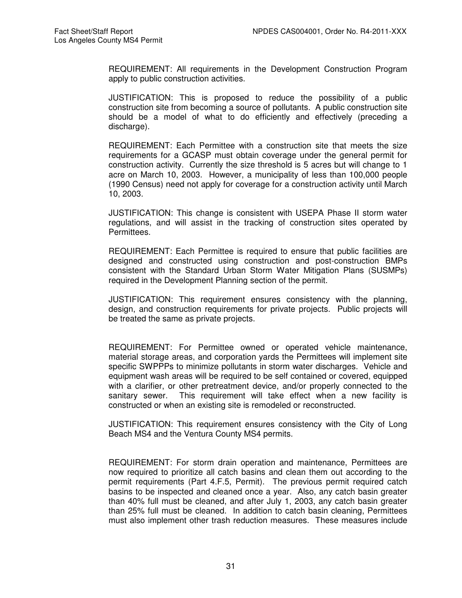REQUIREMENT: All requirements in the Development Construction Program apply to public construction activities.

JUSTIFICATION: This is proposed to reduce the possibility of a public construction site from becoming a source of pollutants. A public construction site should be a model of what to do efficiently and effectively (preceding a discharge).

REQUIREMENT: Each Permittee with a construction site that meets the size requirements for a GCASP must obtain coverage under the general permit for construction activity. Currently the size threshold is 5 acres but will change to 1 acre on March 10, 2003. However, a municipality of less than 100,000 people (1990 Census) need not apply for coverage for a construction activity until March 10, 2003.

JUSTIFICATION: This change is consistent with USEPA Phase II storm water regulations, and will assist in the tracking of construction sites operated by Permittees.

REQUIREMENT: Each Permittee is required to ensure that public facilities are designed and constructed using construction and post-construction BMPs consistent with the Standard Urban Storm Water Mitigation Plans (SUSMPs) required in the Development Planning section of the permit.

JUSTIFICATION: This requirement ensures consistency with the planning, design, and construction requirements for private projects. Public projects will be treated the same as private projects.

REQUIREMENT: For Permittee owned or operated vehicle maintenance, material storage areas, and corporation yards the Permittees will implement site specific SWPPPs to minimize pollutants in storm water discharges. Vehicle and equipment wash areas will be required to be self contained or covered, equipped with a clarifier, or other pretreatment device, and/or properly connected to the sanitary sewer. This requirement will take effect when a new facility is constructed or when an existing site is remodeled or reconstructed.

JUSTIFICATION: This requirement ensures consistency with the City of Long Beach MS4 and the Ventura County MS4 permits.

REQUIREMENT: For storm drain operation and maintenance, Permittees are now required to prioritize all catch basins and clean them out according to the permit requirements (Part 4.F.5, Permit). The previous permit required catch basins to be inspected and cleaned once a year. Also, any catch basin greater than 40% full must be cleaned, and after July 1, 2003, any catch basin greater than 25% full must be cleaned. In addition to catch basin cleaning, Permittees must also implement other trash reduction measures. These measures include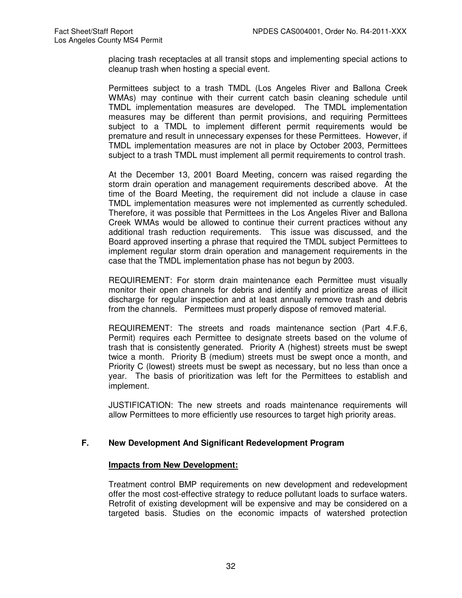placing trash receptacles at all transit stops and implementing special actions to cleanup trash when hosting a special event.

Permittees subject to a trash TMDL (Los Angeles River and Ballona Creek WMAs) may continue with their current catch basin cleaning schedule until TMDL implementation measures are developed. The TMDL implementation measures may be different than permit provisions, and requiring Permittees subject to a TMDL to implement different permit requirements would be premature and result in unnecessary expenses for these Permittees. However, if TMDL implementation measures are not in place by October 2003, Permittees subject to a trash TMDL must implement all permit requirements to control trash.

At the December 13, 2001 Board Meeting, concern was raised regarding the storm drain operation and management requirements described above. At the time of the Board Meeting, the requirement did not include a clause in case TMDL implementation measures were not implemented as currently scheduled. Therefore, it was possible that Permittees in the Los Angeles River and Ballona Creek WMAs would be allowed to continue their current practices without any additional trash reduction requirements. This issue was discussed, and the Board approved inserting a phrase that required the TMDL subject Permittees to implement regular storm drain operation and management requirements in the case that the TMDL implementation phase has not begun by 2003.

REQUIREMENT: For storm drain maintenance each Permittee must visually monitor their open channels for debris and identify and prioritize areas of illicit discharge for regular inspection and at least annually remove trash and debris from the channels. Permittees must properly dispose of removed material.

REQUIREMENT: The streets and roads maintenance section (Part 4.F.6, Permit) requires each Permittee to designate streets based on the volume of trash that is consistently generated. Priority A (highest) streets must be swept twice a month. Priority B (medium) streets must be swept once a month, and Priority C (lowest) streets must be swept as necessary, but no less than once a year. The basis of prioritization was left for the Permittees to establish and implement.

JUSTIFICATION: The new streets and roads maintenance requirements will allow Permittees to more efficiently use resources to target high priority areas.

# **F. New Development And Significant Redevelopment Program**

## **Impacts from New Development:**

Treatment control BMP requirements on new development and redevelopment offer the most cost-effective strategy to reduce pollutant loads to surface waters. Retrofit of existing development will be expensive and may be considered on a targeted basis. Studies on the economic impacts of watershed protection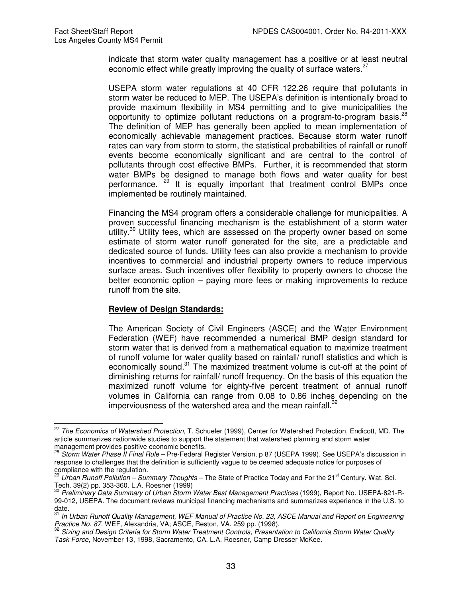indicate that storm water quality management has a positive or at least neutral economic effect while greatly improving the quality of surface waters.<sup>2</sup>

USEPA storm water regulations at 40 CFR 122.26 require that pollutants in storm water be reduced to MEP. The USEPA's definition is intentionally broad to provide maximum flexibility in MS4 permitting and to give municipalities the opportunity to optimize pollutant reductions on a program-to-program basis.<sup>2</sup> The definition of MEP has generally been applied to mean implementation of economically achievable management practices. Because storm water runoff rates can vary from storm to storm, the statistical probabilities of rainfall or runoff events become economically significant and are central to the control of pollutants through cost effective BMPs. Further, it is recommended that storm water BMPs be designed to manage both flows and water quality for best performance. <sup>29</sup> It is equally important that treatment control BMPs once implemented be routinely maintained.

Financing the MS4 program offers a considerable challenge for municipalities. A proven successful financing mechanism is the establishment of a storm water utility.<sup>30</sup> Utility fees, which are assessed on the property owner based on some estimate of storm water runoff generated for the site, are a predictable and dedicated source of funds. Utility fees can also provide a mechanism to provide incentives to commercial and industrial property owners to reduce impervious surface areas. Such incentives offer flexibility to property owners to choose the better economic option – paying more fees or making improvements to reduce runoff from the site.

#### **Review of Design Standards:**

The American Society of Civil Engineers (ASCE) and the Water Environment Federation (WEF) have recommended a numerical BMP design standard for storm water that is derived from a mathematical equation to maximize treatment of runoff volume for water quality based on rainfall/ runoff statistics and which is economically sound.<sup>31</sup> The maximized treatment volume is cut-off at the point of diminishing returns for rainfall/ runoff frequency. On the basis of this equation the maximized runoff volume for eighty-five percent treatment of annual runoff volumes in California can range from 0.08 to 0.86 inches depending on the imperviousness of the watershed area and the mean rainfall. $^{32}$ 

 $\overline{a}$ <sup>27</sup> The Economics of Watershed Protection, T. Schueler (1999), Center for Watershed Protection, Endicott, MD. The article summarizes nationwide studies to support the statement that watershed planning and storm water management provides positive economic benefits.

<sup>28</sup> Storm Water Phase II Final Rule – Pre-Federal Register Version, p 87 (USEPA 1999). See USEPA's discussion in response to challenges that the definition is sufficiently vague to be deemed adequate notice for purposes of

compliance with the regulation.<br><sup>29</sup> Urban Runoff Pollution – Summary Thoughts – The State of Practice Today and For the 21<sup>st</sup> Century. Wat. Sci.

Tech. 39(2) pp. 353-360. L.A. Roesner (1999)<br><sup>30</sup> *Preliminary Data Summary of Urban Storm Water Best Management Practices* (1999), Report No. USEPA-821-R-99-012, USEPA. The document reviews municipal financing mechanisms and summarizes experience in the U.S. to

date.<br><sup>31</sup> In Urban Runoff Quality Management, WEF Manual of Practice No. 23, ASCE Manual and Report on Engineering Practice No. 87. WEF, Alexandria, VA; ASCE, Reston, VA. 259 pp. (1998).

Sizing and Design Criteria for Storm Water Treatment Controls, Presentation to California Storm Water Quality Task Force, November 13, 1998, Sacramento, CA. L.A. Roesner, Camp Dresser McKee.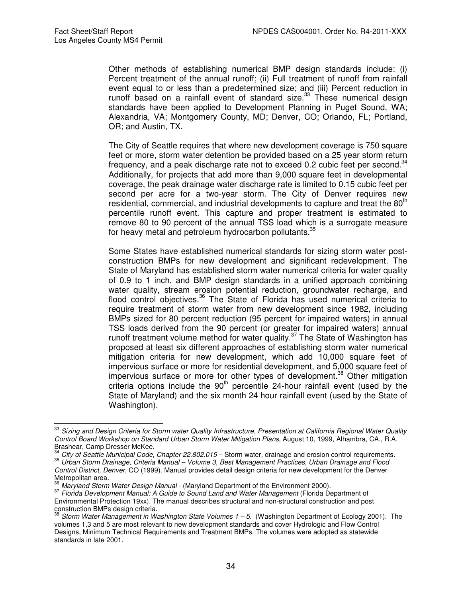$\overline{a}$ 

Other methods of establishing numerical BMP design standards include: (i) Percent treatment of the annual runoff; (ii) Full treatment of runoff from rainfall event equal to or less than a predetermined size; and (iii) Percent reduction in runoff based on a rainfall event of standard size. $33$  These numerical design standards have been applied to Development Planning in Puget Sound, WA; Alexandria, VA; Montgomery County, MD; Denver, CO; Orlando, FL; Portland, OR; and Austin, TX.

The City of Seattle requires that where new development coverage is 750 square feet or more, storm water detention be provided based on a 25 year storm return frequency, and a peak discharge rate not to exceed  $0.2$  cubic feet per second.<sup>34</sup> Additionally, for projects that add more than 9,000 square feet in developmental coverage, the peak drainage water discharge rate is limited to 0.15 cubic feet per second per acre for a two-year storm. The City of Denver requires new residential, commercial, and industrial developments to capture and treat the 80<sup>th</sup> percentile runoff event. This capture and proper treatment is estimated to remove 80 to 90 percent of the annual TSS load which is a surrogate measure for heavy metal and petroleum hydrocarbon pollutants.<sup>35</sup>

Some States have established numerical standards for sizing storm water postconstruction BMPs for new development and significant redevelopment. The State of Maryland has established storm water numerical criteria for water quality of 0.9 to 1 inch, and BMP design standards in a unified approach combining water quality, stream erosion potential reduction, groundwater recharge, and flood control objectives.<sup>36</sup> The State of Florida has used numerical criteria to require treatment of storm water from new development since 1982, including BMPs sized for 80 percent reduction (95 percent for impaired waters) in annual TSS loads derived from the 90 percent (or greater for impaired waters) annual runoff treatment volume method for water quality.<sup>37</sup> The State of Washington has proposed at least six different approaches of establishing storm water numerical mitigation criteria for new development, which add 10,000 square feet of impervious surface or more for residential development, and 5,000 square feet of  $im$  impervious surface or more for other types of development.<sup>38</sup> Other mitigation criteria options include the  $90<sup>th</sup>$  percentile 24-hour rainfall event (used by the State of Maryland) and the six month 24 hour rainfall event (used by the State of Washington).

<sup>&</sup>lt;sup>33</sup> Sizing and Design Criteria for Storm water Quality Infrastructure, Presentation at California Regional Water Quality Control Board Workshop on Standard Urban Storm Water Mitigation Plans, August 10, 1999, Alhambra, CA., R.A. Brashear, Camp Dresser McKee.

<sup>34</sup> City of Seattle Municipal Code, Chapter 22.802.015 – Storm water, drainage and erosion control requirements. <sup>35</sup> Urban Storm Drainage, Criteria Manual – Volume 3, Best Management Practices, Urban Drainage and Flood Control District, Denver, CO (1999). Manual provides detail design criteria for new development for the Denver Metropolitan area.

<sup>&</sup>lt;sup>36</sup> Maryland Storm Water Design Manual - (Maryland Department of the Environment 2000).

<sup>&</sup>lt;sup>37</sup> Florida Development Manual: A Guide to Sound Land and Water Management (Florida Department of Environmental Protection 19xx). The manual describes structural and non-structural construction and post construction BMPs design criteria.

Storm Water Management in Washington State Volumes  $1 - 5$ . (Washington Department of Ecology 2001). The volumes 1,3 and 5 are most relevant to new development standards and cover Hydrologic and Flow Control Designs, Minimum Technical Requirements and Treatment BMPs. The volumes were adopted as statewide standards in late 2001.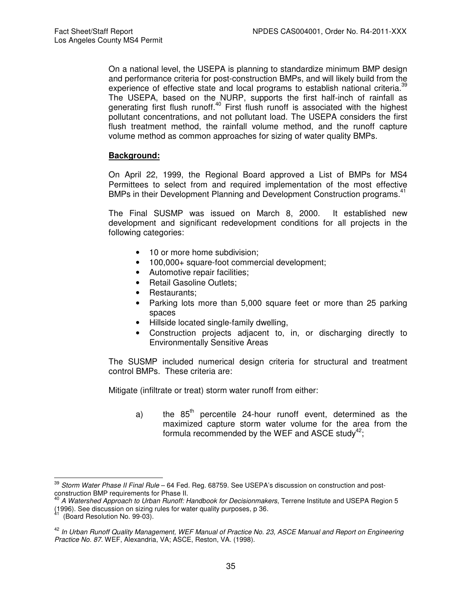On a national level, the USEPA is planning to standardize minimum BMP design and performance criteria for post-construction BMPs, and will likely build from the experience of effective state and local programs to establish national criteria.<sup>39</sup> The USEPA, based on the NURP, supports the first half-inch of rainfall as generating first flush runoff.<sup>40</sup> First flush runoff is associated with the highest pollutant concentrations, and not pollutant load. The USEPA considers the first flush treatment method, the rainfall volume method, and the runoff capture volume method as common approaches for sizing of water quality BMPs.

# **Background:**

On April 22, 1999, the Regional Board approved a List of BMPs for MS4 Permittees to select from and required implementation of the most effective BMPs in their Development Planning and Development Construction programs.<sup>41</sup>

The Final SUSMP was issued on March 8, 2000. It established new development and significant redevelopment conditions for all projects in the following categories:

- 10 or more home subdivision;
- 100,000+ square-foot commercial development;
- Automotive repair facilities;
- Retail Gasoline Outlets;
- Restaurants;
- Parking lots more than 5,000 square feet or more than 25 parking spaces
- Hillside located single-family dwelling,
- Construction projects adjacent to, in, or discharging directly to Environmentally Sensitive Areas

The SUSMP included numerical design criteria for structural and treatment control BMPs. These criteria are:

Mitigate (infiltrate or treat) storm water runoff from either:

a) the  $85<sup>th</sup>$  percentile 24-hour runoff event, determined as the maximized capture storm water volume for the area from the formula recommended by the WEF and ASCE study<sup>42</sup>;

 $\overline{a}$  $^{39}$  *Storm Water Phase II Final Rule* – 64 Fed. Reg. 68759. See USEPA's discussion on construction and postconstruction BMP requirements for Phase II.

A Watershed Approach to Urban Runoff: Handbook for Decisionmakers, Terrene Institute and USEPA Region 5 (1996). See discussion on sizing rules for water quality purposes, p 36.

<sup>(</sup>Board Resolution No. 99-03).

<sup>&</sup>lt;sup>42</sup> In Urban Runoff Quality Management, WEF Manual of Practice No. 23, ASCE Manual and Report on Engineering Practice No. 87. WEF, Alexandria, VA; ASCE, Reston, VA. (1998).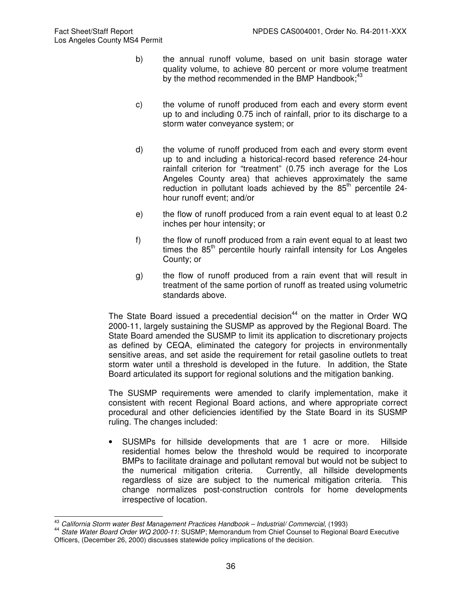- b) the annual runoff volume, based on unit basin storage water quality volume, to achieve 80 percent or more volume treatment by the method recommended in the BMP Handbook; $43$
- c) the volume of runoff produced from each and every storm event up to and including 0.75 inch of rainfall, prior to its discharge to a storm water conveyance system; or
- d) the volume of runoff produced from each and every storm event up to and including a historical-record based reference 24-hour rainfall criterion for "treatment" (0.75 inch average for the Los Angeles County area) that achieves approximately the same reduction in pollutant loads achieved by the  $85<sup>th</sup>$  percentile 24hour runoff event; and/or
- e) the flow of runoff produced from a rain event equal to at least 0.2 inches per hour intensity; or
- f) the flow of runoff produced from a rain event equal to at least two times the  $85<sup>th</sup>$  percentile hourly rainfall intensity for Los Angeles County; or
- g) the flow of runoff produced from a rain event that will result in treatment of the same portion of runoff as treated using volumetric standards above.

The State Board issued a precedential decision<sup>44</sup> on the matter in Order WQ 2000-11, largely sustaining the SUSMP as approved by the Regional Board. The State Board amended the SUSMP to limit its application to discretionary projects as defined by CEQA, eliminated the category for projects in environmentally sensitive areas, and set aside the requirement for retail gasoline outlets to treat storm water until a threshold is developed in the future. In addition, the State Board articulated its support for regional solutions and the mitigation banking.

The SUSMP requirements were amended to clarify implementation, make it consistent with recent Regional Board actions, and where appropriate correct procedural and other deficiencies identified by the State Board in its SUSMP ruling. The changes included:

• SUSMPs for hillside developments that are 1 acre or more. Hillside residential homes below the threshold would be required to incorporate BMPs to facilitate drainage and pollutant removal but would not be subject to the numerical mitigation criteria. Currently, all hillside developments regardless of size are subject to the numerical mitigation criteria. This change normalizes post-construction controls for home developments irrespective of location.

 $\overline{\phantom{a}}$  $\frac{43}{10}$  California Storm water Best Management Practices Handbook – Industrial/ Commercial, (1993)

<sup>44</sup> State Water Board Order WQ 2000-11: SUSMP; Memorandum from Chief Counsel to Regional Board Executive Officers, (December 26, 2000) discusses statewide policy implications of the decision.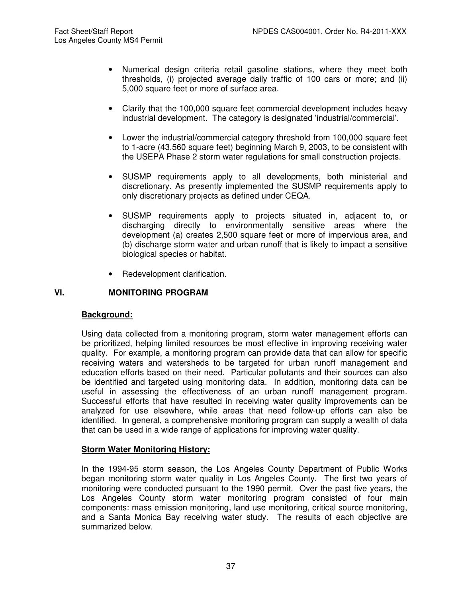- Numerical design criteria retail gasoline stations, where they meet both thresholds, (i) projected average daily traffic of 100 cars or more; and (ii) 5,000 square feet or more of surface area.
- Clarify that the 100,000 square feet commercial development includes heavy industrial development. The category is designated 'industrial/commercial'.
- Lower the industrial/commercial category threshold from 100,000 square feet to 1-acre (43,560 square feet) beginning March 9, 2003, to be consistent with the USEPA Phase 2 storm water regulations for small construction projects.
- SUSMP requirements apply to all developments, both ministerial and discretionary. As presently implemented the SUSMP requirements apply to only discretionary projects as defined under CEQA.
- SUSMP requirements apply to projects situated in, adjacent to, or discharging directly to environmentally sensitive areas where the development (a) creates 2,500 square feet or more of impervious area, and (b) discharge storm water and urban runoff that is likely to impact a sensitive biological species or habitat.
- Redevelopment clarification.

## **VI. MONITORING PROGRAM**

### **Background:**

Using data collected from a monitoring program, storm water management efforts can be prioritized, helping limited resources be most effective in improving receiving water quality. For example, a monitoring program can provide data that can allow for specific receiving waters and watersheds to be targeted for urban runoff management and education efforts based on their need. Particular pollutants and their sources can also be identified and targeted using monitoring data. In addition, monitoring data can be useful in assessing the effectiveness of an urban runoff management program. Successful efforts that have resulted in receiving water quality improvements can be analyzed for use elsewhere, while areas that need follow-up efforts can also be identified. In general, a comprehensive monitoring program can supply a wealth of data that can be used in a wide range of applications for improving water quality.

### **Storm Water Monitoring History:**

In the 1994-95 storm season, the Los Angeles County Department of Public Works began monitoring storm water quality in Los Angeles County. The first two years of monitoring were conducted pursuant to the 1990 permit. Over the past five years, the Los Angeles County storm water monitoring program consisted of four main components: mass emission monitoring, land use monitoring, critical source monitoring, and a Santa Monica Bay receiving water study. The results of each objective are summarized below.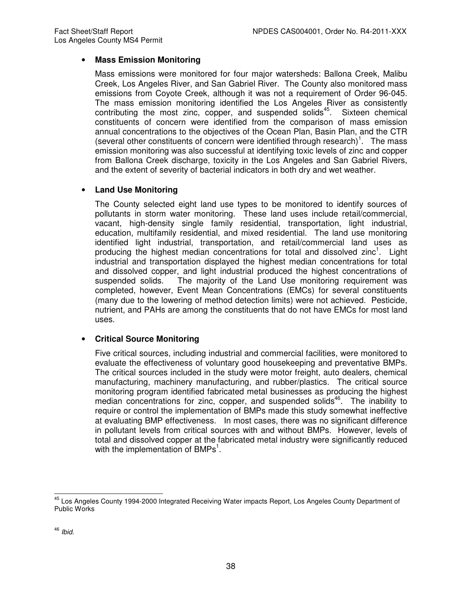### • **Mass Emission Monitoring**

Mass emissions were monitored for four major watersheds: Ballona Creek, Malibu Creek, Los Angeles River, and San Gabriel River. The County also monitored mass emissions from Coyote Creek, although it was not a requirement of Order 96-045. The mass emission monitoring identified the Los Angeles River as consistently contributing the most zinc, copper, and suspended solids<sup>45</sup>. Sixteen chemical constituents of concern were identified from the comparison of mass emission annual concentrations to the objectives of the Ocean Plan, Basin Plan, and the CTR (several other constituents of concern were identified through research)<sup>1</sup>. The mass emission monitoring was also successful at identifying toxic levels of zinc and copper from Ballona Creek discharge, toxicity in the Los Angeles and San Gabriel Rivers, and the extent of severity of bacterial indicators in both dry and wet weather.

## • **Land Use Monitoring**

The County selected eight land use types to be monitored to identify sources of pollutants in storm water monitoring. These land uses include retail/commercial, vacant, high-density single family residential, transportation, light industrial, education, multifamily residential, and mixed residential. The land use monitoring identified light industrial, transportation, and retail/commercial land uses as producing the highest median concentrations for total and dissolved zinc<sup>1</sup>. Light industrial and transportation displayed the highest median concentrations for total and dissolved copper, and light industrial produced the highest concentrations of suspended solids. The majority of the Land Use monitoring requirement was completed, however, Event Mean Concentrations (EMCs) for several constituents (many due to the lowering of method detection limits) were not achieved. Pesticide, nutrient, and PAHs are among the constituents that do not have EMCs for most land uses.

## • **Critical Source Monitoring**

Five critical sources, including industrial and commercial facilities, were monitored to evaluate the effectiveness of voluntary good housekeeping and preventative BMPs. The critical sources included in the study were motor freight, auto dealers, chemical manufacturing, machinery manufacturing, and rubber/plastics. The critical source monitoring program identified fabricated metal businesses as producing the highest median concentrations for zinc, copper, and suspended solids<sup>46</sup>. The inability to require or control the implementation of BMPs made this study somewhat ineffective at evaluating BMP effectiveness. In most cases, there was no significant difference in pollutant levels from critical sources with and without BMPs. However, levels of total and dissolved copper at the fabricated metal industry were significantly reduced with the implementation of BMPs<sup>1</sup>.

 $\overline{\phantom{a}}$ <sup>45</sup> Los Angeles County 1994-2000 Integrated Receiving Water impacts Report, Los Angeles County Department of Public Works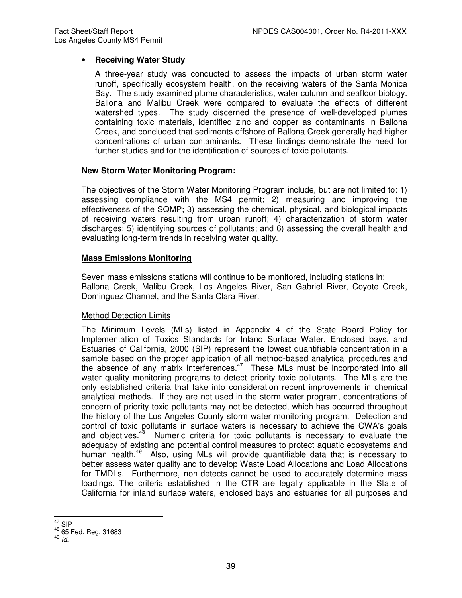### • **Receiving Water Study**

A three-year study was conducted to assess the impacts of urban storm water runoff, specifically ecosystem health, on the receiving waters of the Santa Monica Bay. The study examined plume characteristics, water column and seafloor biology. Ballona and Malibu Creek were compared to evaluate the effects of different watershed types. The study discerned the presence of well-developed plumes containing toxic materials, identified zinc and copper as contaminants in Ballona Creek, and concluded that sediments offshore of Ballona Creek generally had higher concentrations of urban contaminants. These findings demonstrate the need for further studies and for the identification of sources of toxic pollutants.

### **New Storm Water Monitoring Program:**

The objectives of the Storm Water Monitoring Program include, but are not limited to: 1) assessing compliance with the MS4 permit; 2) measuring and improving the effectiveness of the SQMP; 3) assessing the chemical, physical, and biological impacts of receiving waters resulting from urban runoff; 4) characterization of storm water discharges; 5) identifying sources of pollutants; and 6) assessing the overall health and evaluating long-term trends in receiving water quality.

### **Mass Emissions Monitoring**

Seven mass emissions stations will continue to be monitored, including stations in: Ballona Creek, Malibu Creek, Los Angeles River, San Gabriel River, Coyote Creek, Dominguez Channel, and the Santa Clara River.

### Method Detection Limits

The Minimum Levels (MLs) listed in Appendix 4 of the State Board Policy for Implementation of Toxics Standards for Inland Surface Water, Enclosed bays, and Estuaries of California, 2000 (SIP) represent the lowest quantifiable concentration in a sample based on the proper application of all method-based analytical procedures and the absence of any matrix interferences. $47$  These MLs must be incorporated into all water quality monitoring programs to detect priority toxic pollutants. The MLs are the only established criteria that take into consideration recent improvements in chemical analytical methods. If they are not used in the storm water program, concentrations of concern of priority toxic pollutants may not be detected, which has occurred throughout the history of the Los Angeles County storm water monitoring program. Detection and control of toxic pollutants in surface waters is necessary to achieve the CWA's goals<br>and objectives.<sup>48</sup> Numeric criteria for toxic pollutants is necessary to evaluate the Numeric criteria for toxic pollutants is necessary to evaluate the adequacy of existing and potential control measures to protect aquatic ecosystems and human health.<sup>49</sup> Also, using MLs will provide quantifiable data that is necessary to better assess water quality and to develop Waste Load Allocations and Load Allocations for TMDLs. Furthermore, non-detects cannot be used to accurately determine mass loadings. The criteria established in the CTR are legally applicable in the State of California for inland surface waters, enclosed bays and estuaries for all purposes and

 $\overline{\phantom{a}}$  $^{47}_{\ldots}$  SIP

<sup>48</sup> 65 Fed. Reg. 31683

 $49$   $\overline{Id}$ .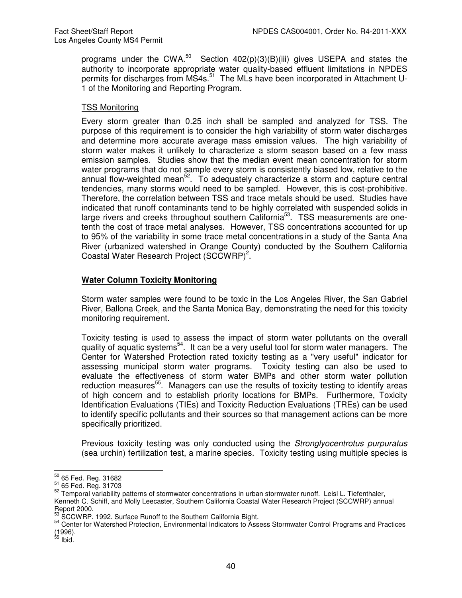programs under the CWA.<sup>50</sup> Section  $402(p)(3)(B)(iii)$  gives USEPA and states the authority to incorporate appropriate water quality-based effluent limitations in NPDES permits for discharges from MS4s.<sup>51</sup> The MLs have been incorporated in Attachment U-1 of the Monitoring and Reporting Program.

#### TSS Monitoring

Every storm greater than 0.25 inch shall be sampled and analyzed for TSS. The purpose of this requirement is to consider the high variability of storm water discharges and determine more accurate average mass emission values. The high variability of storm water makes it unlikely to characterize a storm season based on a few mass emission samples. Studies show that the median event mean concentration for storm water programs that do not sample every storm is consistently biased low, relative to the annual flow-weighted mean<sup>52</sup>. To adequately characterize a storm and capture central tendencies, many storms would need to be sampled. However, this is cost-prohibitive. Therefore, the correlation between TSS and trace metals should be used. Studies have indicated that runoff contaminants tend to be highly correlated with suspended solids in large rivers and creeks throughout southern California<sup>53</sup>. TSS measurements are onetenth the cost of trace metal analyses. However, TSS concentrations accounted for up to 95% of the variability in some trace metal concentrations in a study of the Santa Ana River (urbanized watershed in Orange County) conducted by the Southern California Coastal Water Research Project  $(SCCWRP)^2$ .

### **Water Column Toxicity Monitoring**

Storm water samples were found to be toxic in the Los Angeles River, the San Gabriel River, Ballona Creek, and the Santa Monica Bay, demonstrating the need for this toxicity monitoring requirement.

Toxicity testing is used to assess the impact of storm water pollutants on the overall quality of aquatic systems<sup>54</sup>. It can be a very useful tool for storm water managers. The Center for Watershed Protection rated toxicity testing as a "very useful" indicator for assessing municipal storm water programs. Toxicity testing can also be used to evaluate the effectiveness of storm water BMPs and other storm water pollution reduction measures<sup>55</sup>. Managers can use the results of toxicity testing to identify areas of high concern and to establish priority locations for BMPs. Furthermore, Toxicity Identification Evaluations (TIEs) and Toxicity Reduction Evaluations (TREs) can be used to identify specific pollutants and their sources so that management actions can be more specifically prioritized.

Previous toxicity testing was only conducted using the *Stronglyocentrotus purpuratus* (sea urchin) fertilization test, a marine species. Toxicity testing using multiple species is

 $\overline{a}$  $^{50}_{-0}$  65 Fed. Reg. 31682

<sup>51</sup> 65 Fed. Reg. 31703

<sup>52</sup> Temporal variability patterns of stormwater concentrations in urban stormwater runoff. Leisl L. Tiefenthaler, Kenneth C. Schiff, and Molly Leecaster, Southern California Coastal Water Research Project (SCCWRP) annual

Report 2000.<br>53 SCCWRP. 1992. Surface Runoff to the Southern California Bight.

<sup>54</sup> Center for Watershed Protection, Environmental Indicators to Assess Stormwater Control Programs and Practices

<sup>(1996).&</sup>lt;br><sup>55</sup> Ibid.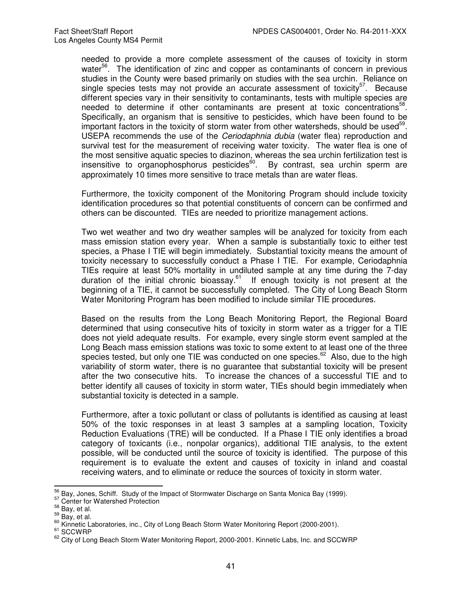needed to provide a more complete assessment of the causes of toxicity in storm water<sup>56</sup>. The identification of zinc and copper as contaminants of concern in previous studies in the County were based primarily on studies with the sea urchin. Reliance on single species tests may not provide an accurate assessment of toxicity<sup>57</sup>. Because different species vary in their sensitivity to contaminants, tests with multiple species are needed to determine if other contaminants are present at toxic concentrations<sup>58</sup>. Specifically, an organism that is sensitive to pesticides, which have been found to be important factors in the toxicity of storm water from other watersheds, should be used<sup>59</sup>. USEPA recommends the use of the *Ceriodaphnia dubia* (water flea) reproduction and survival test for the measurement of receiving water toxicity. The water flea is one of the most sensitive aquatic species to diazinon, whereas the sea urchin fertilization test is insensitive to organophosphorus pesticides $^{60}$ . By contrast, sea urchin sperm are approximately 10 times more sensitive to trace metals than are water fleas.

Furthermore, the toxicity component of the Monitoring Program should include toxicity identification procedures so that potential constituents of concern can be confirmed and others can be discounted. TIEs are needed to prioritize management actions.

Two wet weather and two dry weather samples will be analyzed for toxicity from each mass emission station every year. When a sample is substantially toxic to either test species, a Phase I TIE will begin immediately. Substantial toxicity means the amount of toxicity necessary to successfully conduct a Phase I TIE. For example, Ceriodaphnia TIEs require at least 50% mortality in undiluted sample at any time during the 7-day duration of the initial chronic bioassay.<sup>61</sup> If enough toxicity is not present at the beginning of a TIE, it cannot be successfully completed. The City of Long Beach Storm Water Monitoring Program has been modified to include similar TIE procedures.

Based on the results from the Long Beach Monitoring Report, the Regional Board determined that using consecutive hits of toxicity in storm water as a trigger for a TIE does not yield adequate results. For example, every single storm event sampled at the Long Beach mass emission stations was toxic to some extent to at least one of the three species tested, but only one TIE was conducted on one species.<sup>62</sup> Also, due to the high variability of storm water, there is no guarantee that substantial toxicity will be present after the two consecutive hits. To increase the chances of a successful TIE and to better identify all causes of toxicity in storm water, TIEs should begin immediately when substantial toxicity is detected in a sample.

Furthermore, after a toxic pollutant or class of pollutants is identified as causing at least 50% of the toxic responses in at least 3 samples at a sampling location, Toxicity Reduction Evaluations (TRE) will be conducted. If a Phase I TIE only identifies a broad category of toxicants (i.e., nonpolar organics), additional TIE analysis, to the extent possible, will be conducted until the source of toxicity is identified. The purpose of this requirement is to evaluate the extent and causes of toxicity in inland and coastal receiving waters, and to eliminate or reduce the sources of toxicity in storm water.

 $\overline{a}$  $^{56}_{-2}$  Bay, Jones, Schiff. Study of the Impact of Stormwater Discharge on Santa Monica Bay (1999).

<sup>&</sup>lt;sup>57</sup> Center for Watershed Protection

 $58$  Bay, et al.

 $59$  Bay, et al.

<sup>&</sup>lt;sup>60</sup> Kinnetic Laboratories, inc., City of Long Beach Storm Water Monitoring Report (2000-2001).

<sup>&</sup>lt;sup>61</sup> SCCWRP

<sup>62</sup> City of Long Beach Storm Water Monitoring Report, 2000-2001. Kinnetic Labs, Inc. and SCCWRP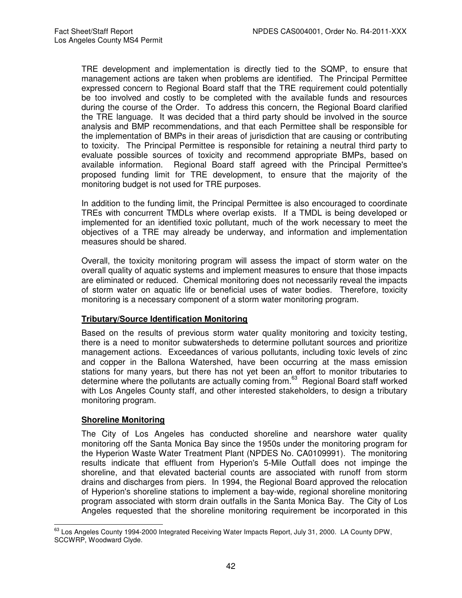TRE development and implementation is directly tied to the SQMP, to ensure that management actions are taken when problems are identified. The Principal Permittee expressed concern to Regional Board staff that the TRE requirement could potentially be too involved and costly to be completed with the available funds and resources during the course of the Order. To address this concern, the Regional Board clarified the TRE language. It was decided that a third party should be involved in the source analysis and BMP recommendations, and that each Permittee shall be responsible for the implementation of BMPs in their areas of jurisdiction that are causing or contributing to toxicity. The Principal Permittee is responsible for retaining a neutral third party to evaluate possible sources of toxicity and recommend appropriate BMPs, based on available information. Regional Board staff agreed with the Principal Permittee's proposed funding limit for TRE development, to ensure that the majority of the monitoring budget is not used for TRE purposes.

In addition to the funding limit, the Principal Permittee is also encouraged to coordinate TREs with concurrent TMDLs where overlap exists. If a TMDL is being developed or implemented for an identified toxic pollutant, much of the work necessary to meet the objectives of a TRE may already be underway, and information and implementation measures should be shared.

Overall, the toxicity monitoring program will assess the impact of storm water on the overall quality of aquatic systems and implement measures to ensure that those impacts are eliminated or reduced. Chemical monitoring does not necessarily reveal the impacts of storm water on aquatic life or beneficial uses of water bodies. Therefore, toxicity monitoring is a necessary component of a storm water monitoring program.

#### **Tributary/Source Identification Monitoring**

Based on the results of previous storm water quality monitoring and toxicity testing, there is a need to monitor subwatersheds to determine pollutant sources and prioritize management actions. Exceedances of various pollutants, including toxic levels of zinc and copper in the Ballona Watershed, have been occurring at the mass emission stations for many years, but there has not yet been an effort to monitor tributaries to determine where the pollutants are actually coming from.<sup>63</sup> Regional Board staff worked with Los Angeles County staff, and other interested stakeholders, to design a tributary monitoring program.

### **Shoreline Monitoring**

The City of Los Angeles has conducted shoreline and nearshore water quality monitoring off the Santa Monica Bay since the 1950s under the monitoring program for the Hyperion Waste Water Treatment Plant (NPDES No. CA0109991). The monitoring results indicate that effluent from Hyperion's 5-Mile Outfall does not impinge the shoreline, and that elevated bacterial counts are associated with runoff from storm drains and discharges from piers. In 1994, the Regional Board approved the relocation of Hyperion's shoreline stations to implement a bay-wide, regional shoreline monitoring program associated with storm drain outfalls in the Santa Monica Bay. The City of Los Angeles requested that the shoreline monitoring requirement be incorporated in this

j <sup>63</sup> Los Angeles County 1994-2000 Integrated Receiving Water Impacts Report, July 31, 2000. LA County DPW, SCCWRP, Woodward Clyde.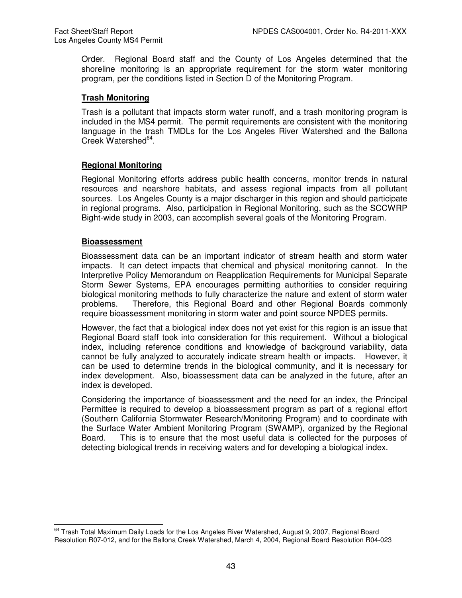Order. Regional Board staff and the County of Los Angeles determined that the shoreline monitoring is an appropriate requirement for the storm water monitoring program, per the conditions listed in Section D of the Monitoring Program.

### **Trash Monitoring**

Trash is a pollutant that impacts storm water runoff, and a trash monitoring program is included in the MS4 permit. The permit requirements are consistent with the monitoring language in the trash TMDLs for the Los Angeles River Watershed and the Ballona Creek Watershed<sup>64</sup>.

### **Regional Monitoring**

Regional Monitoring efforts address public health concerns, monitor trends in natural resources and nearshore habitats, and assess regional impacts from all pollutant sources. Los Angeles County is a major discharger in this region and should participate in regional programs. Also, participation in Regional Monitoring, such as the SCCWRP Bight-wide study in 2003, can accomplish several goals of the Monitoring Program.

#### **Bioassessment**

Bioassessment data can be an important indicator of stream health and storm water impacts. It can detect impacts that chemical and physical monitoring cannot. In the Interpretive Policy Memorandum on Reapplication Requirements for Municipal Separate Storm Sewer Systems, EPA encourages permitting authorities to consider requiring biological monitoring methods to fully characterize the nature and extent of storm water problems. Therefore, this Regional Board and other Regional Boards commonly require bioassessment monitoring in storm water and point source NPDES permits.

However, the fact that a biological index does not yet exist for this region is an issue that Regional Board staff took into consideration for this requirement. Without a biological index, including reference conditions and knowledge of background variability, data cannot be fully analyzed to accurately indicate stream health or impacts. However, it can be used to determine trends in the biological community, and it is necessary for index development. Also, bioassessment data can be analyzed in the future, after an index is developed.

Considering the importance of bioassessment and the need for an index, the Principal Permittee is required to develop a bioassessment program as part of a regional effort (Southern California Stormwater Research/Monitoring Program) and to coordinate with the Surface Water Ambient Monitoring Program (SWAMP), organized by the Regional Board. This is to ensure that the most useful data is collected for the purposes of detecting biological trends in receiving waters and for developing a biological index.

 $\overline{a}$ <sup>64</sup> Trash Total Maximum Daily Loads for the Los Angeles River Watershed, August 9, 2007, Regional Board Resolution R07-012, and for the Ballona Creek Watershed, March 4, 2004, Regional Board Resolution R04-023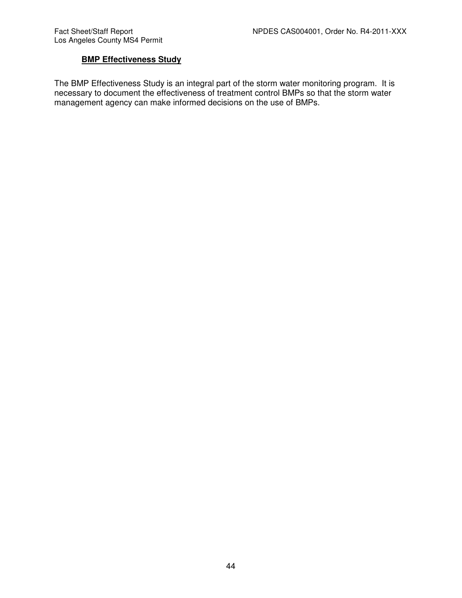## **BMP Effectiveness Study**

The BMP Effectiveness Study is an integral part of the storm water monitoring program. It is necessary to document the effectiveness of treatment control BMPs so that the storm water management agency can make informed decisions on the use of BMPs.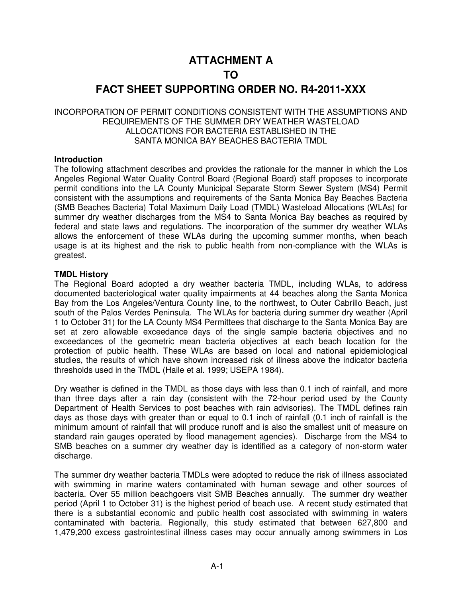## **ATTACHMENT A**

## **TO**

## **FACT SHEET SUPPORTING ORDER NO. R4-2011-XXX**

### INCORPORATION OF PERMIT CONDITIONS CONSISTENT WITH THE ASSUMPTIONS AND REQUIREMENTS OF THE SUMMER DRY WEATHER WASTELOAD ALLOCATIONS FOR BACTERIA ESTABLISHED IN THE SANTA MONICA BAY BEACHES BACTERIA TMDL

### **Introduction**

The following attachment describes and provides the rationale for the manner in which the Los Angeles Regional Water Quality Control Board (Regional Board) staff proposes to incorporate permit conditions into the LA County Municipal Separate Storm Sewer System (MS4) Permit consistent with the assumptions and requirements of the Santa Monica Bay Beaches Bacteria (SMB Beaches Bacteria) Total Maximum Daily Load (TMDL) Wasteload Allocations (WLAs) for summer dry weather discharges from the MS4 to Santa Monica Bay beaches as required by federal and state laws and regulations. The incorporation of the summer dry weather WLAs allows the enforcement of these WLAs during the upcoming summer months, when beach usage is at its highest and the risk to public health from non-compliance with the WLAs is greatest.

### **TMDL History**

The Regional Board adopted a dry weather bacteria TMDL, including WLAs, to address documented bacteriological water quality impairments at 44 beaches along the Santa Monica Bay from the Los Angeles/Ventura County line, to the northwest, to Outer Cabrillo Beach, just south of the Palos Verdes Peninsula. The WLAs for bacteria during summer dry weather (April 1 to October 31) for the LA County MS4 Permittees that discharge to the Santa Monica Bay are set at zero allowable exceedance days of the single sample bacteria objectives and no exceedances of the geometric mean bacteria objectives at each beach location for the protection of public health. These WLAs are based on local and national epidemiological studies, the results of which have shown increased risk of illness above the indicator bacteria thresholds used in the TMDL (Haile et al. 1999; USEPA 1984).

Dry weather is defined in the TMDL as those days with less than 0.1 inch of rainfall, and more than three days after a rain day (consistent with the 72-hour period used by the County Department of Health Services to post beaches with rain advisories). The TMDL defines rain days as those days with greater than or equal to 0.1 inch of rainfall (0.1 inch of rainfall is the minimum amount of rainfall that will produce runoff and is also the smallest unit of measure on standard rain gauges operated by flood management agencies). Discharge from the MS4 to SMB beaches on a summer dry weather day is identified as a category of non-storm water discharge.

The summer dry weather bacteria TMDLs were adopted to reduce the risk of illness associated with swimming in marine waters contaminated with human sewage and other sources of bacteria. Over 55 million beachgoers visit SMB Beaches annually. The summer dry weather period (April 1 to October 31) is the highest period of beach use. A recent study estimated that there is a substantial economic and public health cost associated with swimming in waters contaminated with bacteria. Regionally, this study estimated that between 627,800 and 1,479,200 excess gastrointestinal illness cases may occur annually among swimmers in Los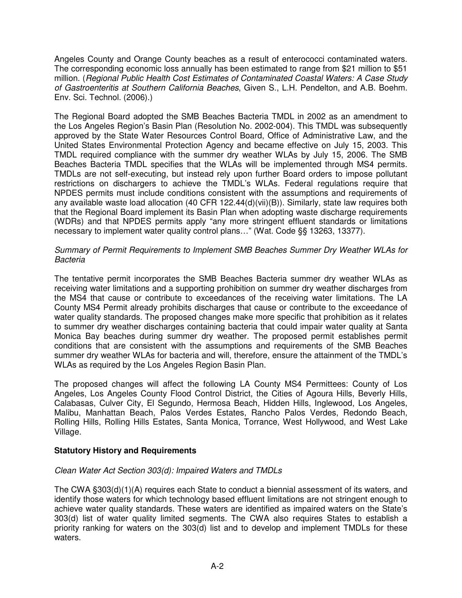Angeles County and Orange County beaches as a result of enterococci contaminated waters. The corresponding economic loss annually has been estimated to range from \$21 million to \$51 million. (Regional Public Health Cost Estimates of Contaminated Coastal Waters: A Case Study of Gastroenteritis at Southern California Beaches, Given S., L.H. Pendelton, and A.B. Boehm. Env. Sci. Technol. (2006).)

The Regional Board adopted the SMB Beaches Bacteria TMDL in 2002 as an amendment to the Los Angeles Region's Basin Plan (Resolution No. 2002-004). This TMDL was subsequently approved by the State Water Resources Control Board, Office of Administrative Law, and the United States Environmental Protection Agency and became effective on July 15, 2003. This TMDL required compliance with the summer dry weather WLAs by July 15, 2006. The SMB Beaches Bacteria TMDL specifies that the WLAs will be implemented through MS4 permits. TMDLs are not self-executing, but instead rely upon further Board orders to impose pollutant restrictions on dischargers to achieve the TMDL's WLAs. Federal regulations require that NPDES permits must include conditions consistent with the assumptions and requirements of any available waste load allocation (40 CFR 122.44(d)(vii)(B)). Similarly, state law requires both that the Regional Board implement its Basin Plan when adopting waste discharge requirements (WDRs) and that NPDES permits apply "any more stringent effluent standards or limitations necessary to implement water quality control plans…" (Wat. Code §§ 13263, 13377).

### Summary of Permit Requirements to Implement SMB Beaches Summer Dry Weather WLAs for Bacteria

The tentative permit incorporates the SMB Beaches Bacteria summer dry weather WLAs as receiving water limitations and a supporting prohibition on summer dry weather discharges from the MS4 that cause or contribute to exceedances of the receiving water limitations. The LA County MS4 Permit already prohibits discharges that cause or contribute to the exceedance of water quality standards. The proposed changes make more specific that prohibition as it relates to summer dry weather discharges containing bacteria that could impair water quality at Santa Monica Bay beaches during summer dry weather. The proposed permit establishes permit conditions that are consistent with the assumptions and requirements of the SMB Beaches summer dry weather WLAs for bacteria and will, therefore, ensure the attainment of the TMDL's WLAs as required by the Los Angeles Region Basin Plan.

The proposed changes will affect the following LA County MS4 Permittees: County of Los Angeles, Los Angeles County Flood Control District, the Cities of Agoura Hills, Beverly Hills, Calabasas, Culver City, El Segundo, Hermosa Beach, Hidden Hills, Inglewood, Los Angeles, Malibu, Manhattan Beach, Palos Verdes Estates, Rancho Palos Verdes, Redondo Beach, Rolling Hills, Rolling Hills Estates, Santa Monica, Torrance, West Hollywood, and West Lake Village.

## **Statutory History and Requirements**

### Clean Water Act Section 303(d): Impaired Waters and TMDLs

The CWA §303(d)(1)(A) requires each State to conduct a biennial assessment of its waters, and identify those waters for which technology based effluent limitations are not stringent enough to achieve water quality standards. These waters are identified as impaired waters on the State's 303(d) list of water quality limited segments. The CWA also requires States to establish a priority ranking for waters on the 303(d) list and to develop and implement TMDLs for these waters.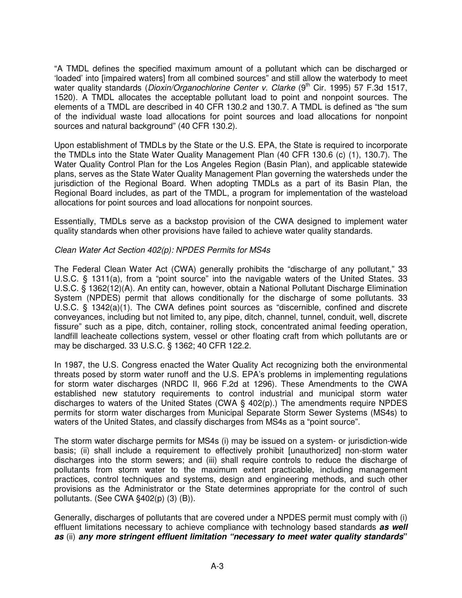"A TMDL defines the specified maximum amount of a pollutant which can be discharged or 'loaded' into [impaired waters] from all combined sources" and still allow the waterbody to meet water quality standards (Dioxin/Organochlorine Center v. Clarke (9<sup>th</sup> Cir. 1995) 57 F.3d 1517, 1520). A TMDL allocates the acceptable pollutant load to point and nonpoint sources. The elements of a TMDL are described in 40 CFR 130.2 and 130.7. A TMDL is defined as "the sum of the individual waste load allocations for point sources and load allocations for nonpoint sources and natural background" (40 CFR 130.2).

Upon establishment of TMDLs by the State or the U.S. EPA, the State is required to incorporate the TMDLs into the State Water Quality Management Plan (40 CFR 130.6 (c) (1), 130.7). The Water Quality Control Plan for the Los Angeles Region (Basin Plan), and applicable statewide plans, serves as the State Water Quality Management Plan governing the watersheds under the jurisdiction of the Regional Board. When adopting TMDLs as a part of its Basin Plan, the Regional Board includes, as part of the TMDL, a program for implementation of the wasteload allocations for point sources and load allocations for nonpoint sources.

Essentially, TMDLs serve as a backstop provision of the CWA designed to implement water quality standards when other provisions have failed to achieve water quality standards.

### Clean Water Act Section 402(p): NPDES Permits for MS4s

The Federal Clean Water Act (CWA) generally prohibits the "discharge of any pollutant," 33 U.S.C. § 1311(a), from a "point source" into the navigable waters of the United States. 33 U.S.C. § 1362(12)(A). An entity can, however, obtain a National Pollutant Discharge Elimination System (NPDES) permit that allows conditionally for the discharge of some pollutants. 33 U.S.C. § 1342(a)(1). The CWA defines point sources as "discernible, confined and discrete conveyances, including but not limited to, any pipe, ditch, channel, tunnel, conduit, well, discrete fissure" such as a pipe, ditch, container, rolling stock, concentrated animal feeding operation, landfill leacheate collections system, vessel or other floating craft from which pollutants are or may be discharged. 33 U.S.C. § 1362; 40 CFR 122.2.

In 1987, the U.S. Congress enacted the Water Quality Act recognizing both the environmental threats posed by storm water runoff and the U.S. EPA's problems in implementing regulations for storm water discharges (NRDC II, 966 F.2d at 1296). These Amendments to the CWA established new statutory requirements to control industrial and municipal storm water discharges to waters of the United States (CWA § 402(p).) The amendments require NPDES permits for storm water discharges from Municipal Separate Storm Sewer Systems (MS4s) to waters of the United States, and classify discharges from MS4s as a "point source".

The storm water discharge permits for MS4s (i) may be issued on a system- or jurisdiction-wide basis; (ii) shall include a requirement to effectively prohibit [unauthorized] non-storm water discharges into the storm sewers; and (iii) shall require controls to reduce the discharge of pollutants from storm water to the maximum extent practicable, including management practices, control techniques and systems, design and engineering methods, and such other provisions as the Administrator or the State determines appropriate for the control of such pollutants. (See CWA §402(p) (3) (B)).

Generally, discharges of pollutants that are covered under a NPDES permit must comply with (i) effluent limitations necessary to achieve compliance with technology based standards **as well as** (ii) **any more stringent effluent limitation "necessary to meet water quality standards"**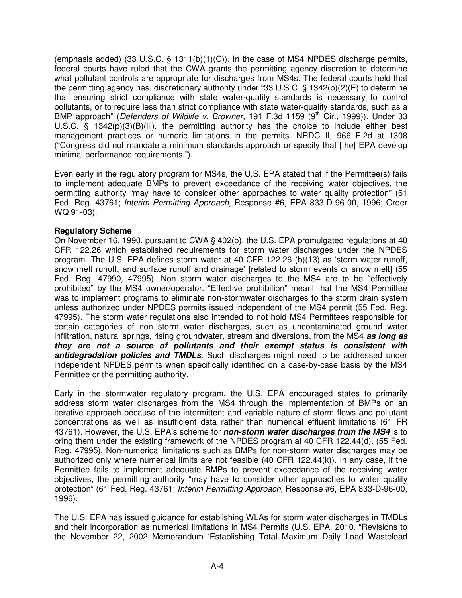(emphasis added) (33 U.S.C. § 1311(b)(1)(C)). In the case of MS4 NPDES discharge permits, federal courts have ruled that the CWA grants the permitting agency discretion to determine what pollutant controls are appropriate for discharges from MS4s. The federal courts held that the permitting agency has discretionary authority under "33 U.S.C. § 1342(p)(2)(E) to determine that ensuring strict compliance with state water-quality standards is necessary to control pollutants, or to require less than strict compliance with state water-quality standards, such as a BMP approach" (Defenders of Wildlife v. Browner, 191 F.3d 1159 (9<sup>th</sup> Cir., 1999)). Under 33 U.S.C. § 1342(p)(3)(B)(iii), the permitting authority has the choice to include either best management practices or numeric limitations in the permits. NRDC II, 966 F.2d at 1308 ("Congress did not mandate a minimum standards approach or specify that [the] EPA develop minimal performance requirements.").

Even early in the regulatory program for MS4s, the U.S. EPA stated that if the Permittee(s) fails to implement adequate BMPs to prevent exceedance of the receiving water objectives, the permitting authority "may have to consider other approaches to water quality protection" (61 Fed. Reg. 43761; Interim Permitting Approach, Response #6, EPA 833-D-96-00, 1996; Order WQ 91-03).

### **Regulatory Scheme**

On November 16, 1990, pursuant to CWA § 402(p), the U.S. EPA promulgated regulations at 40 CFR 122.26 which established requirements for storm water discharges under the NPDES program. The U.S. EPA defines storm water at 40 CFR 122.26 (b)(13) as 'storm water runoff, snow melt runoff, and surface runoff and drainage' [related to storm events or snow melt] (55 Fed. Reg. 47990, 47995). Non storm water discharges to the MS4 are to be "effectively prohibited" by the MS4 owner/operator. "Effective prohibition" meant that the MS4 Permittee was to implement programs to eliminate non-stormwater discharges to the storm drain system unless authorized under NPDES permits issued independent of the MS4 permit (55 Fed. Reg. 47995). The storm water regulations also intended to not hold MS4 Permittees responsible for certain categories of non storm water discharges, such as uncontaminated ground water infiltration, natural springs, rising groundwater, stream and diversions, from the MS4 **as long as they are not a source of pollutants and their exempt status is consistent with antidegradation policies and TMDLs**. Such discharges might need to be addressed under independent NPDES permits when specifically identified on a case-by-case basis by the MS4 Permittee or the permitting authority.

Early in the stormwater regulatory program, the U.S. EPA encouraged states to primarily address storm water discharges from the MS4 through the implementation of BMPs on an iterative approach because of the intermittent and variable nature of storm flows and pollutant concentrations as well as insufficient data rather than numerical effluent limitations (61 FR 43761). However, the U.S. EPA's scheme for **non-storm water discharges from the MS4** is to bring them under the existing framework of the NPDES program at 40 CFR 122.44(d). (55 Fed. Reg. 47995). Non-numerical limitations such as BMPs for non-storm water discharges may be authorized only where numerical limits are not feasible (40 CFR 122.44(k)). In any case, if the Permittee fails to implement adequate BMPs to prevent exceedance of the receiving water objectives, the permitting authority "may have to consider other approaches to water quality protection" (61 Fed. Reg. 43761; Interim Permitting Approach, Response #6, EPA 833-D-96-00, 1996).

The U.S. EPA has issued guidance for establishing WLAs for storm water discharges in TMDLs and their incorporation as numerical limitations in MS4 Permits (U.S. EPA. 2010. "Revisions to the November 22, 2002 Memorandum 'Establishing Total Maximum Daily Load Wasteload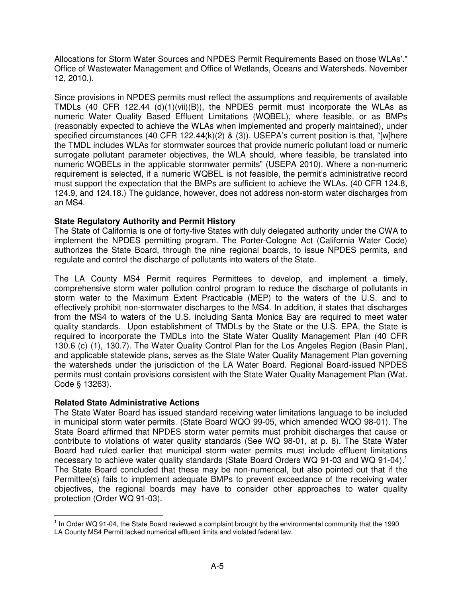Allocations for Storm Water Sources and NPDES Permit Requirements Based on those WLAs'." Office of Wastewater Management and Office of Wetlands, Oceans and Watersheds. November 12, 2010.).

Since provisions in NPDES permits must reflect the assumptions and requirements of available TMDLs (40 CFR 122.44 (d)(1)(vii)(B)), the NPDES permit must incorporate the WLAs as numeric Water Quality Based Effluent Limitations (WQBEL), where feasible, or as BMPs (reasonably expected to achieve the WLAs when implemented and properly maintained), under specified circumstances (40 CFR 122.44(k)(2) & (3)). USEPA's current position is that, "[w]here the TMDL includes WLAs for stormwater sources that provide numeric pollutant load or numeric surrogate pollutant parameter objectives, the WLA should, where feasible, be translated into numeric WQBELs in the applicable stormwater permits" (USEPA 2010). Where a non-numeric requirement is selected, if a numeric WQBEL is not feasible, the permit's administrative record must support the expectation that the BMPs are sufficient to achieve the WLAs. (40 CFR 124.8, 124.9, and 124.18.) The guidance, however, does not address non-storm water discharges from an MS4.

## **State Regulatory Authority and Permit History**

The State of California is one of forty-five States with duly delegated authority under the CWA to implement the NPDES permitting program. The Porter-Cologne Act (California Water Code) authorizes the State Board, through the nine regional boards, to issue NPDES permits, and regulate and control the discharge of pollutants into waters of the State.

The LA County MS4 Permit requires Permittees to develop, and implement a timely, comprehensive storm water pollution control program to reduce the discharge of pollutants in storm water to the Maximum Extent Practicable (MEP) to the waters of the U.S. and to effectively prohibit non-stormwater discharges to the MS4. In addition, it states that discharges from the MS4 to waters of the U.S. including Santa Monica Bay are required to meet water quality standards. Upon establishment of TMDLs by the State or the U.S. EPA, the State is required to incorporate the TMDLs into the State Water Quality Management Plan (40 CFR 130.6 (c) (1), 130.7). The Water Quality Control Plan for the Los Angeles Region (Basin Plan), and applicable statewide plans, serves as the State Water Quality Management Plan governing the watersheds under the jurisdiction of the LA Water Board. Regional Board-issued NPDES permits must contain provisions consistent with the State Water Quality Management Plan (Wat. Code § 13263).

### **Related State Administrative Actions**

 $\overline{a}$ 

The State Water Board has issued standard receiving water limitations language to be included in municipal storm water permits. (State Board WQO 99-05, which amended WQO 98-01). The State Board affirmed that NPDES storm water permits must prohibit discharges that cause or contribute to violations of water quality standards (See WQ 98-01, at p. 8). The State Water Board had ruled earlier that municipal storm water permits must include effluent limitations necessary to achieve water quality standards (State Board Orders WQ 91-03 and WQ 91-04).<sup>1</sup> The State Board concluded that these may be non-numerical, but also pointed out that if the Permittee(s) fails to implement adequate BMPs to prevent exceedance of the receiving water objectives, the regional boards may have to consider other approaches to water quality protection (Order WQ 91-03).

 $1$  In Order WQ 91-04, the State Board reviewed a complaint brought by the environmental community that the 1990 LA County MS4 Permit lacked numerical effluent limits and violated federal law.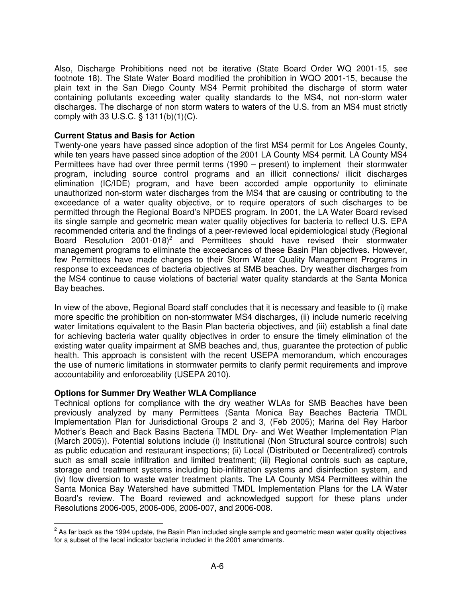Also, Discharge Prohibitions need not be iterative (State Board Order WQ 2001-15, see footnote 18). The State Water Board modified the prohibition in WQO 2001-15, because the plain text in the San Diego County MS4 Permit prohibited the discharge of storm water containing pollutants exceeding water quality standards to the MS4, not non-storm water discharges. The discharge of non storm waters to waters of the U.S. from an MS4 must strictly comply with 33 U.S.C. § 1311(b)(1)(C).

### **Current Status and Basis for Action**

Twenty-one years have passed since adoption of the first MS4 permit for Los Angeles County, while ten years have passed since adoption of the 2001 LA County MS4 permit. LA County MS4 Permittees have had over three permit terms (1990 – present) to implement their stormwater program, including source control programs and an illicit connections/ illicit discharges elimination (IC/IDE) program, and have been accorded ample opportunity to eliminate unauthorized non-storm water discharges from the MS4 that are causing or contributing to the exceedance of a water quality objective, or to require operators of such discharges to be permitted through the Regional Board's NPDES program. In 2001, the LA Water Board revised its single sample and geometric mean water quality objectives for bacteria to reflect U.S. EPA recommended criteria and the findings of a peer-reviewed local epidemiological study (Regional Board Resolution 2001-018 $)^2$  and Permittees should have revised their stormwater management programs to eliminate the exceedances of these Basin Plan objectives. However, few Permittees have made changes to their Storm Water Quality Management Programs in response to exceedances of bacteria objectives at SMB beaches. Dry weather discharges from the MS4 continue to cause violations of bacterial water quality standards at the Santa Monica Bay beaches.

In view of the above, Regional Board staff concludes that it is necessary and feasible to (i) make more specific the prohibition on non-stormwater MS4 discharges, (ii) include numeric receiving water limitations equivalent to the Basin Plan bacteria objectives, and (iii) establish a final date for achieving bacteria water quality objectives in order to ensure the timely elimination of the existing water quality impairment at SMB beaches and, thus, guarantee the protection of public health. This approach is consistent with the recent USEPA memorandum, which encourages the use of numeric limitations in stormwater permits to clarify permit requirements and improve accountability and enforceability (USEPA 2010).

## **Options for Summer Dry Weather WLA Compliance**

 $\overline{a}$ 

Technical options for compliance with the dry weather WLAs for SMB Beaches have been previously analyzed by many Permittees (Santa Monica Bay Beaches Bacteria TMDL Implementation Plan for Jurisdictional Groups 2 and 3, (Feb 2005); Marina del Rey Harbor Mother's Beach and Back Basins Bacteria TMDL Dry- and Wet Weather Implementation Plan (March 2005)). Potential solutions include (i) Institutional (Non Structural source controls) such as public education and restaurant inspections; (ii) Local (Distributed or Decentralized) controls such as small scale infiltration and limited treatment; (iii) Regional controls such as capture, storage and treatment systems including bio-infiltration systems and disinfection system, and (iv) flow diversion to waste water treatment plants. The LA County MS4 Permittees within the Santa Monica Bay Watershed have submitted TMDL Implementation Plans for the LA Water Board's review. The Board reviewed and acknowledged support for these plans under Resolutions 2006-005, 2006-006, 2006-007, and 2006-008.

 $2$  As far back as the 1994 update, the Basin Plan included single sample and geometric mean water quality objectives for a subset of the fecal indicator bacteria included in the 2001 amendments.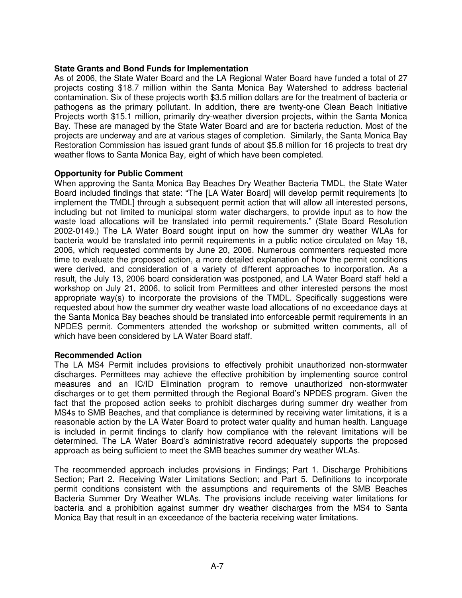### **State Grants and Bond Funds for Implementation**

As of 2006, the State Water Board and the LA Regional Water Board have funded a total of 27 projects costing \$18.7 million within the Santa Monica Bay Watershed to address bacterial contamination. Six of these projects worth \$3.5 million dollars are for the treatment of bacteria or pathogens as the primary pollutant. In addition, there are twenty-one Clean Beach Initiative Projects worth \$15.1 million, primarily dry-weather diversion projects, within the Santa Monica Bay. These are managed by the State Water Board and are for bacteria reduction. Most of the projects are underway and are at various stages of completion. Similarly, the Santa Monica Bay Restoration Commission has issued grant funds of about \$5.8 million for 16 projects to treat dry weather flows to Santa Monica Bay, eight of which have been completed.

### **Opportunity for Public Comment**

When approving the Santa Monica Bay Beaches Dry Weather Bacteria TMDL, the State Water Board included findings that state: "The [LA Water Board] will develop permit requirements [to implement the TMDL] through a subsequent permit action that will allow all interested persons, including but not limited to municipal storm water dischargers, to provide input as to how the waste load allocations will be translated into permit requirements." (State Board Resolution 2002-0149.) The LA Water Board sought input on how the summer dry weather WLAs for bacteria would be translated into permit requirements in a public notice circulated on May 18, 2006, which requested comments by June 20, 2006. Numerous commenters requested more time to evaluate the proposed action, a more detailed explanation of how the permit conditions were derived, and consideration of a variety of different approaches to incorporation. As a result, the July 13, 2006 board consideration was postponed, and LA Water Board staff held a workshop on July 21, 2006, to solicit from Permittees and other interested persons the most appropriate way(s) to incorporate the provisions of the TMDL. Specifically suggestions were requested about how the summer dry weather waste load allocations of no exceedance days at the Santa Monica Bay beaches should be translated into enforceable permit requirements in an NPDES permit. Commenters attended the workshop or submitted written comments, all of which have been considered by LA Water Board staff.

### **Recommended Action**

The LA MS4 Permit includes provisions to effectively prohibit unauthorized non-stormwater discharges. Permittees may achieve the effective prohibition by implementing source control measures and an IC/ID Elimination program to remove unauthorized non-stormwater discharges or to get them permitted through the Regional Board's NPDES program. Given the fact that the proposed action seeks to prohibit discharges during summer dry weather from MS4s to SMB Beaches, and that compliance is determined by receiving water limitations, it is a reasonable action by the LA Water Board to protect water quality and human health. Language is included in permit findings to clarify how compliance with the relevant limitations will be determined. The LA Water Board's administrative record adequately supports the proposed approach as being sufficient to meet the SMB beaches summer dry weather WLAs.

The recommended approach includes provisions in Findings; Part 1. Discharge Prohibitions Section; Part 2. Receiving Water Limitations Section; and Part 5. Definitions to incorporate permit conditions consistent with the assumptions and requirements of the SMB Beaches Bacteria Summer Dry Weather WLAs. The provisions include receiving water limitations for bacteria and a prohibition against summer dry weather discharges from the MS4 to Santa Monica Bay that result in an exceedance of the bacteria receiving water limitations.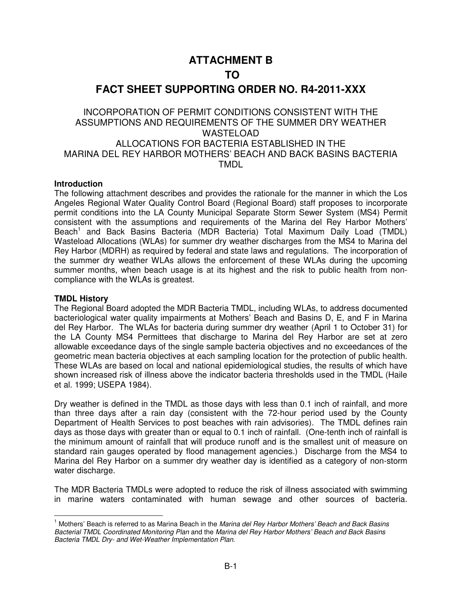## **ATTACHMENT B**

## **TO**

## **FACT SHEET SUPPORTING ORDER NO. R4-2011-XXX**

## INCORPORATION OF PERMIT CONDITIONS CONSISTENT WITH THE ASSUMPTIONS AND REQUIREMENTS OF THE SUMMER DRY WEATHER WASTELOAD ALLOCATIONS FOR BACTERIA ESTABLISHED IN THE MARINA DEL REY HARBOR MOTHERS' BEACH AND BACK BASINS BACTERIA TMDL

#### **Introduction**

The following attachment describes and provides the rationale for the manner in which the Los Angeles Regional Water Quality Control Board (Regional Board) staff proposes to incorporate permit conditions into the LA County Municipal Separate Storm Sewer System (MS4) Permit consistent with the assumptions and requirements of the Marina del Rey Harbor Mothers' Beach<sup>1</sup> and Back Basins Bacteria (MDR Bacteria) Total Maximum Daily Load (TMDL) Wasteload Allocations (WLAs) for summer dry weather discharges from the MS4 to Marina del Rey Harbor (MDRH) as required by federal and state laws and regulations. The incorporation of the summer dry weather WLAs allows the enforcement of these WLAs during the upcoming summer months, when beach usage is at its highest and the risk to public health from noncompliance with the WLAs is greatest.

### **TMDL History**

 $\overline{a}$ 

The Regional Board adopted the MDR Bacteria TMDL, including WLAs, to address documented bacteriological water quality impairments at Mothers' Beach and Basins D, E, and F in Marina del Rey Harbor. The WLAs for bacteria during summer dry weather (April 1 to October 31) for the LA County MS4 Permittees that discharge to Marina del Rey Harbor are set at zero allowable exceedance days of the single sample bacteria objectives and no exceedances of the geometric mean bacteria objectives at each sampling location for the protection of public health. These WLAs are based on local and national epidemiological studies, the results of which have shown increased risk of illness above the indicator bacteria thresholds used in the TMDL (Haile et al. 1999; USEPA 1984).

Dry weather is defined in the TMDL as those days with less than 0.1 inch of rainfall, and more than three days after a rain day (consistent with the 72-hour period used by the County Department of Health Services to post beaches with rain advisories). The TMDL defines rain days as those days with greater than or equal to 0.1 inch of rainfall. (One-tenth inch of rainfall is the minimum amount of rainfall that will produce runoff and is the smallest unit of measure on standard rain gauges operated by flood management agencies.) Discharge from the MS4 to Marina del Rey Harbor on a summer dry weather day is identified as a category of non-storm water discharge.

The MDR Bacteria TMDLs were adopted to reduce the risk of illness associated with swimming in marine waters contaminated with human sewage and other sources of bacteria.

<sup>&</sup>lt;sup>1</sup> Mothers' Beach is referred to as Marina Beach in the Marina del Rey Harbor Mothers' Beach and Back Basins Bacterial TMDL Coordinated Monitoring Plan and the Marina del Rey Harbor Mothers' Beach and Back Basins Bacteria TMDL Dry- and Wet-Weather Implementation Plan.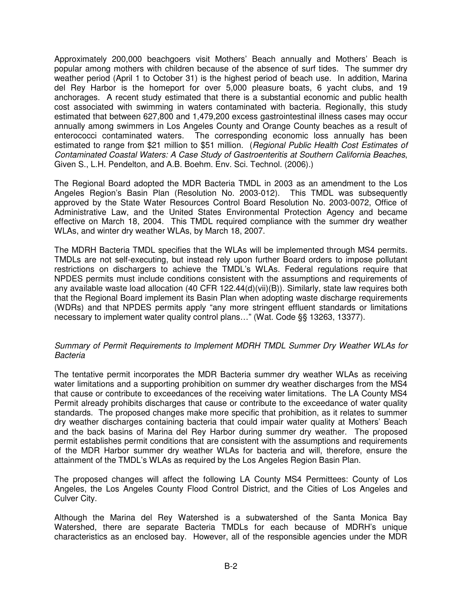Approximately 200,000 beachgoers visit Mothers' Beach annually and Mothers' Beach is popular among mothers with children because of the absence of surf tides. The summer dry weather period (April 1 to October 31) is the highest period of beach use. In addition, Marina del Rey Harbor is the homeport for over 5,000 pleasure boats, 6 yacht clubs, and 19 anchorages. A recent study estimated that there is a substantial economic and public health cost associated with swimming in waters contaminated with bacteria. Regionally, this study estimated that between 627,800 and 1,479,200 excess gastrointestinal illness cases may occur annually among swimmers in Los Angeles County and Orange County beaches as a result of enterococci contaminated waters. The corresponding economic loss annually has been estimated to range from \$21 million to \$51 million. (Regional Public Health Cost Estimates of Contaminated Coastal Waters: A Case Study of Gastroenteritis at Southern California Beaches, Given S., L.H. Pendelton, and A.B. Boehm. Env. Sci. Technol. (2006).)

The Regional Board adopted the MDR Bacteria TMDL in 2003 as an amendment to the Los Angeles Region's Basin Plan (Resolution No. 2003-012). This TMDL was subsequently approved by the State Water Resources Control Board Resolution No. 2003-0072, Office of Administrative Law, and the United States Environmental Protection Agency and became effective on March 18, 2004. This TMDL required compliance with the summer dry weather WLAs, and winter dry weather WLAs, by March 18, 2007.

The MDRH Bacteria TMDL specifies that the WLAs will be implemented through MS4 permits. TMDLs are not self-executing, but instead rely upon further Board orders to impose pollutant restrictions on dischargers to achieve the TMDL's WLAs. Federal regulations require that NPDES permits must include conditions consistent with the assumptions and requirements of any available waste load allocation (40 CFR 122.44(d)(vii)(B)). Similarly, state law requires both that the Regional Board implement its Basin Plan when adopting waste discharge requirements (WDRs) and that NPDES permits apply "any more stringent effluent standards or limitations necessary to implement water quality control plans…" (Wat. Code §§ 13263, 13377).

### Summary of Permit Requirements to Implement MDRH TMDL Summer Dry Weather WLAs for Bacteria

The tentative permit incorporates the MDR Bacteria summer dry weather WLAs as receiving water limitations and a supporting prohibition on summer dry weather discharges from the MS4 that cause or contribute to exceedances of the receiving water limitations. The LA County MS4 Permit already prohibits discharges that cause or contribute to the exceedance of water quality standards. The proposed changes make more specific that prohibition, as it relates to summer dry weather discharges containing bacteria that could impair water quality at Mothers' Beach and the back basins of Marina del Rey Harbor during summer dry weather. The proposed permit establishes permit conditions that are consistent with the assumptions and requirements of the MDR Harbor summer dry weather WLAs for bacteria and will, therefore, ensure the attainment of the TMDL's WLAs as required by the Los Angeles Region Basin Plan.

The proposed changes will affect the following LA County MS4 Permittees: County of Los Angeles, the Los Angeles County Flood Control District, and the Cities of Los Angeles and Culver City.

Although the Marina del Rey Watershed is a subwatershed of the Santa Monica Bay Watershed, there are separate Bacteria TMDLs for each because of MDRH's unique characteristics as an enclosed bay. However, all of the responsible agencies under the MDR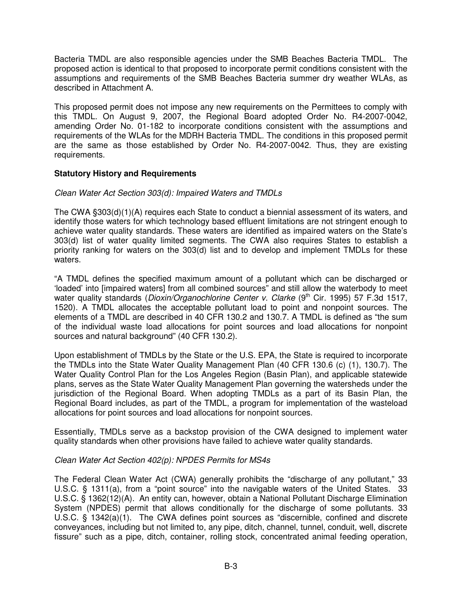Bacteria TMDL are also responsible agencies under the SMB Beaches Bacteria TMDL. The proposed action is identical to that proposed to incorporate permit conditions consistent with the assumptions and requirements of the SMB Beaches Bacteria summer dry weather WLAs, as described in Attachment A.

This proposed permit does not impose any new requirements on the Permittees to comply with this TMDL. On August 9, 2007, the Regional Board adopted Order No. R4-2007-0042, amending Order No. 01-182 to incorporate conditions consistent with the assumptions and requirements of the WLAs for the MDRH Bacteria TMDL. The conditions in this proposed permit are the same as those established by Order No. R4-2007-0042. Thus, they are existing requirements.

## **Statutory History and Requirements**

## Clean Water Act Section 303(d): Impaired Waters and TMDLs

The CWA §303(d)(1)(A) requires each State to conduct a biennial assessment of its waters, and identify those waters for which technology based effluent limitations are not stringent enough to achieve water quality standards. These waters are identified as impaired waters on the State's 303(d) list of water quality limited segments. The CWA also requires States to establish a priority ranking for waters on the 303(d) list and to develop and implement TMDLs for these waters.

"A TMDL defines the specified maximum amount of a pollutant which can be discharged or 'loaded' into [impaired waters] from all combined sources" and still allow the waterbody to meet water quality standards (Dioxin/Organochlorine Center v. Clarke (9<sup>th</sup> Cir. 1995) 57 F.3d 1517, 1520). A TMDL allocates the acceptable pollutant load to point and nonpoint sources. The elements of a TMDL are described in 40 CFR 130.2 and 130.7. A TMDL is defined as "the sum of the individual waste load allocations for point sources and load allocations for nonpoint sources and natural background" (40 CFR 130.2).

Upon establishment of TMDLs by the State or the U.S. EPA, the State is required to incorporate the TMDLs into the State Water Quality Management Plan (40 CFR 130.6 (c) (1), 130.7). The Water Quality Control Plan for the Los Angeles Region (Basin Plan), and applicable statewide plans, serves as the State Water Quality Management Plan governing the watersheds under the jurisdiction of the Regional Board. When adopting TMDLs as a part of its Basin Plan, the Regional Board includes, as part of the TMDL, a program for implementation of the wasteload allocations for point sources and load allocations for nonpoint sources.

Essentially, TMDLs serve as a backstop provision of the CWA designed to implement water quality standards when other provisions have failed to achieve water quality standards.

### Clean Water Act Section 402(p): NPDES Permits for MS4s

The Federal Clean Water Act (CWA) generally prohibits the "discharge of any pollutant," 33 U.S.C. § 1311(a), from a "point source" into the navigable waters of the United States. 33 U.S.C. § 1362(12)(A). An entity can, however, obtain a National Pollutant Discharge Elimination System (NPDES) permit that allows conditionally for the discharge of some pollutants. 33 U.S.C. § 1342(a)(1). The CWA defines point sources as "discernible, confined and discrete conveyances, including but not limited to, any pipe, ditch, channel, tunnel, conduit, well, discrete fissure" such as a pipe, ditch, container, rolling stock, concentrated animal feeding operation,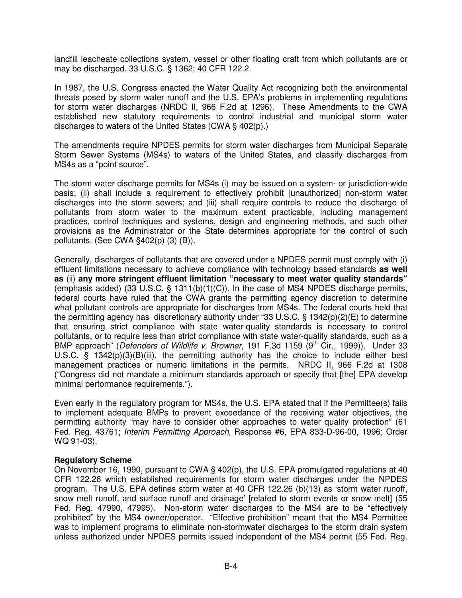landfill leacheate collections system, vessel or other floating craft from which pollutants are or may be discharged. 33 U.S.C. § 1362; 40 CFR 122.2.

In 1987, the U.S. Congress enacted the Water Quality Act recognizing both the environmental threats posed by storm water runoff and the U.S. EPA's problems in implementing regulations for storm water discharges (NRDC II, 966 F.2d at 1296). These Amendments to the CWA established new statutory requirements to control industrial and municipal storm water discharges to waters of the United States (CWA § 402(p).)

The amendments require NPDES permits for storm water discharges from Municipal Separate Storm Sewer Systems (MS4s) to waters of the United States, and classify discharges from MS4s as a "point source".

The storm water discharge permits for MS4s (i) may be issued on a system- or jurisdiction-wide basis; (ii) shall include a requirement to effectively prohibit [unauthorized] non-storm water discharges into the storm sewers; and (iii) shall require controls to reduce the discharge of pollutants from storm water to the maximum extent practicable, including management practices, control techniques and systems, design and engineering methods, and such other provisions as the Administrator or the State determines appropriate for the control of such pollutants. (See CWA §402(p) (3) (B)).

Generally, discharges of pollutants that are covered under a NPDES permit must comply with (i) effluent limitations necessary to achieve compliance with technology based standards **as well as** (ii) **any more stringent effluent limitation "necessary to meet water quality standards"** (emphasis added) (33 U.S.C.  $\S$  1311(b)(1)(C)). In the case of MS4 NPDES discharge permits, federal courts have ruled that the CWA grants the permitting agency discretion to determine what pollutant controls are appropriate for discharges from MS4s. The federal courts held that the permitting agency has discretionary authority under "33 U.S.C. § 1342(p)(2)(E) to determine that ensuring strict compliance with state water-quality standards is necessary to control pollutants, or to require less than strict compliance with state water-quality standards, such as a BMP approach" (Defenders of Wildlife v. Browner, 191 F.3d 1159 (9<sup>th</sup> Cir., 1999)). Under 33 U.S.C. § 1342(p)(3)(B)(iii), the permitting authority has the choice to include either best management practices or numeric limitations in the permits. NRDC II, 966 F.2d at 1308 ("Congress did not mandate a minimum standards approach or specify that [the] EPA develop minimal performance requirements.").

Even early in the regulatory program for MS4s, the U.S. EPA stated that if the Permittee(s) fails to implement adequate BMPs to prevent exceedance of the receiving water objectives, the permitting authority "may have to consider other approaches to water quality protection" (61 Fed. Reg. 43761; Interim Permitting Approach, Response #6, EPA 833-D-96-00, 1996; Order WQ 91-03).

#### **Regulatory Scheme**

On November 16, 1990, pursuant to CWA § 402(p), the U.S. EPA promulgated regulations at 40 CFR 122.26 which established requirements for storm water discharges under the NPDES program. The U.S. EPA defines storm water at 40 CFR 122.26 (b)(13) as 'storm water runoff, snow melt runoff, and surface runoff and drainage' [related to storm events or snow melt] (55 Fed. Reg. 47990, 47995). Non-storm water discharges to the MS4 are to be "effectively prohibited" by the MS4 owner/operator. "Effective prohibition" meant that the MS4 Permittee was to implement programs to eliminate non-stormwater discharges to the storm drain system unless authorized under NPDES permits issued independent of the MS4 permit (55 Fed. Reg.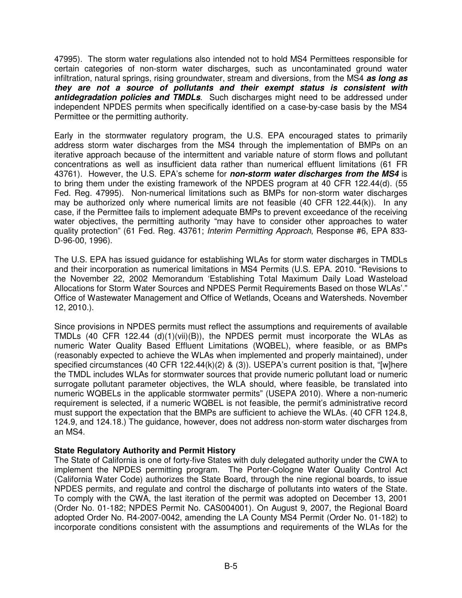47995). The storm water regulations also intended not to hold MS4 Permittees responsible for certain categories of non-storm water discharges, such as uncontaminated ground water infiltration, natural springs, rising groundwater, stream and diversions, from the MS4 **as long as they are not a source of pollutants and their exempt status is consistent with antidegradation policies and TMDLs**. Such discharges might need to be addressed under independent NPDES permits when specifically identified on a case-by-case basis by the MS4 Permittee or the permitting authority.

Early in the stormwater regulatory program, the U.S. EPA encouraged states to primarily address storm water discharges from the MS4 through the implementation of BMPs on an iterative approach because of the intermittent and variable nature of storm flows and pollutant concentrations as well as insufficient data rather than numerical effluent limitations (61 FR 43761). However, the U.S. EPA's scheme for **non-storm water discharges from the MS4** is to bring them under the existing framework of the NPDES program at 40 CFR 122.44(d). (55 Fed. Reg. 47995). Non-numerical limitations such as BMPs for non-storm water discharges may be authorized only where numerical limits are not feasible  $(40 \text{ CFR } 122.44(k))$ . In any case, if the Permittee fails to implement adequate BMPs to prevent exceedance of the receiving water objectives, the permitting authority "may have to consider other approaches to water quality protection" (61 Fed. Reg. 43761; Interim Permitting Approach, Response #6, EPA 833-D-96-00, 1996).

The U.S. EPA has issued guidance for establishing WLAs for storm water discharges in TMDLs and their incorporation as numerical limitations in MS4 Permits (U.S. EPA. 2010. "Revisions to the November 22, 2002 Memorandum 'Establishing Total Maximum Daily Load Wasteload Allocations for Storm Water Sources and NPDES Permit Requirements Based on those WLAs'." Office of Wastewater Management and Office of Wetlands, Oceans and Watersheds. November 12, 2010.).

Since provisions in NPDES permits must reflect the assumptions and requirements of available TMDLs (40 CFR 122.44 (d)(1)(vii)(B)), the NPDES permit must incorporate the WLAs as numeric Water Quality Based Effluent Limitations (WQBEL), where feasible, or as BMPs (reasonably expected to achieve the WLAs when implemented and properly maintained), under specified circumstances (40 CFR 122.44 $(k)(2)$  & (3)). USEPA's current position is that, "[w]here the TMDL includes WLAs for stormwater sources that provide numeric pollutant load or numeric surrogate pollutant parameter objectives, the WLA should, where feasible, be translated into numeric WQBELs in the applicable stormwater permits" (USEPA 2010). Where a non-numeric requirement is selected, if a numeric WQBEL is not feasible, the permit's administrative record must support the expectation that the BMPs are sufficient to achieve the WLAs. (40 CFR 124.8, 124.9, and 124.18.) The guidance, however, does not address non-storm water discharges from an MS4.

### **State Regulatory Authority and Permit History**

The State of California is one of forty-five States with duly delegated authority under the CWA to implement the NPDES permitting program. The Porter-Cologne Water Quality Control Act (California Water Code) authorizes the State Board, through the nine regional boards, to issue NPDES permits, and regulate and control the discharge of pollutants into waters of the State. To comply with the CWA, the last iteration of the permit was adopted on December 13, 2001 (Order No. 01-182; NPDES Permit No. CAS004001). On August 9, 2007, the Regional Board adopted Order No. R4-2007-0042, amending the LA County MS4 Permit (Order No. 01-182) to incorporate conditions consistent with the assumptions and requirements of the WLAs for the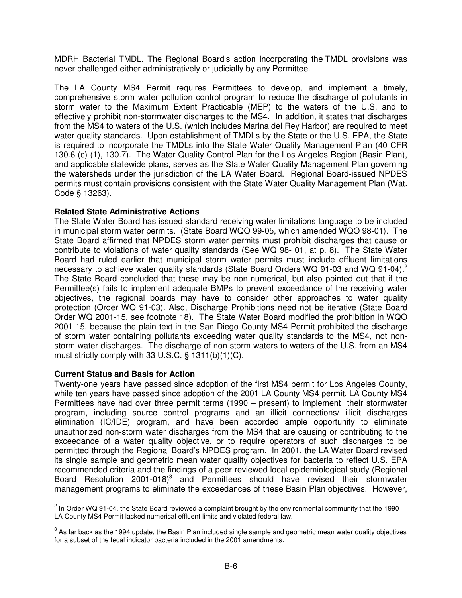MDRH Bacterial TMDL. The Regional Board's action incorporating the TMDL provisions was never challenged either administratively or judicially by any Permittee.

The LA County MS4 Permit requires Permittees to develop, and implement a timely, comprehensive storm water pollution control program to reduce the discharge of pollutants in storm water to the Maximum Extent Practicable (MEP) to the waters of the U.S. and to effectively prohibit non-stormwater discharges to the MS4. In addition, it states that discharges from the MS4 to waters of the U.S. (which includes Marina del Rey Harbor) are required to meet water quality standards. Upon establishment of TMDLs by the State or the U.S. EPA, the State is required to incorporate the TMDLs into the State Water Quality Management Plan (40 CFR 130.6 (c) (1), 130.7). The Water Quality Control Plan for the Los Angeles Region (Basin Plan), and applicable statewide plans, serves as the State Water Quality Management Plan governing the watersheds under the jurisdiction of the LA Water Board. Regional Board-issued NPDES permits must contain provisions consistent with the State Water Quality Management Plan (Wat. Code § 13263).

### **Related State Administrative Actions**

The State Water Board has issued standard receiving water limitations language to be included in municipal storm water permits. (State Board WQO 99-05, which amended WQO 98-01). The State Board affirmed that NPDES storm water permits must prohibit discharges that cause or contribute to violations of water quality standards (See WQ 98- 01, at p. 8). The State Water Board had ruled earlier that municipal storm water permits must include effluent limitations necessary to achieve water quality standards (State Board Orders WQ 91-03 and WQ 91-04).<sup>2</sup> The State Board concluded that these may be non-numerical, but also pointed out that if the Permittee(s) fails to implement adequate BMPs to prevent exceedance of the receiving water objectives, the regional boards may have to consider other approaches to water quality protection (Order WQ 91-03). Also, Discharge Prohibitions need not be iterative (State Board Order WQ 2001-15, see footnote 18). The State Water Board modified the prohibition in WQO 2001-15, because the plain text in the San Diego County MS4 Permit prohibited the discharge of storm water containing pollutants exceeding water quality standards to the MS4, not nonstorm water discharges. The discharge of non-storm waters to waters of the U.S. from an MS4 must strictly comply with 33 U.S.C. § 1311(b)(1)(C).

### **Current Status and Basis for Action**

Twenty-one years have passed since adoption of the first MS4 permit for Los Angeles County, while ten years have passed since adoption of the 2001 LA County MS4 permit. LA County MS4 Permittees have had over three permit terms (1990 – present) to implement their stormwater program, including source control programs and an illicit connections/ illicit discharges elimination (IC/IDE) program, and have been accorded ample opportunity to eliminate unauthorized non-storm water discharges from the MS4 that are causing or contributing to the exceedance of a water quality objective, or to require operators of such discharges to be permitted through the Regional Board's NPDES program. In 2001, the LA Water Board revised its single sample and geometric mean water quality objectives for bacteria to reflect U.S. EPA recommended criteria and the findings of a peer-reviewed local epidemiological study (Regional Board Resolution 2001-018 $)^3$  and Permittees should have revised their stormwater management programs to eliminate the exceedances of these Basin Plan objectives. However,  $\overline{a}$ 

 $2$  In Order WQ 91-04, the State Board reviewed a complaint brought by the environmental community that the 1990 LA County MS4 Permit lacked numerical effluent limits and violated federal law.

 $3$  As far back as the 1994 update, the Basin Plan included single sample and geometric mean water quality objectives for a subset of the fecal indicator bacteria included in the 2001 amendments.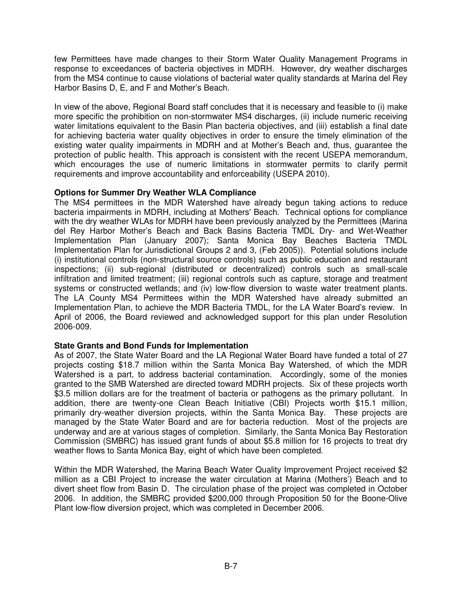few Permittees have made changes to their Storm Water Quality Management Programs in response to exceedances of bacteria objectives in MDRH. However, dry weather discharges from the MS4 continue to cause violations of bacterial water quality standards at Marina del Rey Harbor Basins D, E, and F and Mother's Beach.

In view of the above, Regional Board staff concludes that it is necessary and feasible to (i) make more specific the prohibition on non-stormwater MS4 discharges, (ii) include numeric receiving water limitations equivalent to the Basin Plan bacteria objectives, and (iii) establish a final date for achieving bacteria water quality objectives in order to ensure the timely elimination of the existing water quality impairments in MDRH and at Mother's Beach and, thus, guarantee the protection of public health. This approach is consistent with the recent USEPA memorandum, which encourages the use of numeric limitations in stormwater permits to clarify permit requirements and improve accountability and enforceability (USEPA 2010).

## **Options for Summer Dry Weather WLA Compliance**

The MS4 permittees in the MDR Watershed have already begun taking actions to reduce bacteria impairments in MDRH, including at Mothers' Beach. Technical options for compliance with the dry weather WLAs for MDRH have been previously analyzed by the Permittees (Marina del Rey Harbor Mother's Beach and Back Basins Bacteria TMDL Dry- and Wet-Weather Implementation Plan (January 2007); Santa Monica Bay Beaches Bacteria TMDL Implementation Plan for Jurisdictional Groups 2 and 3, (Feb 2005)). Potential solutions include (i) institutional controls (non-structural source controls) such as public education and restaurant inspections; (ii) sub-regional (distributed or decentralized) controls such as small-scale infiltration and limited treatment; (iii) regional controls such as capture, storage and treatment systems or constructed wetlands; and (iv) low-flow diversion to waste water treatment plants. The LA County MS4 Permittees within the MDR Watershed have already submitted an Implementation Plan, to achieve the MDR Bacteria TMDL, for the LA Water Board's review. In April of 2006, the Board reviewed and acknowledged support for this plan under Resolution 2006-009.

### **State Grants and Bond Funds for Implementation**

As of 2007, the State Water Board and the LA Regional Water Board have funded a total of 27 projects costing \$18.7 million within the Santa Monica Bay Watershed, of which the MDR Watershed is a part, to address bacterial contamination. Accordingly, some of the monies granted to the SMB Watershed are directed toward MDRH projects. Six of these projects worth \$3.5 million dollars are for the treatment of bacteria or pathogens as the primary pollutant. In addition, there are twenty-one Clean Beach Initiative (CBI) Projects worth \$15.1 million, primarily dry-weather diversion projects, within the Santa Monica Bay. These projects are managed by the State Water Board and are for bacteria reduction. Most of the projects are underway and are at various stages of completion. Similarly, the Santa Monica Bay Restoration Commission (SMBRC) has issued grant funds of about \$5.8 million for 16 projects to treat dry weather flows to Santa Monica Bay, eight of which have been completed.

Within the MDR Watershed, the Marina Beach Water Quality Improvement Project received \$2 million as a CBI Project to increase the water circulation at Marina (Mothers') Beach and to divert sheet flow from Basin D. The circulation phase of the project was completed in October 2006. In addition, the SMBRC provided \$200,000 through Proposition 50 for the Boone-Olive Plant low-flow diversion project, which was completed in December 2006.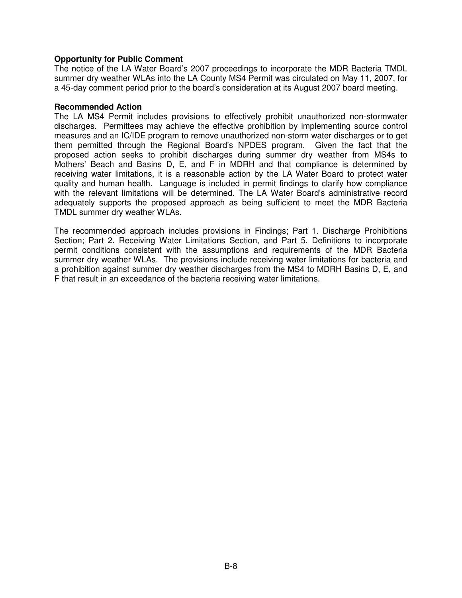### **Opportunity for Public Comment**

The notice of the LA Water Board's 2007 proceedings to incorporate the MDR Bacteria TMDL summer dry weather WLAs into the LA County MS4 Permit was circulated on May 11, 2007, for a 45-day comment period prior to the board's consideration at its August 2007 board meeting.

#### **Recommended Action**

The LA MS4 Permit includes provisions to effectively prohibit unauthorized non-stormwater discharges. Permittees may achieve the effective prohibition by implementing source control measures and an IC/IDE program to remove unauthorized non-storm water discharges or to get them permitted through the Regional Board's NPDES program. Given the fact that the proposed action seeks to prohibit discharges during summer dry weather from MS4s to Mothers' Beach and Basins D, E, and F in MDRH and that compliance is determined by receiving water limitations, it is a reasonable action by the LA Water Board to protect water quality and human health. Language is included in permit findings to clarify how compliance with the relevant limitations will be determined. The LA Water Board's administrative record adequately supports the proposed approach as being sufficient to meet the MDR Bacteria TMDL summer dry weather WLAs.

The recommended approach includes provisions in Findings; Part 1. Discharge Prohibitions Section; Part 2. Receiving Water Limitations Section, and Part 5. Definitions to incorporate permit conditions consistent with the assumptions and requirements of the MDR Bacteria summer dry weather WLAs. The provisions include receiving water limitations for bacteria and a prohibition against summer dry weather discharges from the MS4 to MDRH Basins D, E, and F that result in an exceedance of the bacteria receiving water limitations.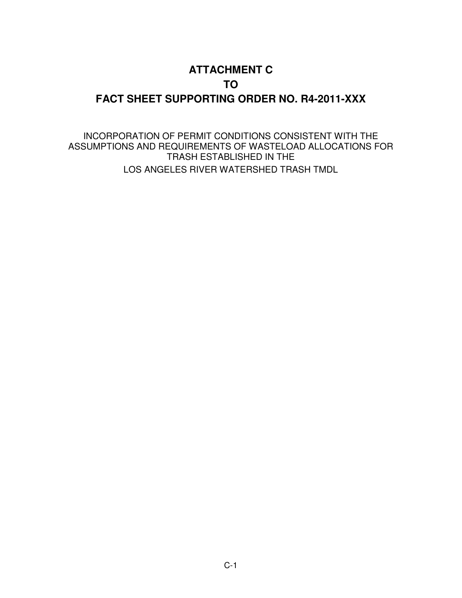# **ATTACHMENT C TO FACT SHEET SUPPORTING ORDER NO. R4-2011-XXX**

INCORPORATION OF PERMIT CONDITIONS CONSISTENT WITH THE ASSUMPTIONS AND REQUIREMENTS OF WASTELOAD ALLOCATIONS FOR TRASH ESTABLISHED IN THE LOS ANGELES RIVER WATERSHED TRASH TMDL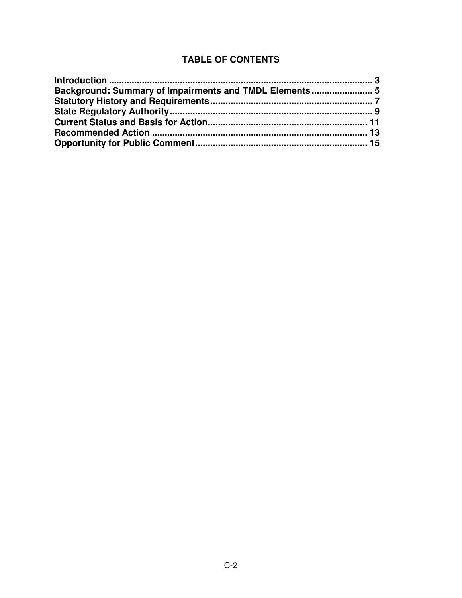## **TABLE OF CONTENTS**

| Background: Summary of Impairments and TMDL Elements  5 |  |
|---------------------------------------------------------|--|
|                                                         |  |
|                                                         |  |
|                                                         |  |
|                                                         |  |
|                                                         |  |
|                                                         |  |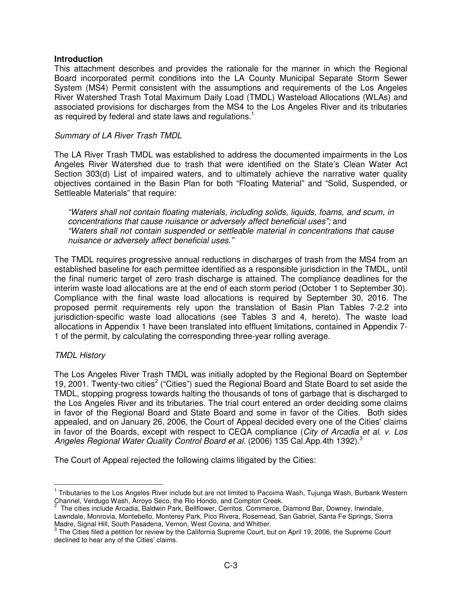### **Introduction**

This attachment describes and provides the rationale for the manner in which the Regional Board incorporated permit conditions into the LA County Municipal Separate Storm Sewer System (MS4) Permit consistent with the assumptions and requirements of the Los Angeles River Watershed Trash Total Maximum Daily Load (TMDL) Wasteload Allocations (WLAs) and associated provisions for discharges from the MS4 to the Los Angeles River and its tributaries as required by federal and state laws and regulations. $<sup>1</sup>$ </sup>

### Summary of LA River Trash TMDL

The LA River Trash TMDL was established to address the documented impairments in the Los Angeles River Watershed due to trash that were identified on the State's Clean Water Act Section 303(d) List of impaired waters, and to ultimately achieve the narrative water quality objectives contained in the Basin Plan for both "Floating Material" and "Solid, Suspended, or Settleable Materials" that require:

"Waters shall not contain floating materials, including solids, liquids, foams, and scum, in concentrations that cause nuisance or adversely affect beneficial uses"; and "Waters shall not contain suspended or settleable material in concentrations that cause nuisance or adversely affect beneficial uses."

The TMDL requires progressive annual reductions in discharges of trash from the MS4 from an established baseline for each permittee identified as a responsible jurisdiction in the TMDL, until the final numeric target of zero trash discharge is attained. The compliance deadlines for the interim waste load allocations are at the end of each storm period (October 1 to September 30). Compliance with the final waste load allocations is required by September 30, 2016. The proposed permit requirements rely upon the translation of Basin Plan Tables 7-2.2 into jurisdiction-specific waste load allocations (see Tables 3 and 4, hereto). The waste load allocations in Appendix 1 have been translated into effluent limitations, contained in Appendix 7- 1 of the permit, by calculating the corresponding three-year rolling average.

### TMDL History

 $\overline{a}$ 

The Los Angeles River Trash TMDL was initially adopted by the Regional Board on September 19, 2001. Twenty-two cities<sup>2</sup> ("Cities") sued the Regional Board and State Board to set aside the TMDL, stopping progress towards halting the thousands of tons of garbage that is discharged to the Los Angeles River and its tributaries. The trial court entered an order deciding some claims in favor of the Regional Board and State Board and some in favor of the Cities. Both sides appealed, and on January 26, 2006, the Court of Appeal decided every one of the Cities' claims in favor of the Boards, except with respect to CEQA compliance (City of Arcadia et al. v. Los Angeles Regional Water Quality Control Board et al. (2006) 135 Cal. App. 4th 1392).<sup>3</sup>

The Court of Appeal rejected the following claims litigated by the Cities:

<sup>1</sup> Tributaries to the Los Angeles River include but are not limited to Pacoima Wash, Tujunga Wash, Burbank Western Channel, Verdugo Wash, Arroyo Seco, the Rio Hondo, and Compton Creek.<br><sup>2</sup> The sities include Areadia, Poldwin Bark, Bollflower, Cerrites, Commerce, I

The cities include Arcadia, Baldwin Park, Bellflower, Cerritos, Commerce, Diamond Bar, Downey, Irwindale, Lawndale, Monrovia, Montebello, Monterey Park, Pico Rivera, Rosemead, San Gabriel, Santa Fe Springs, Sierra Madre, Signal Hill, South Pasadena, Vernon, West Covina, and Whittier.

 $3$  The Cities filed a petition for review by the California Supreme Court, but on April 19, 2006, the Supreme Court declined to hear any of the Cities' claims.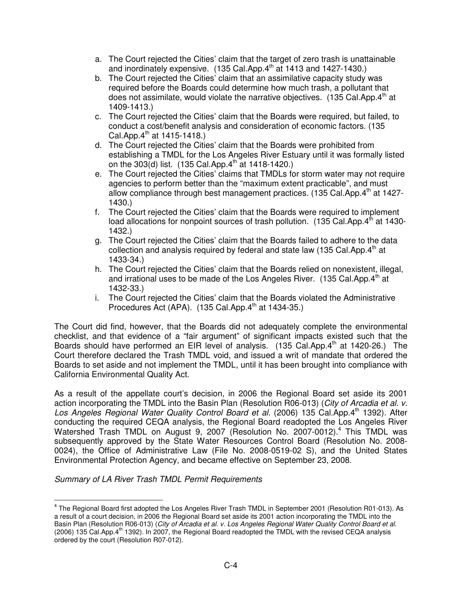- a. The Court rejected the Cities' claim that the target of zero trash is unattainable and inordinately expensive.  $(135 \text{ Cal.App.4}^{\text{th}}$  at 1413 and 1427-1430.)
- b. The Court rejected the Cities' claim that an assimilative capacity study was required before the Boards could determine how much trash, a pollutant that does not assimilate, would violate the narrative objectives.  $(135 \text{ Cal Apo.4}^{\text{th}}$  at 1409-1413.)
- c. The Court rejected the Cities' claim that the Boards were required, but failed, to conduct a cost/benefit analysis and consideration of economic factors. (135 Cal. App.  $4^{th}$  at 1415-1418.)
- d. The Court rejected the Cities' claim that the Boards were prohibited from establishing a TMDL for the Los Angeles River Estuary until it was formally listed on the  $303(d)$  list. (135 Cal.App.4<sup>th</sup> at 1418-1420.)
- e. The Court rejected the Cities' claims that TMDLs for storm water may not require agencies to perform better than the "maximum extent practicable", and must allow compliance through best management practices.  $(135 \text{ Cal}$ .App. $4^{\text{th}}$  at 1427-1430.)
- f. The Court rejected the Cities' claim that the Boards were required to implement load allocations for nonpoint sources of trash pollution.  $(135$  Cal.App. $4<sup>th</sup>$  at 1430-1432.)
- g. The Court rejected the Cities' claim that the Boards failed to adhere to the data collection and analysis required by federal and state law (135 Cal.App. $4<sup>th</sup>$  at 1433-34.)
- h. The Court rejected the Cities' claim that the Boards relied on nonexistent, illegal, and irrational uses to be made of the Los Angeles River. (135 Cal.App. $4<sup>th</sup>$  at 1432-33.)
- i. The Court rejected the Cities' claim that the Boards violated the Administrative Procedures Act (APA).  $(135 \text{ Cal.App.4}^{\text{th}} \text{ at } 1434-35.)$

The Court did find, however, that the Boards did not adequately complete the environmental checklist, and that evidence of a "fair argument" of significant impacts existed such that the Boards should have performed an EIR level of analysis.  $(135 \text{ Cal.App.4}^{\text{th}}$  at 1420-26.) The Court therefore declared the Trash TMDL void, and issued a writ of mandate that ordered the Boards to set aside and not implement the TMDL, until it has been brought into compliance with California Environmental Quality Act.

As a result of the appellate court's decision, in 2006 the Regional Board set aside its 2001 action incorporating the TMDL into the Basin Plan (Resolution R06-013) (City of Arcadia et al. v. Los Angeles Regional Water Quality Control Board et al. (2006) 135 Cal.App.4th 1392). After conducting the required CEQA analysis, the Regional Board readopted the Los Angeles River Watershed Trash TMDL on August 9, 2007 (Resolution No. 2007-0012).<sup>4</sup> This TMDL was subsequently approved by the State Water Resources Control Board (Resolution No. 2008- 0024), the Office of Administrative Law (File No. 2008-0519-02 S), and the United States Environmental Protection Agency, and became effective on September 23, 2008.

Summary of LA River Trash TMDL Permit Requirements

 $\overline{a}$ 

<sup>&</sup>lt;sup>4</sup> The Regional Board first adopted the Los Angeles River Trash TMDL in September 2001 (Resolution R01-013). As a result of a court decision, in 2006 the Regional Board set aside its 2001 action incorporating the TMDL into the Basin Plan (Resolution R06-013) (City of Arcadia et al. v. Los Angeles Regional Water Quality Control Board et al. (2006) 135 Cal.App.4<sup>th</sup> 1392). In 2007, the Regional Board readopted the TMDL with the revised CEQA analysis ordered by the court (Resolution R07-012).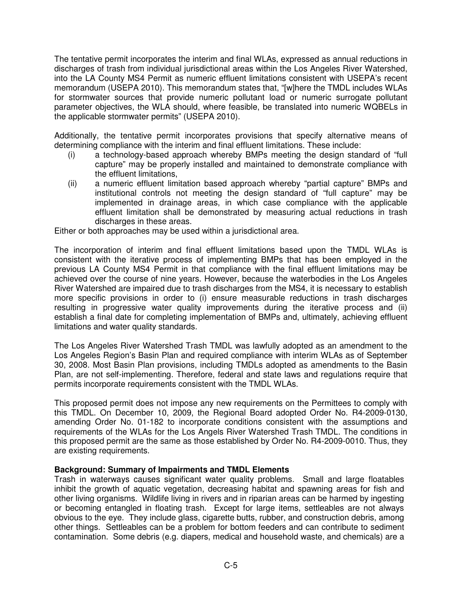The tentative permit incorporates the interim and final WLAs, expressed as annual reductions in discharges of trash from individual jurisdictional areas within the Los Angeles River Watershed, into the LA County MS4 Permit as numeric effluent limitations consistent with USEPA's recent memorandum (USEPA 2010). This memorandum states that, "[w]here the TMDL includes WLAs for stormwater sources that provide numeric pollutant load or numeric surrogate pollutant parameter objectives, the WLA should, where feasible, be translated into numeric WQBELs in the applicable stormwater permits" (USEPA 2010).

Additionally, the tentative permit incorporates provisions that specify alternative means of determining compliance with the interim and final effluent limitations. These include:

- (i) a technology-based approach whereby BMPs meeting the design standard of "full capture" may be properly installed and maintained to demonstrate compliance with the effluent limitations,
- (ii) a numeric effluent limitation based approach whereby "partial capture" BMPs and institutional controls not meeting the design standard of "full capture" may be implemented in drainage areas, in which case compliance with the applicable effluent limitation shall be demonstrated by measuring actual reductions in trash discharges in these areas.

Either or both approaches may be used within a jurisdictional area.

The incorporation of interim and final effluent limitations based upon the TMDL WLAs is consistent with the iterative process of implementing BMPs that has been employed in the previous LA County MS4 Permit in that compliance with the final effluent limitations may be achieved over the course of nine years. However, because the waterbodies in the Los Angeles River Watershed are impaired due to trash discharges from the MS4, it is necessary to establish more specific provisions in order to (i) ensure measurable reductions in trash discharges resulting in progressive water quality improvements during the iterative process and (ii) establish a final date for completing implementation of BMPs and, ultimately, achieving effluent limitations and water quality standards.

The Los Angeles River Watershed Trash TMDL was lawfully adopted as an amendment to the Los Angeles Region's Basin Plan and required compliance with interim WLAs as of September 30, 2008. Most Basin Plan provisions, including TMDLs adopted as amendments to the Basin Plan, are not self-implementing. Therefore, federal and state laws and regulations require that permits incorporate requirements consistent with the TMDL WLAs.

This proposed permit does not impose any new requirements on the Permittees to comply with this TMDL. On December 10, 2009, the Regional Board adopted Order No. R4-2009-0130, amending Order No. 01-182 to incorporate conditions consistent with the assumptions and requirements of the WLAs for the Los Angels River Watershed Trash TMDL. The conditions in this proposed permit are the same as those established by Order No. R4-2009-0010. Thus, they are existing requirements.

### **Background: Summary of Impairments and TMDL Elements**

Trash in waterways causes significant water quality problems. Small and large floatables inhibit the growth of aquatic vegetation, decreasing habitat and spawning areas for fish and other living organisms. Wildlife living in rivers and in riparian areas can be harmed by ingesting or becoming entangled in floating trash. Except for large items, settleables are not always obvious to the eye. They include glass, cigarette butts, rubber, and construction debris, among other things. Settleables can be a problem for bottom feeders and can contribute to sediment contamination. Some debris (e.g. diapers, medical and household waste, and chemicals) are a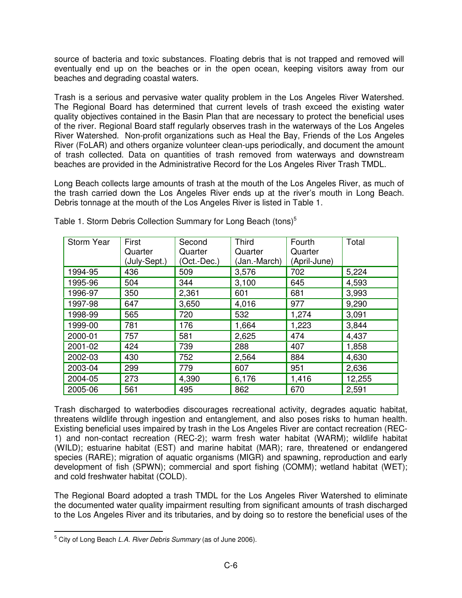source of bacteria and toxic substances. Floating debris that is not trapped and removed will eventually end up on the beaches or in the open ocean, keeping visitors away from our beaches and degrading coastal waters.

Trash is a serious and pervasive water quality problem in the Los Angeles River Watershed. The Regional Board has determined that current levels of trash exceed the existing water quality objectives contained in the Basin Plan that are necessary to protect the beneficial uses of the river. Regional Board staff regularly observes trash in the waterways of the Los Angeles River Watershed. Non-profit organizations such as Heal the Bay, Friends of the Los Angeles River (FoLAR) and others organize volunteer clean-ups periodically, and document the amount of trash collected. Data on quantities of trash removed from waterways and downstream beaches are provided in the Administrative Record for the Los Angeles River Trash TMDL.

Long Beach collects large amounts of trash at the mouth of the Los Angeles River, as much of the trash carried down the Los Angeles River ends up at the river's mouth in Long Beach. Debris tonnage at the mouth of the Los Angeles River is listed in Table 1.

| <b>Storm Year</b> | First<br>Quarter<br>(July-Sept.) | Second<br>Quarter<br>(Oct.-Dec.) | <b>Third</b><br>Quarter<br>(Jan.-March) | Fourth<br>Quarter<br>(April-June) | Total  |
|-------------------|----------------------------------|----------------------------------|-----------------------------------------|-----------------------------------|--------|
| 1994-95           | 436                              | 509                              | 3,576                                   | 702                               | 5,224  |
| 1995-96           | 504                              | 344                              | 3,100                                   | 645                               | 4,593  |
| 1996-97           | 350                              | 2,361                            | 601                                     | 681                               | 3,993  |
| 1997-98           | 647                              | 3,650                            | 4,016                                   | 977                               | 9,290  |
| 1998-99           | 565                              | 720                              | 532                                     | 1,274                             | 3,091  |
| 1999-00           | 781                              | 176                              | 1,664                                   | 1,223                             | 3,844  |
| 2000-01           | 757                              | 581                              | 2,625                                   | 474                               | 4,437  |
| 2001-02           | 424                              | 739                              | 288                                     | 407                               | 1,858  |
| 2002-03           | 430                              | 752                              | 2,564                                   | 884                               | 4,630  |
| 2003-04           | 299                              | 779                              | 607                                     | 951                               | 2,636  |
| 2004-05           | 273                              | 4,390                            | 6,176                                   | 1,416                             | 12,255 |
| 2005-06           | 561                              | 495                              | 862                                     | 670                               | 2,591  |

Table 1. Storm Debris Collection Summary for Long Beach (tons)<sup>5</sup>

Trash discharged to waterbodies discourages recreational activity, degrades aquatic habitat, threatens wildlife through ingestion and entanglement, and also poses risks to human health. Existing beneficial uses impaired by trash in the Los Angeles River are contact recreation (REC-1) and non-contact recreation (REC-2); warm fresh water habitat (WARM); wildlife habitat (WILD); estuarine habitat (EST) and marine habitat (MAR); rare, threatened or endangered species (RARE); migration of aquatic organisms (MIGR) and spawning, reproduction and early development of fish (SPWN); commercial and sport fishing (COMM); wetland habitat (WET); and cold freshwater habitat (COLD).

The Regional Board adopted a trash TMDL for the Los Angeles River Watershed to eliminate the documented water quality impairment resulting from significant amounts of trash discharged to the Los Angeles River and its tributaries, and by doing so to restore the beneficial uses of the

 $\overline{a}$ 

 $^5$  City of Long Beach *L.A. River Debris Summary* (as of June 2006).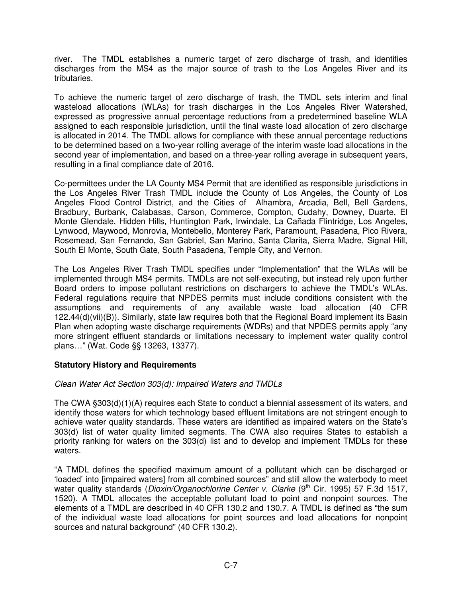river. The TMDL establishes a numeric target of zero discharge of trash, and identifies discharges from the MS4 as the major source of trash to the Los Angeles River and its tributaries.

To achieve the numeric target of zero discharge of trash, the TMDL sets interim and final wasteload allocations (WLAs) for trash discharges in the Los Angeles River Watershed, expressed as progressive annual percentage reductions from a predetermined baseline WLA assigned to each responsible jurisdiction, until the final waste load allocation of zero discharge is allocated in 2014. The TMDL allows for compliance with these annual percentage reductions to be determined based on a two-year rolling average of the interim waste load allocations in the second year of implementation, and based on a three-year rolling average in subsequent years, resulting in a final compliance date of 2016.

Co-permittees under the LA County MS4 Permit that are identified as responsible jurisdictions in the Los Angeles River Trash TMDL include the County of Los Angeles, the County of Los Angeles Flood Control District, and the Cities of Alhambra, Arcadia, Bell, Bell Gardens, Bradbury, Burbank, Calabasas, Carson, Commerce, Compton, Cudahy, Downey, Duarte, El Monte Glendale, Hidden Hills, Huntington Park, Irwindale, La Cañada Flintridge, Los Angeles, Lynwood, Maywood, Monrovia, Montebello, Monterey Park, Paramount, Pasadena, Pico Rivera, Rosemead, San Fernando, San Gabriel, San Marino, Santa Clarita, Sierra Madre, Signal Hill, South El Monte, South Gate, South Pasadena, Temple City, and Vernon.

The Los Angeles River Trash TMDL specifies under "Implementation" that the WLAs will be implemented through MS4 permits. TMDLs are not self-executing, but instead rely upon further Board orders to impose pollutant restrictions on dischargers to achieve the TMDL's WLAs. Federal regulations require that NPDES permits must include conditions consistent with the assumptions and requirements of any available waste load allocation (40 CFR 122.44(d)(vii)(B)). Similarly, state law requires both that the Regional Board implement its Basin Plan when adopting waste discharge requirements (WDRs) and that NPDES permits apply "any more stringent effluent standards or limitations necessary to implement water quality control plans…" (Wat. Code §§ 13263, 13377).

### **Statutory History and Requirements**

## Clean Water Act Section 303(d): Impaired Waters and TMDLs

The CWA §303(d)(1)(A) requires each State to conduct a biennial assessment of its waters, and identify those waters for which technology based effluent limitations are not stringent enough to achieve water quality standards. These waters are identified as impaired waters on the State's 303(d) list of water quality limited segments. The CWA also requires States to establish a priority ranking for waters on the 303(d) list and to develop and implement TMDLs for these waters.

"A TMDL defines the specified maximum amount of a pollutant which can be discharged or 'loaded' into [impaired waters] from all combined sources" and still allow the waterbody to meet water quality standards (*Dioxin/Organochlorine Center v. Clarke* (9<sup>th</sup> Cir. 1995) 57 F.3d 1517, 1520). A TMDL allocates the acceptable pollutant load to point and nonpoint sources. The elements of a TMDL are described in 40 CFR 130.2 and 130.7. A TMDL is defined as "the sum of the individual waste load allocations for point sources and load allocations for nonpoint sources and natural background" (40 CFR 130.2).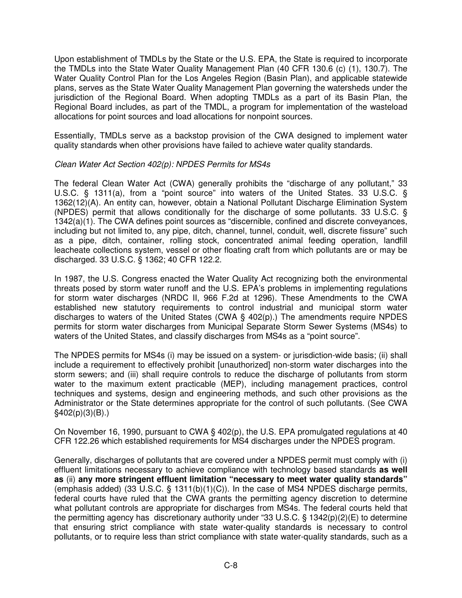Upon establishment of TMDLs by the State or the U.S. EPA, the State is required to incorporate the TMDLs into the State Water Quality Management Plan (40 CFR 130.6 (c) (1), 130.7). The Water Quality Control Plan for the Los Angeles Region (Basin Plan), and applicable statewide plans, serves as the State Water Quality Management Plan governing the watersheds under the jurisdiction of the Regional Board. When adopting TMDLs as a part of its Basin Plan, the Regional Board includes, as part of the TMDL, a program for implementation of the wasteload allocations for point sources and load allocations for nonpoint sources.

Essentially, TMDLs serve as a backstop provision of the CWA designed to implement water quality standards when other provisions have failed to achieve water quality standards.

### Clean Water Act Section 402(p): NPDES Permits for MS4s

The federal Clean Water Act (CWA) generally prohibits the "discharge of any pollutant," 33 U.S.C. § 1311(a), from a "point source" into waters of the United States. 33 U.S.C. § 1362(12)(A). An entity can, however, obtain a National Pollutant Discharge Elimination System (NPDES) permit that allows conditionally for the discharge of some pollutants. 33 U.S.C. § 1342(a)(1). The CWA defines point sources as "discernible, confined and discrete conveyances, including but not limited to, any pipe, ditch, channel, tunnel, conduit, well, discrete fissure" such as a pipe, ditch, container, rolling stock, concentrated animal feeding operation, landfill leacheate collections system, vessel or other floating craft from which pollutants are or may be discharged. 33 U.S.C. § 1362; 40 CFR 122.2.

In 1987, the U.S. Congress enacted the Water Quality Act recognizing both the environmental threats posed by storm water runoff and the U.S. EPA's problems in implementing regulations for storm water discharges (NRDC II, 966 F.2d at 1296). These Amendments to the CWA established new statutory requirements to control industrial and municipal storm water discharges to waters of the United States (CWA § 402(p).) The amendments require NPDES permits for storm water discharges from Municipal Separate Storm Sewer Systems (MS4s) to waters of the United States, and classify discharges from MS4s as a "point source".

The NPDES permits for MS4s (i) may be issued on a system- or jurisdiction-wide basis; (ii) shall include a requirement to effectively prohibit [unauthorized] non-storm water discharges into the storm sewers; and (iii) shall require controls to reduce the discharge of pollutants from storm water to the maximum extent practicable (MEP), including management practices, control techniques and systems, design and engineering methods, and such other provisions as the Administrator or the State determines appropriate for the control of such pollutants. (See CWA  $§402(p)(3)(B).$ 

On November 16, 1990, pursuant to CWA § 402(p), the U.S. EPA promulgated regulations at 40 CFR 122.26 which established requirements for MS4 discharges under the NPDES program.

Generally, discharges of pollutants that are covered under a NPDES permit must comply with (i) effluent limitations necessary to achieve compliance with technology based standards **as well as** (ii) **any more stringent effluent limitation "necessary to meet water quality standards"** (emphasis added) (33 U.S.C. § 1311(b)(1)(C)). In the case of MS4 NPDES discharge permits, federal courts have ruled that the CWA grants the permitting agency discretion to determine what pollutant controls are appropriate for discharges from MS4s. The federal courts held that the permitting agency has discretionary authority under "33 U.S.C. § 1342(p)(2)(E) to determine that ensuring strict compliance with state water-quality standards is necessary to control pollutants, or to require less than strict compliance with state water-quality standards, such as a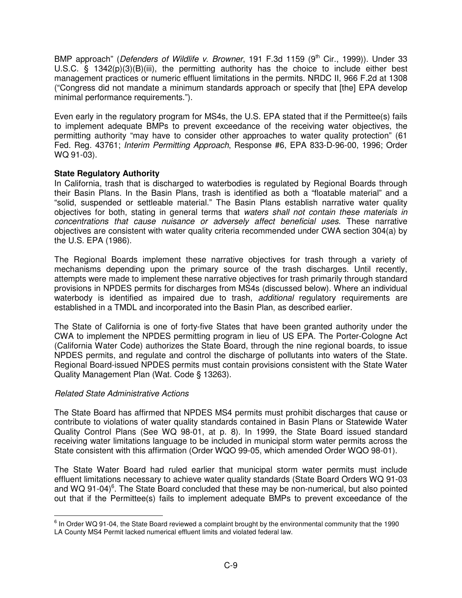BMP approach" (Defenders of Wildlife v. Browner, 191 F.3d 1159 (9<sup>th</sup> Cir., 1999)). Under 33 U.S.C. § 1342(p)(3)(B)(iii), the permitting authority has the choice to include either best management practices or numeric effluent limitations in the permits. NRDC II, 966 F.2d at 1308 ("Congress did not mandate a minimum standards approach or specify that [the] EPA develop minimal performance requirements.").

Even early in the regulatory program for MS4s, the U.S. EPA stated that if the Permittee(s) fails to implement adequate BMPs to prevent exceedance of the receiving water objectives, the permitting authority "may have to consider other approaches to water quality protection" (61 Fed. Reg. 43761; Interim Permitting Approach, Response #6, EPA 833-D-96-00, 1996; Order WQ 91-03).

## **State Regulatory Authority**

In California, trash that is discharged to waterbodies is regulated by Regional Boards through their Basin Plans. In the Basin Plans, trash is identified as both a "floatable material" and a "solid, suspended or settleable material." The Basin Plans establish narrative water quality objectives for both, stating in general terms that waters shall not contain these materials in concentrations that cause nuisance or adversely affect beneficial uses. These narrative objectives are consistent with water quality criteria recommended under CWA section 304(a) by the U.S. EPA (1986).

The Regional Boards implement these narrative objectives for trash through a variety of mechanisms depending upon the primary source of the trash discharges. Until recently, attempts were made to implement these narrative objectives for trash primarily through standard provisions in NPDES permits for discharges from MS4s (discussed below). Where an individual waterbody is identified as impaired due to trash, *additional* regulatory requirements are established in a TMDL and incorporated into the Basin Plan, as described earlier.

The State of California is one of forty-five States that have been granted authority under the CWA to implement the NPDES permitting program in lieu of US EPA. The Porter-Cologne Act (California Water Code) authorizes the State Board, through the nine regional boards, to issue NPDES permits, and regulate and control the discharge of pollutants into waters of the State. Regional Board-issued NPDES permits must contain provisions consistent with the State Water Quality Management Plan (Wat. Code § 13263).

### Related State Administrative Actions

 $\overline{a}$ 

The State Board has affirmed that NPDES MS4 permits must prohibit discharges that cause or contribute to violations of water quality standards contained in Basin Plans or Statewide Water Quality Control Plans (See WQ 98-01, at p. 8). In 1999, the State Board issued standard receiving water limitations language to be included in municipal storm water permits across the State consistent with this affirmation (Order WQO 99-05, which amended Order WQO 98-01).

The State Water Board had ruled earlier that municipal storm water permits must include effluent limitations necessary to achieve water quality standards (State Board Orders WQ 91-03 and WQ 91-04 $)^6$ . The State Board concluded that these may be non-numerical, but also pointed out that if the Permittee(s) fails to implement adequate BMPs to prevent exceedance of the

 $^6$  In Order WQ 91-04, the State Board reviewed a complaint brought by the environmental community that the 1990 LA County MS4 Permit lacked numerical effluent limits and violated federal law.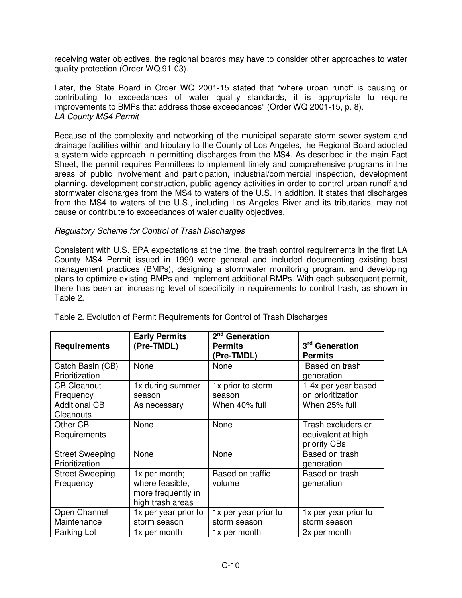receiving water objectives, the regional boards may have to consider other approaches to water quality protection (Order WQ 91-03).

Later, the State Board in Order WQ 2001-15 stated that "where urban runoff is causing or contributing to exceedances of water quality standards, it is appropriate to require improvements to BMPs that address those exceedances" (Order WQ 2001-15, p. 8). LA County MS4 Permit

Because of the complexity and networking of the municipal separate storm sewer system and drainage facilities within and tributary to the County of Los Angeles, the Regional Board adopted a system-wide approach in permitting discharges from the MS4. As described in the main Fact Sheet, the permit requires Permittees to implement timely and comprehensive programs in the areas of public involvement and participation, industrial/commercial inspection, development planning, development construction, public agency activities in order to control urban runoff and stormwater discharges from the MS4 to waters of the U.S. In addition, it states that discharges from the MS4 to waters of the U.S., including Los Angeles River and its tributaries, may not cause or contribute to exceedances of water quality objectives.

### Regulatory Scheme for Control of Trash Discharges

Consistent with U.S. EPA expectations at the time, the trash control requirements in the first LA County MS4 Permit issued in 1990 were general and included documenting existing best management practices (BMPs), designing a stormwater monitoring program, and developing plans to optimize existing BMPs and implement additional BMPs. With each subsequent permit, there has been an increasing level of specificity in requirements to control trash, as shown in Table 2.

| <b>Requirements</b>                      | <b>Early Permits</b><br>(Pre-TMDL)                                         | 2 <sup>nd</sup> Generation<br><b>Permits</b><br>(Pre-TMDL) | 3 <sup>rd</sup> Generation<br><b>Permits</b>             |
|------------------------------------------|----------------------------------------------------------------------------|------------------------------------------------------------|----------------------------------------------------------|
| Catch Basin (CB)<br>Prioritization       | None                                                                       | None                                                       | Based on trash<br>generation                             |
| <b>CB Cleanout</b><br>Frequency          | 1x during summer<br>season                                                 | 1x prior to storm<br>season                                | 1-4x per year based<br>on prioritization                 |
| <b>Additional CB</b><br>Cleanouts        | As necessary                                                               | When 40% full                                              | When 25% full                                            |
| Other CB<br>Requirements                 | None                                                                       | None                                                       | Trash excluders or<br>equivalent at high<br>priority CBs |
| <b>Street Sweeping</b><br>Prioritization | None                                                                       | None                                                       | Based on trash<br>generation                             |
| <b>Street Sweeping</b><br>Frequency      | 1x per month;<br>where feasible,<br>more frequently in<br>high trash areas | Based on traffic<br>volume                                 | Based on trash<br>generation                             |
| Open Channel<br>Maintenance              | 1x per year prior to<br>storm season                                       | 1x per year prior to<br>storm season                       | 1x per year prior to<br>storm season                     |
| Parking Lot                              | 1x per month                                                               | 1x per month                                               | 2x per month                                             |

Table 2. Evolution of Permit Requirements for Control of Trash Discharges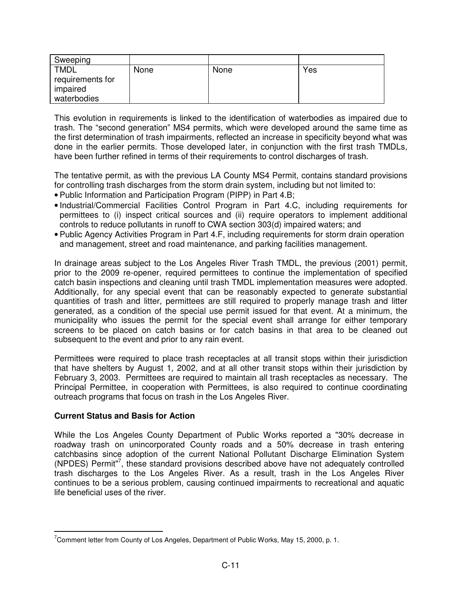| Sweeping                                                   |      |      |     |
|------------------------------------------------------------|------|------|-----|
| <b>TMDL</b><br>requirements for<br>impaired<br>waterbodies | None | None | Yes |

This evolution in requirements is linked to the identification of waterbodies as impaired due to trash. The "second generation" MS4 permits, which were developed around the same time as the first determination of trash impairments, reflected an increase in specificity beyond what was done in the earlier permits. Those developed later, in conjunction with the first trash TMDLs, have been further refined in terms of their requirements to control discharges of trash.

The tentative permit, as with the previous LA County MS4 Permit, contains standard provisions for controlling trash discharges from the storm drain system, including but not limited to:

- Public Information and Participation Program (PIPP) in Part 4.B;
- Industrial/Commercial Facilities Control Program in Part 4.C, including requirements for permittees to (i) inspect critical sources and (ii) require operators to implement additional controls to reduce pollutants in runoff to CWA section 303(d) impaired waters; and
- Public Agency Activities Program in Part 4.F, including requirements for storm drain operation and management, street and road maintenance, and parking facilities management.

In drainage areas subject to the Los Angeles River Trash TMDL, the previous (2001) permit, prior to the 2009 re-opener, required permittees to continue the implementation of specified catch basin inspections and cleaning until trash TMDL implementation measures were adopted. Additionally, for any special event that can be reasonably expected to generate substantial quantities of trash and litter, permittees are still required to properly manage trash and litter generated, as a condition of the special use permit issued for that event. At a minimum, the municipality who issues the permit for the special event shall arrange for either temporary screens to be placed on catch basins or for catch basins in that area to be cleaned out subsequent to the event and prior to any rain event.

Permittees were required to place trash receptacles at all transit stops within their jurisdiction that have shelters by August 1, 2002, and at all other transit stops within their jurisdiction by February 3, 2003. Permittees are required to maintain all trash receptacles as necessary. The Principal Permittee, in cooperation with Permittees, is also required to continue coordinating outreach programs that focus on trash in the Los Angeles River.

### **Current Status and Basis for Action**

 $\overline{a}$ 

While the Los Angeles County Department of Public Works reported a "30% decrease in roadway trash on unincorporated County roads and a 50% decrease in trash entering catchbasins since adoption of the current National Pollutant Discharge Elimination System (NPDES) Permit"<sup>7</sup>, these standard provisions described above have not adequately controlled trash discharges to the Los Angeles River. As a result, trash in the Los Angeles River continues to be a serious problem, causing continued impairments to recreational and aquatic life beneficial uses of the river.

 $7$ Comment letter from County of Los Angeles, Department of Public Works, May 15, 2000, p. 1.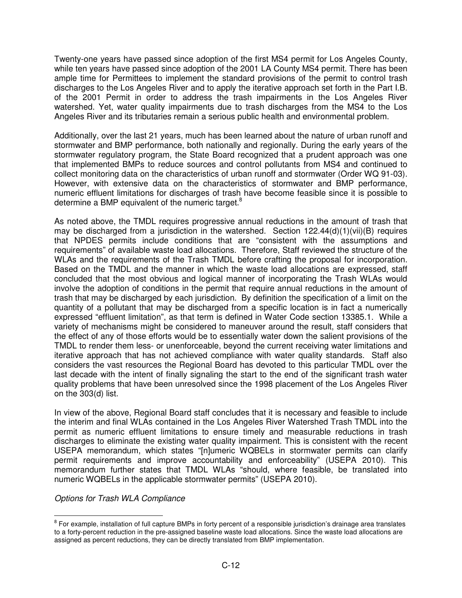Twenty-one years have passed since adoption of the first MS4 permit for Los Angeles County, while ten years have passed since adoption of the 2001 LA County MS4 permit. There has been ample time for Permittees to implement the standard provisions of the permit to control trash discharges to the Los Angeles River and to apply the iterative approach set forth in the Part I.B. of the 2001 Permit in order to address the trash impairments in the Los Angeles River watershed. Yet, water quality impairments due to trash discharges from the MS4 to the Los Angeles River and its tributaries remain a serious public health and environmental problem.

Additionally, over the last 21 years, much has been learned about the nature of urban runoff and stormwater and BMP performance, both nationally and regionally. During the early years of the stormwater regulatory program, the State Board recognized that a prudent approach was one that implemented BMPs to reduce sources and control pollutants from MS4 and continued to collect monitoring data on the characteristics of urban runoff and stormwater (Order WQ 91-03). However, with extensive data on the characteristics of stormwater and BMP performance, numeric effluent limitations for discharges of trash have become feasible since it is possible to determine a BMP equivalent of the numeric target. $8$ 

As noted above, the TMDL requires progressive annual reductions in the amount of trash that may be discharged from a jurisdiction in the watershed. Section  $122.44(d)(1)(vi)(B)$  requires that NPDES permits include conditions that are "consistent with the assumptions and requirements" of available waste load allocations. Therefore, Staff reviewed the structure of the WLAs and the requirements of the Trash TMDL before crafting the proposal for incorporation. Based on the TMDL and the manner in which the waste load allocations are expressed, staff concluded that the most obvious and logical manner of incorporating the Trash WLAs would involve the adoption of conditions in the permit that require annual reductions in the amount of trash that may be discharged by each jurisdiction. By definition the specification of a limit on the quantity of a pollutant that may be discharged from a specific location is in fact a numerically expressed "effluent limitation", as that term is defined in Water Code section 13385.1. While a variety of mechanisms might be considered to maneuver around the result, staff considers that the effect of any of those efforts would be to essentially water down the salient provisions of the TMDL to render them less- or unenforceable, beyond the current receiving water limitations and iterative approach that has not achieved compliance with water quality standards. Staff also considers the vast resources the Regional Board has devoted to this particular TMDL over the last decade with the intent of finally signaling the start to the end of the significant trash water quality problems that have been unresolved since the 1998 placement of the Los Angeles River on the 303(d) list.

In view of the above, Regional Board staff concludes that it is necessary and feasible to include the interim and final WLAs contained in the Los Angeles River Watershed Trash TMDL into the permit as numeric effluent limitations to ensure timely and measurable reductions in trash discharges to eliminate the existing water quality impairment. This is consistent with the recent USEPA memorandum, which states "[n]umeric WQBELs in stormwater permits can clarify permit requirements and improve accountability and enforceability" (USEPA 2010). This memorandum further states that TMDL WLAs "should, where feasible, be translated into numeric WQBELs in the applicable stormwater permits" (USEPA 2010).

Options for Trash WLA Compliance

 $\overline{a}$ 

<sup>&</sup>lt;sup>8</sup> For example, installation of full capture BMPs in forty percent of a responsible jurisdiction's drainage area translates to a forty-percent reduction in the pre-assigned baseline waste load allocations. Since the waste load allocations are assigned as percent reductions, they can be directly translated from BMP implementation.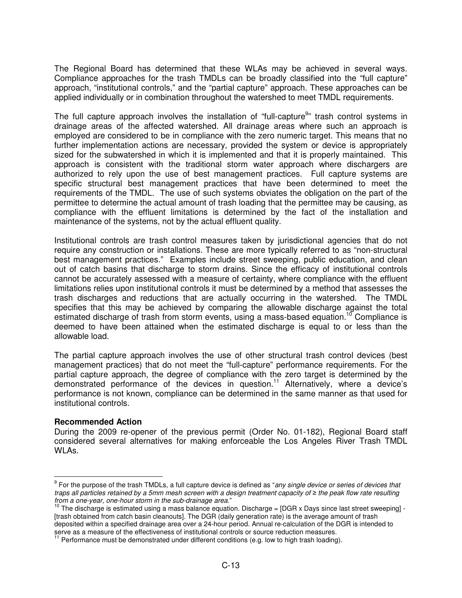The Regional Board has determined that these WLAs may be achieved in several ways. Compliance approaches for the trash TMDLs can be broadly classified into the "full capture" approach, "institutional controls," and the "partial capture" approach. These approaches can be applied individually or in combination throughout the watershed to meet TMDL requirements.

The full capture approach involves the installation of "full-capture<sup>9</sup>" trash control systems in drainage areas of the affected watershed. All drainage areas where such an approach is employed are considered to be in compliance with the zero numeric target. This means that no further implementation actions are necessary, provided the system or device is appropriately sized for the subwatershed in which it is implemented and that it is properly maintained. This approach is consistent with the traditional storm water approach where dischargers are authorized to rely upon the use of best management practices. Full capture systems are specific structural best management practices that have been determined to meet the requirements of the TMDL. The use of such systems obviates the obligation on the part of the permittee to determine the actual amount of trash loading that the permittee may be causing, as compliance with the effluent limitations is determined by the fact of the installation and maintenance of the systems, not by the actual effluent quality.

Institutional controls are trash control measures taken by jurisdictional agencies that do not require any construction or installations. These are more typically referred to as "non-structural best management practices." Examples include street sweeping, public education, and clean out of catch basins that discharge to storm drains. Since the efficacy of institutional controls cannot be accurately assessed with a measure of certainty, where compliance with the effluent limitations relies upon institutional controls it must be determined by a method that assesses the trash discharges and reductions that are actually occurring in the watershed. The TMDL specifies that this may be achieved by comparing the allowable discharge against the total estimated discharge of trash from storm events, using a mass-based equation.<sup>10</sup> Compliance is deemed to have been attained when the estimated discharge is equal to or less than the allowable load.

The partial capture approach involves the use of other structural trash control devices (best management practices) that do not meet the "full-capture" performance requirements. For the partial capture approach, the degree of compliance with the zero target is determined by the demonstrated performance of the devices in question. <sup>11</sup> Alternatively, where a device's performance is not known, compliance can be determined in the same manner as that used for institutional controls.

### **Recommended Action**

 $\overline{a}$ 

During the 2009 re-opener of the previous permit (Order No. 01-182), Regional Board staff considered several alternatives for making enforceable the Los Angeles River Trash TMDL WLAs.

<sup>&</sup>lt;sup>9</sup> For the purpose of the trash TMDLs, a full capture device is defined as "any single device or series of devices that traps all particles retained by a 5mm mesh screen with a design treatment capacity of ≥ the peak flow rate resulting from a one-year, one-hour storm in the sub-drainage area."

 $10$  The discharge is estimated using a mass balance equation. Discharge = [DGR x Days since last street sweeping] -[trash obtained from catch basin cleanouts]. The DGR (daily generation rate) is the average amount of trash deposited within a specified drainage area over a 24-hour period. Annual re-calculation of the DGR is intended to serve as a measure of the effectiveness of institutional controls or source reduction measures.

Performance must be demonstrated under different conditions (e.g. low to high trash loading).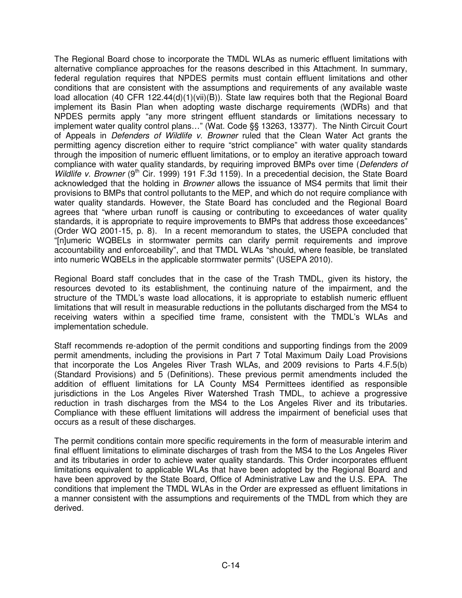The Regional Board chose to incorporate the TMDL WLAs as numeric effluent limitations with alternative compliance approaches for the reasons described in this Attachment. In summary, federal regulation requires that NPDES permits must contain effluent limitations and other conditions that are consistent with the assumptions and requirements of any available waste load allocation (40 CFR 122.44(d)(1)(vii)(B)). State law requires both that the Regional Board implement its Basin Plan when adopting waste discharge requirements (WDRs) and that NPDES permits apply "any more stringent effluent standards or limitations necessary to implement water quality control plans…" (Wat. Code §§ 13263, 13377). The Ninth Circuit Court of Appeals in Defenders of Wildlife v. Browner ruled that the Clean Water Act grants the permitting agency discretion either to require "strict compliance" with water quality standards through the imposition of numeric effluent limitations, or to employ an iterative approach toward compliance with water quality standards, by requiring improved BMPs over time (Defenders of Wildlife v. Browner ( $9<sup>th</sup>$  Cir. 1999) 191 F.3d 1159). In a precedential decision, the State Board acknowledged that the holding in Browner allows the issuance of MS4 permits that limit their provisions to BMPs that control pollutants to the MEP, and which do not require compliance with water quality standards. However, the State Board has concluded and the Regional Board agrees that "where urban runoff is causing or contributing to exceedances of water quality standards, it is appropriate to require improvements to BMPs that address those exceedances" (Order WQ 2001-15, p. 8). In a recent memorandum to states, the USEPA concluded that "[n]umeric WQBELs in stormwater permits can clarify permit requirements and improve accountability and enforceability", and that TMDL WLAs "should, where feasible, be translated into numeric WQBELs in the applicable stormwater permits" (USEPA 2010).

Regional Board staff concludes that in the case of the Trash TMDL, given its history, the resources devoted to its establishment, the continuing nature of the impairment, and the structure of the TMDL's waste load allocations, it is appropriate to establish numeric effluent limitations that will result in measurable reductions in the pollutants discharged from the MS4 to receiving waters within a specified time frame, consistent with the TMDL's WLAs and implementation schedule.

Staff recommends re-adoption of the permit conditions and supporting findings from the 2009 permit amendments, including the provisions in Part 7 Total Maximum Daily Load Provisions that incorporate the Los Angeles River Trash WLAs, and 2009 revisions to Parts 4.F.5(b) (Standard Provisions) and 5 (Definitions). These previous permit amendments included the addition of effluent limitations for LA County MS4 Permittees identified as responsible jurisdictions in the Los Angeles River Watershed Trash TMDL, to achieve a progressive reduction in trash discharges from the MS4 to the Los Angeles River and its tributaries. Compliance with these effluent limitations will address the impairment of beneficial uses that occurs as a result of these discharges.

The permit conditions contain more specific requirements in the form of measurable interim and final effluent limitations to eliminate discharges of trash from the MS4 to the Los Angeles River and its tributaries in order to achieve water quality standards. This Order incorporates effluent limitations equivalent to applicable WLAs that have been adopted by the Regional Board and have been approved by the State Board, Office of Administrative Law and the U.S. EPA. The conditions that implement the TMDL WLAs in the Order are expressed as effluent limitations in a manner consistent with the assumptions and requirements of the TMDL from which they are derived.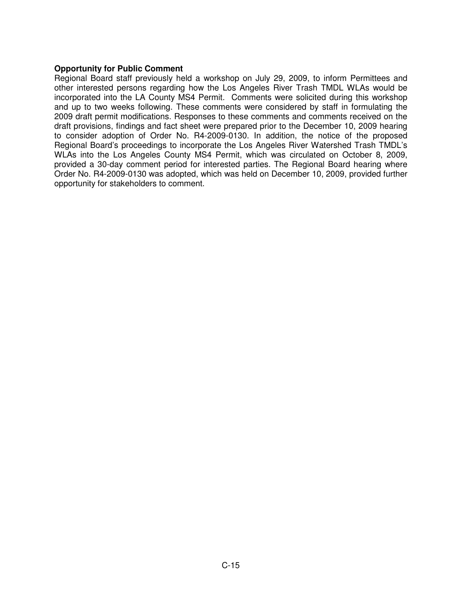## **Opportunity for Public Comment**

Regional Board staff previously held a workshop on July 29, 2009, to inform Permittees and other interested persons regarding how the Los Angeles River Trash TMDL WLAs would be incorporated into the LA County MS4 Permit. Comments were solicited during this workshop and up to two weeks following. These comments were considered by staff in formulating the 2009 draft permit modifications. Responses to these comments and comments received on the draft provisions, findings and fact sheet were prepared prior to the December 10, 2009 hearing to consider adoption of Order No. R4-2009-0130. In addition, the notice of the proposed Regional Board's proceedings to incorporate the Los Angeles River Watershed Trash TMDL's WLAs into the Los Angeles County MS4 Permit, which was circulated on October 8, 2009, provided a 30-day comment period for interested parties. The Regional Board hearing where Order No. R4-2009-0130 was adopted, which was held on December 10, 2009, provided further opportunity for stakeholders to comment.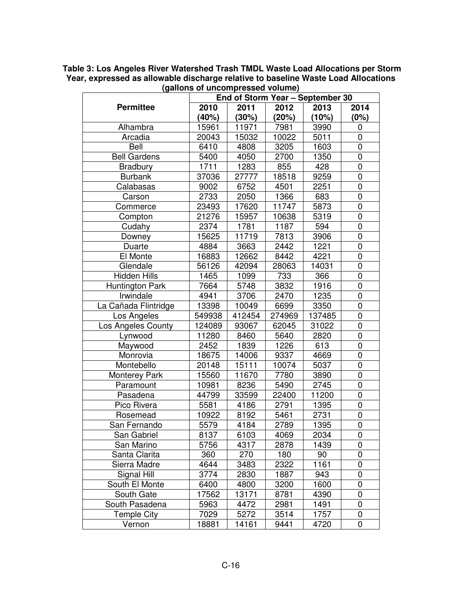|                      | End of Storm Year - September 30 |        |        |        |                |  |
|----------------------|----------------------------------|--------|--------|--------|----------------|--|
| <b>Permittee</b>     | 2010                             | 2011   | 2012   | 2013   | 2014           |  |
|                      | (40%)                            | (30%)  | (20%)  | (10%)  | (0%)           |  |
| Alhambra             | 15961                            | 11971  | 7981   | 3990   | 0              |  |
| Arcadia              | 20043                            | 15032  | 10022  | 5011   | 0              |  |
| Bell                 | 6410                             | 4808   | 3205   | 1603   | 0              |  |
| <b>Bell Gardens</b>  | 5400                             | 4050   | 2700   | 1350   | 0              |  |
| <b>Bradbury</b>      | 1711                             | 1283   | 855    | 428    | 0              |  |
| <b>Burbank</b>       | 37036                            | 27777  | 18518  | 9259   | 0              |  |
| Calabasas            | 9002                             | 6752   | 4501   | 2251   | $\mathbf 0$    |  |
| Carson               | 2733                             | 2050   | 1366   | 683    | 0              |  |
| Commerce             | 23493                            | 17620  | 11747  | 5873   | 0              |  |
| Compton              | 21276                            | 15957  | 10638  | 5319   | 0              |  |
| Cudahy               | 2374                             | 1781   | 1187   | 594    | 0              |  |
| Downey               | 15625                            | 11719  | 7813   | 3906   | 0              |  |
| Duarte               | 4884                             | 3663   | 2442   | 1221   | $\mathbf 0$    |  |
| El Monte             | 16883                            | 12662  | 8442   | 4221   | 0              |  |
| Glendale             | 56126                            | 42094  | 28063  | 14031  | 0              |  |
| <b>Hidden Hills</b>  | 1465                             | 1099   | 733    | 366    | 0              |  |
| Huntington Park      | 7664                             | 5748   | 3832   | 1916   | $\overline{0}$ |  |
| Irwindale            | 4941                             | 3706   | 2470   | 1235   | $\overline{0}$ |  |
| La Cañada Flintridge | 13398                            | 10049  | 6699   | 3350   | 0              |  |
| Los Angeles          | 549938                           | 412454 | 274969 | 137485 | $\overline{0}$ |  |
| Los Angeles County   | 124089                           | 93067  | 62045  | 31022  | 0              |  |
| Lynwood              | 11280                            | 8460   | 5640   | 2820   | $\overline{0}$ |  |
| Maywood              | 2452                             | 1839   | 1226   | 613    | 0              |  |
| Monrovia             | 18675                            | 14006  | 9337   | 4669   | $\overline{0}$ |  |
| Montebello           | 20148                            | 15111  | 10074  | 5037   | 0              |  |
| <b>Monterey Park</b> | 15560                            | 11670  | 7780   | 3890   | $\overline{0}$ |  |
| Paramount            | 10981                            | 8236   | 5490   | 2745   | 0              |  |
| Pasadena             | 44799                            | 33599  | 22400  | 11200  | $\mathbf 0$    |  |
| Pico Rivera          | 5581                             | 4186   | 2791   | 1395   | 0              |  |
| Rosemead             | 10922                            | 8192   | 5461   | 2731   | 0              |  |
| San Fernando         | 5579                             | 4184   | 2789   | 1395   | 0              |  |
| San Gabriel          | 8137                             | 6103   | 4069   | 2034   | 0              |  |
| San Marino           | 5756                             | 4317   | 2878   | 1439   | 0              |  |
| Santa Clarita        | 360                              | 270    | 180    | 90     | 0              |  |
| Sierra Madre         | 4644                             | 3483   | 2322   | 1161   | 0              |  |
| Signal Hill          | 3774                             | 2830   | 1887   | 943    | 0              |  |
| South El Monte       | 6400                             | 4800   | 3200   | 1600   | 0              |  |
| South Gate           | 17562                            | 13171  | 8781   | 4390   | 0              |  |
| South Pasadena       | 5963                             | 4472   | 2981   | 1491   | 0              |  |
| <b>Temple City</b>   | 7029                             | 5272   | 3514   | 1757   | 0              |  |
| Vernon               | 18881                            | 14161  | 9441   | 4720   | 0              |  |

**Table 3: Los Angeles River Watershed Trash TMDL Waste Load Allocations per Storm Year, expressed as allowable discharge relative to baseline Waste Load Allocations (gallons of uncompressed volume)**